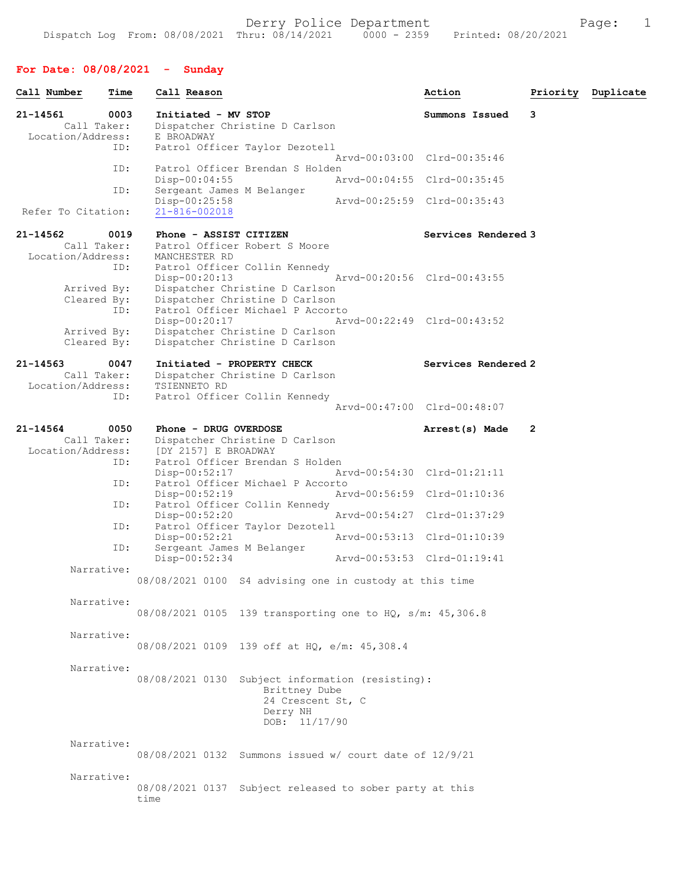# For Date: 08/08/2021 - Sunday

| Call Number                                  | Time        | Call Reason                                                         |                                                                                                                                        |                             | Action         |                     |                | Priority Duplicate |
|----------------------------------------------|-------------|---------------------------------------------------------------------|----------------------------------------------------------------------------------------------------------------------------------------|-----------------------------|----------------|---------------------|----------------|--------------------|
| 21-14561<br>Call Taker:<br>Location/Address: | 0003<br>ID: | Initiated - MV STOP<br>E BROADWAY                                   | Dispatcher Christine D Carlson<br>Patrol Officer Taylor Dezotell                                                                       |                             | Summons Issued |                     | 3              |                    |
|                                              | ID:         |                                                                     | Patrol Officer Brendan S Holden                                                                                                        | Arvd-00:03:00 Clrd-00:35:46 |                |                     |                |                    |
|                                              |             | $Disp-00:04:55$                                                     |                                                                                                                                        | Arvd-00:04:55 Clrd-00:35:45 |                |                     |                |                    |
| Refer To Citation:                           | ID:         | Sergeant James M Belanger<br>$Disp-00:25:58$<br>$21 - 816 - 002018$ |                                                                                                                                        | Arvd-00:25:59 Clrd-00:35:43 |                |                     |                |                    |
| 21-14562<br>Call Taker:                      | 0019        | Phone - ASSIST CITIZEN                                              | Patrol Officer Robert S Moore                                                                                                          |                             |                | Services Rendered 3 |                |                    |
| Location/Address:<br>Arrived By:             | ID:         | MANCHESTER RD<br>$Disp-00:20:13$                                    | Patrol Officer Collin Kennedy<br>Dispatcher Christine D Carlson                                                                        | Arvd-00:20:56 Clrd-00:43:55 |                |                     |                |                    |
| Cleared By:<br>Arrived By:<br>Cleared By:    | ID:         | Disp-00:20:17                                                       | Dispatcher Christine D Carlson<br>Patrol Officer Michael P Accorto<br>Dispatcher Christine D Carlson<br>Dispatcher Christine D Carlson | Arvd-00:22:49 Clrd-00:43:52 |                |                     |                |                    |
| 21-14563<br>Call Taker:<br>Location/Address: | 0047<br>ID: | TSIENNETO RD                                                        | Initiated - PROPERTY CHECK<br>Dispatcher Christine D Carlson<br>Patrol Officer Collin Kennedy                                          |                             |                | Services Rendered 2 |                |                    |
|                                              |             |                                                                     |                                                                                                                                        | Arvd-00:47:00 Clrd-00:48:07 |                |                     |                |                    |
| 21-14564<br>Call Taker:<br>Location/Address: | 0050<br>ID: | Phone - DRUG OVERDOSE<br>[DY 2157] E BROADWAY                       | Dispatcher Christine D Carlson<br>Patrol Officer Brendan S Holden                                                                      |                             | Arrest(s) Made |                     | $\overline{2}$ |                    |
|                                              | ID:         | Disp-00:52:17                                                       | Patrol Officer Michael P Accorto                                                                                                       | Arvd-00:54:30 Clrd-01:21:11 |                |                     |                |                    |
|                                              |             | $Disp-00:52:19$                                                     |                                                                                                                                        | Arvd-00:56:59 Clrd-01:10:36 |                |                     |                |                    |
|                                              | ID:         | $Disp-00:52:20$                                                     | Patrol Officer Collin Kennedy                                                                                                          | Arvd-00:54:27 Clrd-01:37:29 |                |                     |                |                    |
|                                              | ID:         | $Disp-00:52:21$                                                     | Patrol Officer Taylor Dezotell                                                                                                         | Arvd-00:53:13 Clrd-01:10:39 |                |                     |                |                    |
|                                              | ID:         | Sergeant James M Belanger<br>Disp-00:52:34                          |                                                                                                                                        | Arvd-00:53:53 Clrd-01:19:41 |                |                     |                |                    |
|                                              | Narrative:  | 08/08/2021 0100 S4 advising one in custody at this time             |                                                                                                                                        |                             |                |                     |                |                    |
|                                              | Narrative:  | 08/08/2021 0105 139 transporting one to HQ, s/m: 45,306.8           |                                                                                                                                        |                             |                |                     |                |                    |
|                                              | Narrative:  | 08/08/2021 0109 139 off at HQ, e/m: 45,308.4                        |                                                                                                                                        |                             |                |                     |                |                    |
|                                              | Narrative:  | 08/08/2021 0130 Subject information (resisting):                    | Brittney Dube<br>24 Crescent St, C<br>Derry NH<br>DOB: 11/17/90                                                                        |                             |                |                     |                |                    |
|                                              | Narrative:  | $08/08/2021$ 0132 Summons issued w/ court date of $12/9/21$         |                                                                                                                                        |                             |                |                     |                |                    |
|                                              | Narrative:  | 08/08/2021 0137 Subject released to sober party at this<br>time     |                                                                                                                                        |                             |                |                     |                |                    |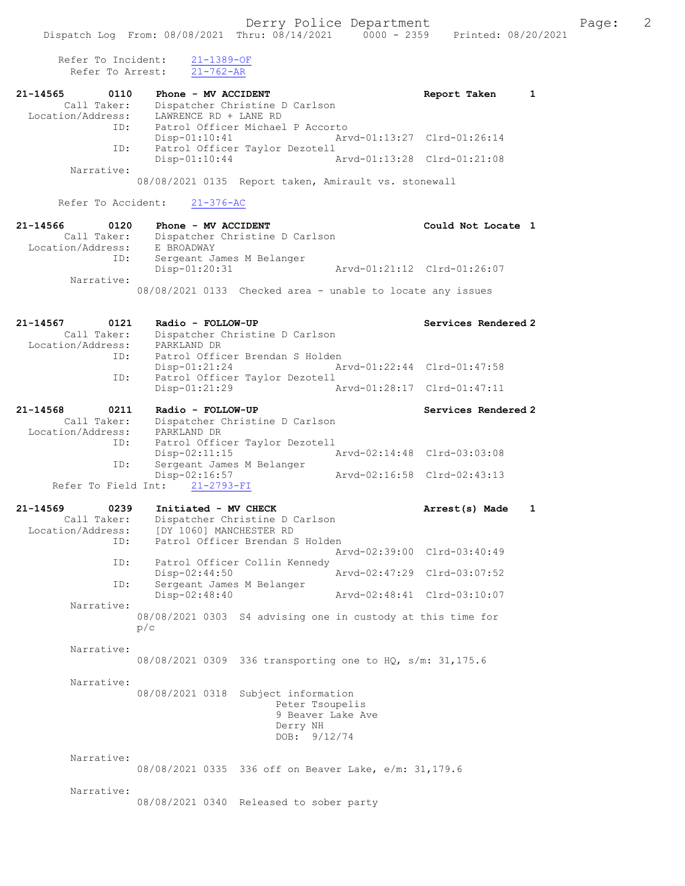Refer To Incident: 21-1389-OF Refer To Arrest: 21-762-AR

| 21-14565<br>0110<br>Call Taker:<br>Location/Address:        | Phone - MV ACCIDENT<br>Dispatcher Christine D Carlson<br>LAWRENCE RD + LANE RD                                       | 1<br>Report Taken           |
|-------------------------------------------------------------|----------------------------------------------------------------------------------------------------------------------|-----------------------------|
| ID:<br>ID:                                                  | Patrol Officer Michael P Accorto<br>$Disp-01:10:41$<br>Patrol Officer Taylor Dezotell                                | Arvd-01:13:27 Clrd-01:26:14 |
| Narrative:                                                  | Disp-01:10:44                                                                                                        | Arvd-01:13:28 Clrd-01:21:08 |
|                                                             | 08/08/2021 0135 Report taken, Amirault vs. stonewall                                                                 |                             |
| Refer To Accident:                                          | $21 - 376 - AC$                                                                                                      |                             |
| 21-14566<br>0120<br>Call Taker:<br>Location/Address:        | Phone - MV ACCIDENT<br>Dispatcher Christine D Carlson<br>E BROADWAY                                                  | Could Not Locate 1          |
| ID:                                                         | Sergeant James M Belanger<br>Disp-01:20:31                                                                           | Arvd-01:21:12 Clrd-01:26:07 |
| Narrative:                                                  | 08/08/2021 0133 Checked area - unable to locate any issues                                                           |                             |
| 21-14567<br>0121<br>Call Taker:<br>Location/Address:        | Radio - FOLLOW-UP<br>Dispatcher Christine D Carlson<br>PARKLAND DR                                                   | Services Rendered 2         |
| ID:                                                         | Patrol Officer Brendan S Holden<br>$Disp-01:21:24$                                                                   | Arvd-01:22:44 Clrd-01:47:58 |
| ID:                                                         | Patrol Officer Taylor Dezotell<br>Disp-01:21:29                                                                      | Arvd-01:28:17 Clrd-01:47:11 |
| 21-14568<br>0211<br>Call Taker:<br>Location/Address:        | Radio - FOLLOW-UP<br>Dispatcher Christine D Carlson<br>PARKLAND DR                                                   | Services Rendered 2         |
| ID:<br>ID:                                                  | Patrol Officer Taylor Dezotell<br>$Disp-02:11:15$<br>Sergeant James M Belanger                                       | Arvd-02:14:48 Clrd-03:03:08 |
| Refer To Field Int:                                         | Disp-02:16:57<br>$21 - 2793 - FI$                                                                                    | Arvd-02:16:58 Clrd-02:43:13 |
| 21-14569<br>0239<br>Call Taker:<br>Location/Address:<br>ID: | Initiated - MV CHECK<br>Dispatcher Christine D Carlson<br>[DY 1060] MANCHESTER RD<br>Patrol Officer Brendan S Holden | 1<br>Arrest(s) Made         |
| ID:                                                         | Patrol Officer Collin Kennedy                                                                                        | Arvd-02:39:00 Clrd-03:40:49 |
| ID:                                                         | Disp-02:44:50<br>Sergeant James M Belanger                                                                           | Arvd-02:47:29 Clrd-03:07:52 |
| Narrative:                                                  | Disp-02:48:40<br>08/08/2021 0303 S4 advising one in custody at this time for                                         | Arvd-02:48:41 Clrd-03:10:07 |
| Narrative:                                                  | p/c<br>08/08/2021 0309 336 transporting one to HQ, s/m: 31,175.6                                                     |                             |
| Narrative:                                                  | 08/08/2021 0318 Subject information<br>Peter Tsoupelis<br>9 Beaver Lake Ave<br>Derry NH<br>DOB: 9/12/74              |                             |
| Narrative:                                                  | 08/08/2021 0335 336 off on Beaver Lake, e/m: 31,179.6                                                                |                             |
| Narrative:                                                  | 08/08/2021 0340 Released to sober party                                                                              |                             |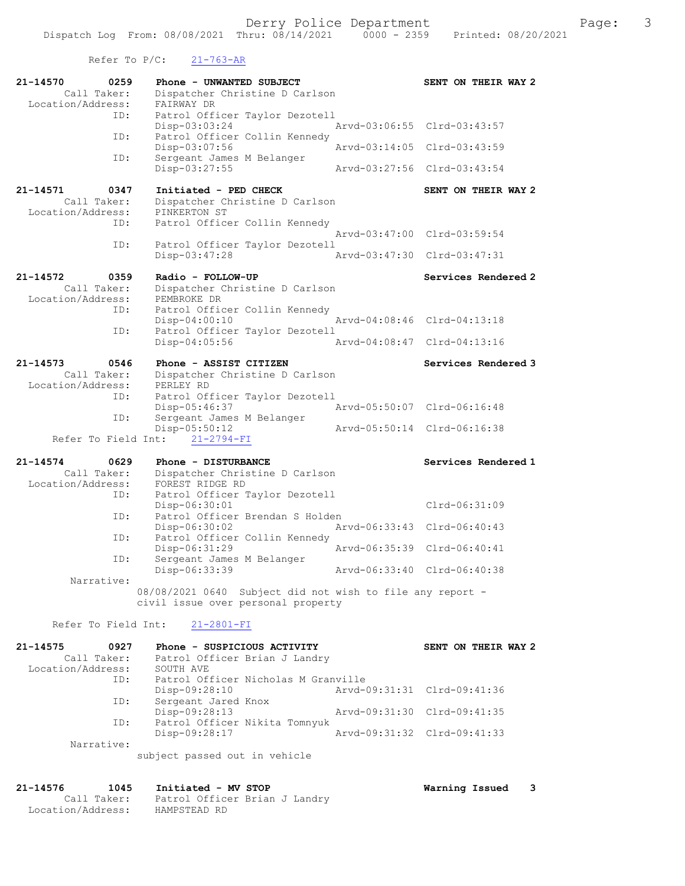Refer To  $P/C$ :  $21-763-AR$ 

Location/Address: HAMPSTEAD RD

| 21-14570<br>0259<br>Call Taker: | Phone - UNWANTED SUBJECT<br>Dispatcher Christine D Carlson                                      | SENT ON THEIR WAY 2              |
|---------------------------------|-------------------------------------------------------------------------------------------------|----------------------------------|
| Location/Address:               | FAIRWAY DR                                                                                      |                                  |
| ID:                             | Patrol Officer Taylor Dezotell                                                                  |                                  |
| ID:                             | Disp-03:03:24<br>Patrol Officer Collin Kennedy                                                  | Arvd-03:06:55 Clrd-03:43:57      |
| ID:                             | Disp-03:07:56<br>Sergeant James M Belanger                                                      | Arvd-03:14:05 Clrd-03:43:59      |
|                                 | Disp-03:27:55                                                                                   | Arvd-03:27:56<br>$Clrd-03:43:54$ |
| 21-14571<br>0347                | Initiated - PED CHECK                                                                           | SENT ON THEIR WAY 2              |
| Call Taker:                     | Dispatcher Christine D Carlson                                                                  |                                  |
| Location/Address:               | PINKERTON ST                                                                                    |                                  |
| ID:                             | Patrol Officer Collin Kennedy                                                                   |                                  |
| ID:                             | Patrol Officer Taylor Dezotell                                                                  | Arvd-03:47:00 Clrd-03:59:54      |
|                                 | Disp-03:47:28                                                                                   | Arvd-03:47:30 Clrd-03:47:31      |
| 21-14572<br>0359                | Radio - FOLLOW-UP                                                                               | Services Rendered 2              |
| Call Taker:                     | Dispatcher Christine D Carlson                                                                  |                                  |
| Location/Address:               | PEMBROKE DR                                                                                     |                                  |
| ID:                             | Patrol Officer Collin Kennedy                                                                   |                                  |
|                                 | Disp-04:00:10                                                                                   | Arvd-04:08:46 Clrd-04:13:18      |
| ID:                             | Patrol Officer Taylor Dezotell                                                                  |                                  |
|                                 | $Disp-04:05:56$                                                                                 | Arvd-04:08:47<br>$Clrd-04:13:16$ |
| 0546<br>21-14573                | Phone - ASSIST CITIZEN                                                                          | Services Rendered 3              |
| Call Taker:                     | Dispatcher Christine D Carlson                                                                  |                                  |
| Location/Address:               | PERLEY RD                                                                                       |                                  |
| ID:                             | Patrol Officer Taylor Dezotell                                                                  |                                  |
| ID:                             | Disp-05:46:37<br>Sergeant James M Belanger                                                      | Arvd-05:50:07 Clrd-06:16:48      |
|                                 | Disp-05:50:12                                                                                   | Arvd-05:50:14 Clrd-06:16:38      |
|                                 |                                                                                                 |                                  |
| Refer To Field Int:             | $21 - 2794 - FI$                                                                                |                                  |
|                                 |                                                                                                 |                                  |
| 21-14574<br>0629                | Phone - DISTURBANCE                                                                             | Services Rendered 1              |
| Call Taker:                     | Dispatcher Christine D Carlson                                                                  |                                  |
| Location/Address:               | FOREST RIDGE RD                                                                                 |                                  |
| ID:                             | Patrol Officer Taylor Dezotell                                                                  |                                  |
| ID:                             | Disp-06:30:01                                                                                   | Clrd-06:31:09                    |
|                                 | Patrol Officer Brendan S Holden<br>Disp-06:30:02                                                | Arvd-06:33:43 Clrd-06:40:43      |
| ID:                             | Patrol Officer Collin Kennedy                                                                   |                                  |
|                                 | Disp-06:31:29                                                                                   | Arvd-06:35:39 Clrd-06:40:41      |
| ID:                             | Sergeant James M Belanger                                                                       |                                  |
|                                 | Disp-06:33:39                                                                                   | Arvd-06:33:40 Clrd-06:40:38      |
| Narrative:                      |                                                                                                 |                                  |
|                                 | 08/08/2021 0640 Subject did not wish to file any report -<br>civil issue over personal property |                                  |
|                                 |                                                                                                 |                                  |
| Refer To Field Int:             | $21 - 2801 - FI$                                                                                |                                  |
| 21-14575<br>0927                | Phone - SUSPICIOUS ACTIVITY                                                                     | SENT ON THEIR WAY 2              |
| Call Taker:                     | Patrol Officer Brian J Landry                                                                   |                                  |
| Location/Address:               | SOUTH AVE                                                                                       |                                  |
| ID:                             | Patrol Officer Nicholas M Granville                                                             |                                  |
|                                 | Disp-09:28:10                                                                                   | Arvd-09:31:31 Clrd-09:41:36      |
| ID:                             | Sergeant Jared Knox<br>Disp-09:28:13                                                            | Arvd-09:31:30 Clrd-09:41:35      |
| ID:                             | Patrol Officer Nikita Tomnyuk                                                                   |                                  |
|                                 | Disp-09:28:17                                                                                   | Arvd-09:31:32 Clrd-09:41:33      |
| Narrative:                      |                                                                                                 |                                  |
|                                 | subject passed out in vehicle                                                                   |                                  |
|                                 |                                                                                                 |                                  |
| 21-14576<br>1045<br>Call Taker: | Initiated - MV STOP<br>Patrol Officer Brian J Landry                                            | Warning Issued<br>3              |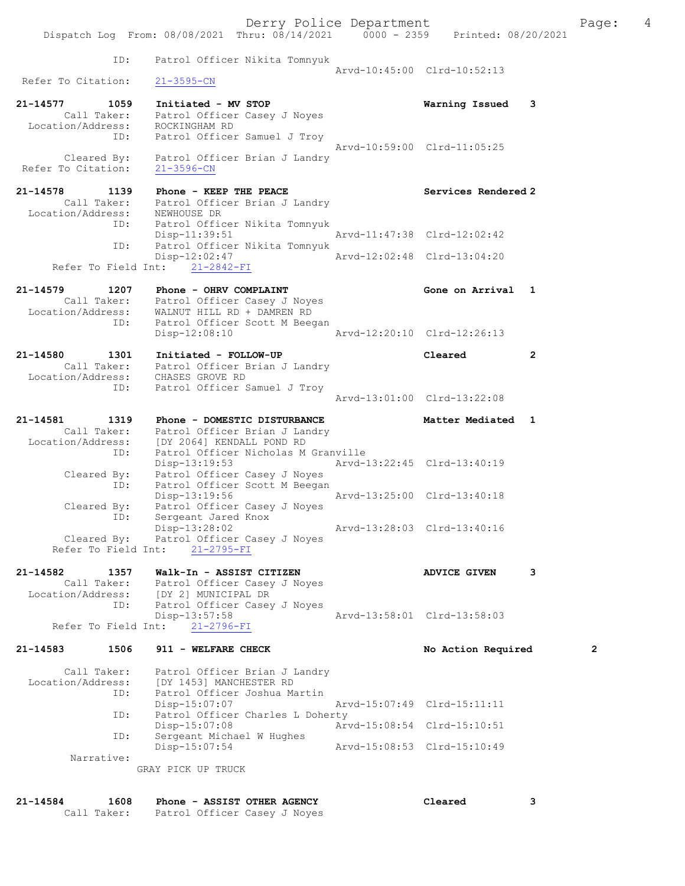|                                                  | Dispatch Log From: 08/08/2021 Thru: 08/14/2021 0000 - 2359 Printed: 08/20/2021                                                                                        | Derry Police Department     |                             |              | Page: | 4 |
|--------------------------------------------------|-----------------------------------------------------------------------------------------------------------------------------------------------------------------------|-----------------------------|-----------------------------|--------------|-------|---|
| ID:                                              | Patrol Officer Nikita Tomnyuk                                                                                                                                         |                             |                             |              |       |   |
| Refer To Citation:                               | $21 - 3595 - CN$                                                                                                                                                      |                             | Arvd-10:45:00 Clrd-10:52:13 |              |       |   |
| 21-14577 1059<br>Location/Address: ROCKINGHAM RD | Initiated - MV STOP<br>Call Taker: Patrol Officer Casey J Noyes<br>ID: Patrol Officer Samuel J Troy                                                                   |                             | Warning Issued 3            |              |       |   |
| Refer To Citation:                               | Cleared By: Patrol Officer Brian J Landry<br>$21 - 3596 - CN$                                                                                                         |                             | Arvd-10:59:00 Clrd-11:05:25 |              |       |   |
| 21-14578<br>1139                                 | Phone - KEEP THE PEACE<br>Call Taker: Patrol Officer Brian J Landry<br>Location/Address: NEWHOUSE DR                                                                  |                             | Services Rendered 2         |              |       |   |
|                                                  | ID: Patrol Officer Nikita Tomnyuk<br>Disp-11:39:51                                                                                                                    |                             | Arvd-11:47:38 Clrd-12:02:42 |              |       |   |
| ID:                                              | Patrol Officer Nikita Tomnyuk<br>Disp-12:02:47 Arvd-12:02:48 Clrd-13:04:20<br>Refer To Field Int: 21-2842-FI                                                          |                             |                             |              |       |   |
|                                                  | 21-14579 1207 Phone - OHRV COMPLAINT<br>Call Taker: Patrol Officer Casey J Noyes<br>Location/Address: WALNUT HILL RD + DAMREN RD<br>ID: Patrol Officer Scott M Beegan |                             | Gone on Arrival 1           |              |       |   |
|                                                  | Disp-12:08:10                                                                                                                                                         |                             | Arvd-12:20:10 Clrd-12:26:13 |              |       |   |
| 21-14580<br>1301<br>ID:                          | Initiated - FOLLOW-UP<br>Call Taker: Patrol Officer Brian J Landry<br>Location/Address: CHASES GROVE RD<br>Patrol Officer Samuel J Troy                               |                             | Cleared                     | $\mathbf{2}$ |       |   |
|                                                  |                                                                                                                                                                       |                             | Arvd-13:01:00 Clrd-13:22:08 |              |       |   |
| 21-14581<br>1319<br>ID:                          | Phone - DOMESTIC DISTURBANCE<br>Call Taker: Patrol Officer Brian J Landry<br>Location/Address: [DY 2064] KENDALL POND RD<br>Patrol Officer Nicholas M Granville       |                             | Matter Mediated 1           |              |       |   |
| ID:                                              | Disp-13:19:53<br>Cleared By: Patrol Officer Casey J Noyes<br>Patrol Officer Scott M Beegan                                                                            | Arvd-13:22:45 Clrd-13:40:19 |                             |              |       |   |
| Cleared By:<br>ID:                               | Disp-13:19:56<br>Patrol Officer Casey J Noyes<br>Sergeant Jared Knox                                                                                                  |                             | Arvd-13:25:00 Clrd-13:40:18 |              |       |   |
| Cleared By:<br>Refer To Field Int:               | Disp-13:28:02<br>Patrol Officer Casey J Noyes<br>$21 - 2795 - FI$                                                                                                     |                             | Arvd-13:28:03 Clrd-13:40:16 |              |       |   |
| 21-14582<br>1357<br>Location/Address:<br>ID:     | Walk-In - ASSIST CITIZEN<br>Call Taker: Patrol Officer Casey J Noyes<br>[DY 2] MUNICIPAL DR<br>Patrol Officer Casey J Noyes                                           |                             | <b>ADVICE GIVEN</b>         | 3            |       |   |
| Refer To Field Int:                              | Disp-13:57:58<br>$21 - 2796 - FI$                                                                                                                                     |                             | Arvd-13:58:01 Clrd-13:58:03 |              |       |   |
| $21 - 14583$<br>1506                             | 911 - WELFARE CHECK                                                                                                                                                   |                             | No Action Required          |              | 2     |   |
| Call Taker:<br>Location/Address:<br>ID:          | Patrol Officer Brian J Landry<br>[DY 1453] MANCHESTER RD<br>Patrol Officer Joshua Martin                                                                              |                             |                             |              |       |   |
| ID:                                              | $Disp-15:07:07$<br>Patrol Officer Charles L Doherty                                                                                                                   |                             | Arvd-15:07:49 Clrd-15:11:11 |              |       |   |
| ID:                                              | Disp-15:07:08<br>Sergeant Michael W Hughes                                                                                                                            |                             | Arvd-15:08:54 Clrd-15:10:51 |              |       |   |
| Narrative:                                       | Disp-15:07:54<br>GRAY PICK UP TRUCK                                                                                                                                   |                             | Arvd-15:08:53 Clrd-15:10:49 |              |       |   |

| 21-14584 | 1608 | Phone - ASSIST OTHER AGENCY              | Cleared |  |
|----------|------|------------------------------------------|---------|--|
|          |      | Call Taker: Patrol Officer Casey J Noyes |         |  |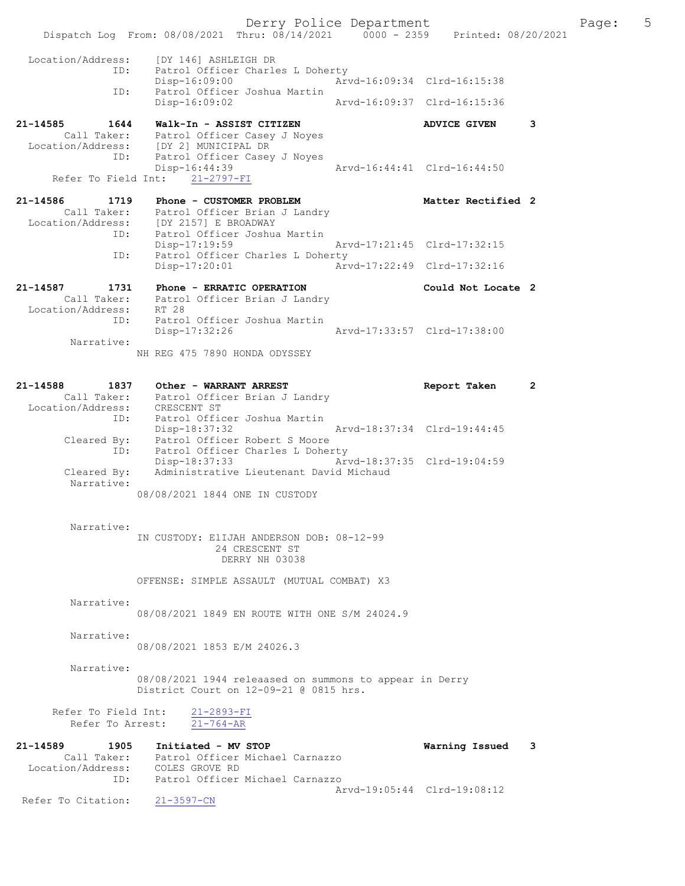Derry Police Department Fage: 5 Dispatch Log From: 08/08/2021 Thru: 08/14/2021 0000 - 2359 Printed: 08/20/2021 Location/Address: [DY 146] ASHLEIGH DR ID: Patrol Officer Charles L Doherty Disp-16:09:00 Arvd-16:09:34 Clrd-16:15:38 ID: Patrol Officer Joshua Martin Disp-16:09:02 Arvd-16:09:37 Clrd-16:15:36 21-14585 1644 Walk-In - ASSIST CITIZEN ADVICE GIVEN 3 Call Taker: Patrol Officer Casey J Noyes Location/Address: [DY 2] MUNICIPAL DR ID: Patrol Officer Casey J Noyes Disp-16:44:39 Arvd-16:44:41 Clrd-16:44:50 Refer To Field Int: 21-2797-FI 21-14586 1719 Phone - CUSTOMER PROBLEM NEW Matter Rectified 2 Call Taker: Patrol Officer Brian J Landry Location/Address: [DY 2157] E BROADWAY ID: Patrol Officer Joshua Martin Disp-17:19:59 Arvd-17:21:45 Clrd-17:32:15 ID: Patrol Officer Charles L Doherty Disp-17:20:01 Arvd-17:22:49 Clrd-17:32:16 21-14587 1731 Phone - ERRATIC OPERATION Could Not Locate 2 Call Taker: Patrol Officer Brian J Landry Location/Address: RT 28 ID: Patrol Officer Joshua Martin Disp-17:32:26 Narrative: NH REG 475 7890 HONDA ODYSSEY 21-14588 1837 Other - WARRANT ARREST Report Taken 2 Call Taker: Patrol Officer Brian J Landry Location/Address: CRESCENT ST ID: Patrol Officer Joshua Martin Disp-18:37:32 Arvd-18:37:34 Clrd-19:44:45 Cleared By: Patrol Officer Robert S Moore ID: Patrol Officer Charles L Doherty Disp-18:37:33 Arvd-18:37:35 Clrd-19:04:59 Cleared By: Administrative Lieutenant David Michaud Narrative: 08/08/2021 1844 ONE IN CUSTODY Narrative: IN CUSTODY: ElIJAH ANDERSON DOB: 08-12-99 24 CRESCENT ST DERRY NH 03038 OFFENSE: SIMPLE ASSAULT (MUTUAL COMBAT) X3 Narrative: 08/08/2021 1849 EN ROUTE WITH ONE S/M 24024.9 Narrative: 08/08/2021 1853 E/M 24026.3 Narrative: 08/08/2021 1944 releaased on summons to appear in Derry District Court on 12-09-21 @ 0815 hrs. Refer To Field Int: 21-2893-FI Refer To Arrest: 21-764-AR 21-14589 1905 Initiated - MV STOP Warning Issued 3 Call Taker: Patrol Officer Michael Carnazzo Location/Address: COLES GROVE RD ID: Patrol Officer Michael Carnazzo Arvd-19:05:44 Clrd-19:08:12<br>21-3597-CN Refer To Citation: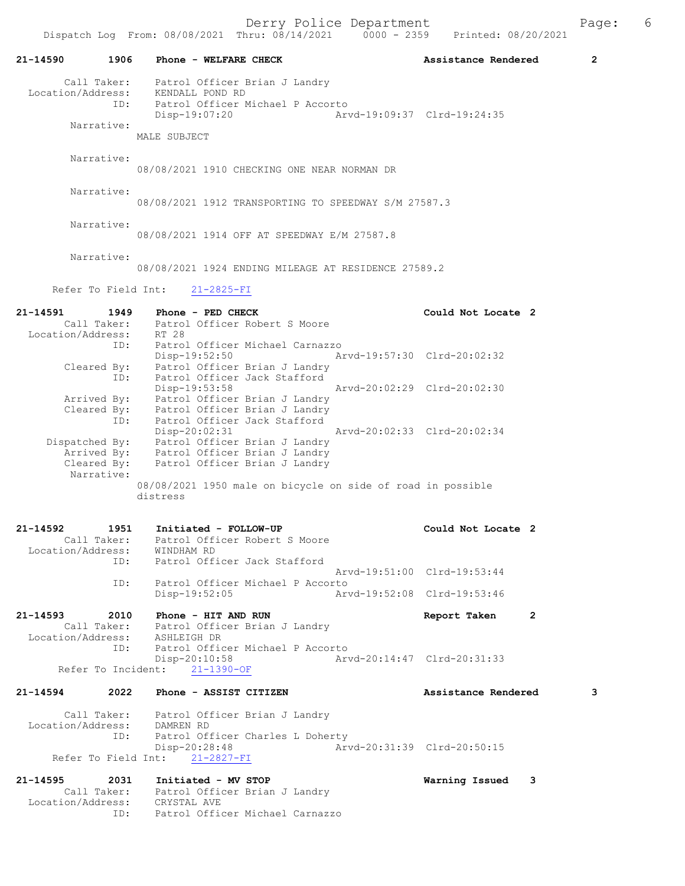| 21-14590                                                    | 1906 Phone - WELFARE CHECK                                                                                                                                                 | Assistance Rendered         | $\overline{2}$ |
|-------------------------------------------------------------|----------------------------------------------------------------------------------------------------------------------------------------------------------------------------|-----------------------------|----------------|
|                                                             | Call Taker: Patrol Officer Brian J Landry<br>Location/Address: KENDALL POND RD<br>ID: Patrol Officer Michael P Accorto<br>Arvd-19:09:37 Clrd-19:24:35<br>Disp-19:07:20     |                             |                |
| Narrative:                                                  | MALE SUBJECT                                                                                                                                                               |                             |                |
| Narrative:                                                  | 08/08/2021 1910 CHECKING ONE NEAR NORMAN DR                                                                                                                                |                             |                |
| Narrative:                                                  | 08/08/2021 1912 TRANSPORTING TO SPEEDWAY S/M 27587.3                                                                                                                       |                             |                |
| Narrative:                                                  | 08/08/2021 1914 OFF AT SPEEDWAY E/M 27587.8                                                                                                                                |                             |                |
| Narrative:                                                  | 08/08/2021 1924 ENDING MILEAGE AT RESIDENCE 27589.2                                                                                                                        |                             |                |
|                                                             | Refer To Field Int: 21-2825-FI                                                                                                                                             |                             |                |
| 21-14591<br>1949<br>Location/Address: RT 28                 | Phone - PED CHECK<br>Call Taker: Patrol Officer Robert S Moore                                                                                                             | Could Not Locate 2          |                |
| ID:                                                         | ID: Patrol Officer Michael Carnazzo<br>Disp-19:52:50 Arvd-19:57:30 Clrd-20:02:32<br>Cleared By: Patrol Officer Brian J Landry<br>Patrol Officer Jack Stafford              |                             |                |
|                                                             | Disp-19:53:58<br>Arvd-20:02:29 Clrd-20:02:30<br>Arrived By: Patrol Officer Brian J Landry<br>Cleared By: Patrol Officer Brian J Landry<br>ID: Patrol Officer Jack Stafford |                             |                |
| Narrative:                                                  | Disp-20:02:31<br>Dispatched By: Patrol Officer Brian J Landry<br>Arrived By: Patrol Officer Brian J Landry<br>Cleared By: Patrol Officer Brian J Landry                    | Arvd-20:02:33 Clrd-20:02:34 |                |
|                                                             | 08/08/2021 1950 male on bicycle on side of road in possible<br>distress                                                                                                    |                             |                |
| 21-14592<br>1951<br>Call Taker:<br>Location/Address:<br>ID: | Initiated - FOLLOW-UP<br>Patrol Officer Robert S Moore<br>WINDHAM RD<br>Patrol Officer Jack Stafford                                                                       | Could Not Locate 2          |                |
|                                                             | Patrol Officer Michael P Accorto                                                                                                                                           | Arvd-19:51:00 Clrd-19:53:44 |                |
| ID:                                                         | $Disp-19:52:05$                                                                                                                                                            | Arvd-19:52:08 Clrd-19:53:46 |                |
| 21-14593<br>2010<br>Location/Address: ASHLEIGH DR           | Phone - HIT AND RUN<br>Call Taker: Patrol Officer Brian J Landry                                                                                                           | 2<br>Report Taken           |                |
| ID:<br>Refer To Incident:                                   | Patrol Officer Michael P Accorto<br>$Disp-20:10:58$<br>$21 - 1390 - OF$                                                                                                    | Arvd-20:14:47 Clrd-20:31:33 |                |
| 21-14594                                                    | 2022 Phone - ASSIST CITIZEN                                                                                                                                                | Assistance Rendered         | 3              |
| Location/Address: DAMREN RD<br>ID:                          | Call Taker: Patrol Officer Brian J Landry<br>Patrol Officer Charles L Doherty<br>$Disp-20:28:48$<br>Refer To Field Int: 21-2827-FI                                         | Arvd-20:31:39 Clrd-20:50:15 |                |
| 21-14595<br>2031                                            | Initiated - MV STOP                                                                                                                                                        | Warning Issued<br>3         |                |
| Location/Address: CRYSTAL AVE<br>ID:                        | Call Taker: Patrol Officer Brian J Landry<br>Patrol Officer Michael Carnazzo                                                                                               |                             |                |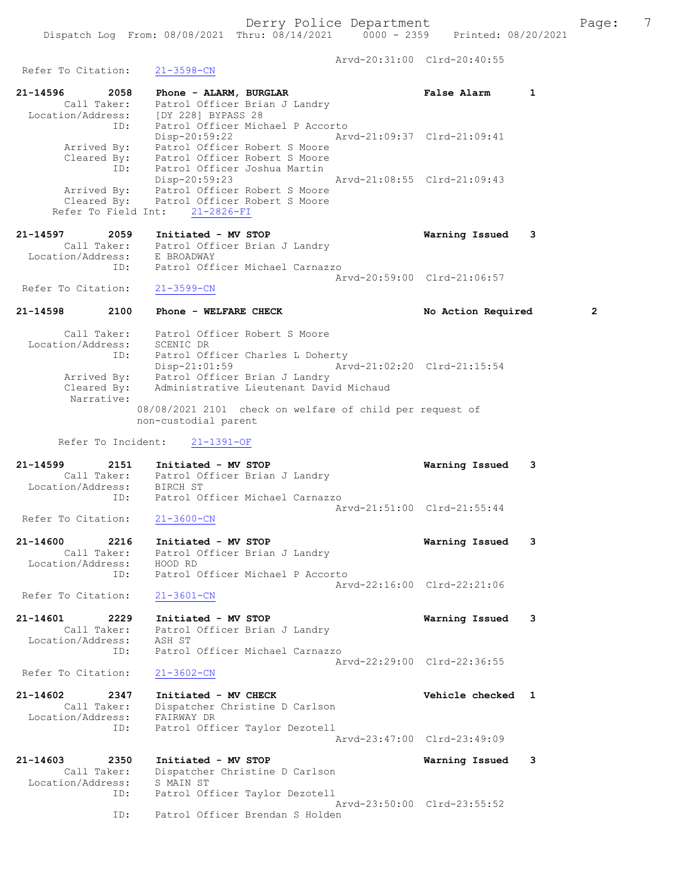Arvd-20:31:00 Clrd-20:40:55

Refer To Citation: 21-3598-CN 21-14596 2058 Phone - ALARM, BURGLAR False Alarm 1 Call Taker: Patrol Officer Brian J Landry Location/Address: [DY 228] BYPASS 28 ID: Patrol Officer Michael P Accorto Disp-20:59:22 Arvd-21:09:37 Clrd-21:09:41 Arrived By: Patrol Officer Robert S Moore Cleared By: Patrol Officer Robert S Moore ID: Patrol Officer Joshua Martin Disp-20:59:23 Arvd-21:08:55 Clrd-21:09:43 Arrived By: Patrol Officer Robert S Moore Cleared By: Patrol Officer Robert S Moore Refer To Field Int: 21-2826-FI 21-14597 2059 Initiated - MV STOP Warning Issued 3 Call Taker: Patrol Officer Brian J Landry Location/Address: E BROADWAY ID: Patrol Officer Michael Carnazzo Arvd-20:59:00 Clrd-21:06:57 Refer To Citation: 21-3599-CN 21-14598 2100 Phone - WELFARE CHECK No Action Required 2 Call Taker: Patrol Officer Robert S Moore Location/Address: SCENIC DR ID: Patrol Officer Charles L Doherty Disp-21:01:59 Arvd-21:02:20 Clrd-21:15:54 Arrived By: Patrol Officer Brian J Landry Cleared By: Administrative Lieutenant David Michaud Narrative: 08/08/2021 2101 check on welfare of child per request of non-custodial parent Refer To Incident: 21-1391-OF 21-14599 2151 Initiated - MV STOP Warning Issued 3 Call Taker: Patrol Officer Brian J Landry Location/Address: BIRCH ST<br>ID: Patrol Of Patrol Officer Michael Carnazzo Arvd-21:51:00 Clrd-21:55:44<br>21-3600-CN Refer To Citation: 21-14600 2216 Initiated - MV STOP Warning Issued 3 Call Taker: Patrol Officer Brian J Landry Location/Address: HOOD RD ID: Patrol Officer Michael P Accorto Arvd-22:16:00 Clrd-22:21:06 Refer To Citation: 21-3601-CN 21-14601 2229 Initiated - MV STOP Warning Issued 3 Call Taker: Patrol Officer Brian J Landry Location/Address: ASH ST ID: Patrol Officer Michael Carnazzo Arvd-22:29:00 Clrd-22:36:55<br>21-3602-CN Refer To Citation: 21-14602 2347 Initiated - MV CHECK 2000 vehicle checked 1 Call Taker: Dispatcher Christine D Carlson Location/Address: FAIRWAY DR ID: Patrol Officer Taylor Dezotell Arvd-23:47:00 Clrd-23:49:09 21-14603 2350 Initiated - MV STOP Warning Issued 3 Call Taker: Dispatcher Christine D Carlson Location/Address: S MAIN ST ID: Patrol Officer Taylor Dezotell Arvd-23:50:00 Clrd-23:55:52 ID: Patrol Officer Brendan S Holden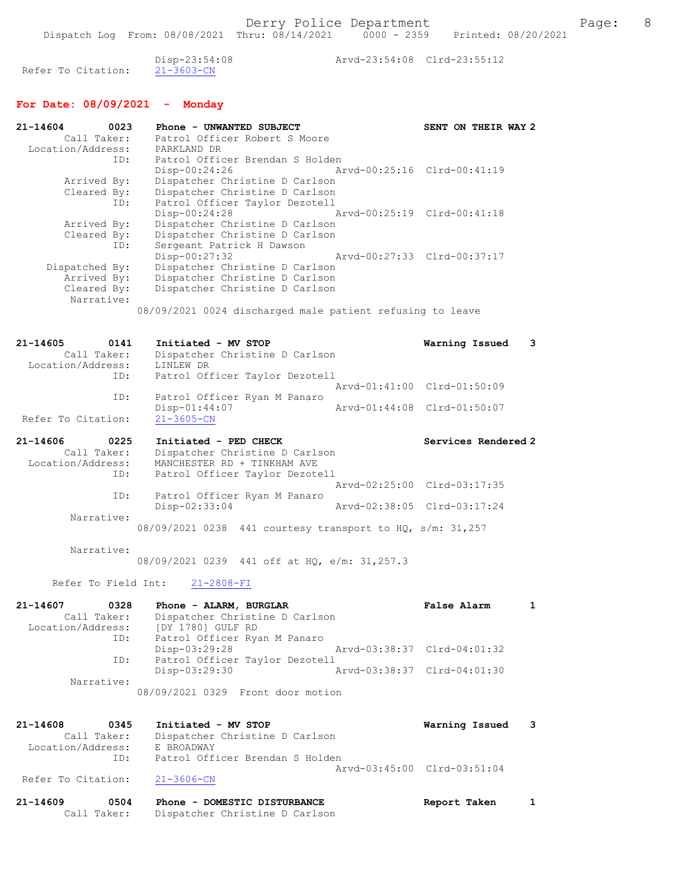Disp-23:54:08 Arvd-23:54:08 Clrd-23:55:12 Refer To Citation:

## For Date: 08/09/2021 - Monday

| 21-14604<br>0023              | Phone - UNWANTED SUBJECT                                  | SENT ON THEIR WAY 2         |
|-------------------------------|-----------------------------------------------------------|-----------------------------|
| Call Taker:                   | Patrol Officer Robert S Moore                             |                             |
| Location/Address: PARKLAND DR |                                                           |                             |
| ID:                           | Patrol Officer Brendan S Holden                           |                             |
|                               | Arvd-00:25:16 Clrd-00:41:19<br>$Disp-00:24:26$            |                             |
| Arrived By:                   | Dispatcher Christine D Carlson                            |                             |
| Cleared By:                   | Dispatcher Christine D Carlson                            |                             |
| ID:                           | Patrol Officer Taylor Dezotell                            |                             |
|                               | $Disp-00:24:28$                                           | Arvd-00:25:19 Clrd-00:41:18 |
| Arrived By:                   | Dispatcher Christine D Carlson                            |                             |
| Cleared By:                   | Dispatcher Christine D Carlson                            |                             |
| ID:                           | Sergeant Patrick H Dawson                                 |                             |
|                               | Arvd-00:27:33 Clrd-00:37:17<br>$Disp-00:27:32$            |                             |
| Dispatched By:                | Dispatcher Christine D Carlson                            |                             |
| Arrived By:                   | Dispatcher Christine D Carlson                            |                             |
| Cleared By:                   | Dispatcher Christine D Carlson                            |                             |
| Narrative:                    |                                                           |                             |
|                               | 08/09/2021 0024 discharged male patient refusing to leave |                             |

### 21-14605 0141 Initiated - MV STOP Warning Issued 3 Call Taker: Dispatcher Christine D Carlson Location/Address: LINLEW DR ID: Patrol Officer Taylor Dezotell Arvd-01:41:00 Clrd-01:50:09 ID: Patrol Officer Ryan M Panaro Disp-01:44:07 Arvd-01:44:08 Clrd-01:50:07 Refer To Citation: 21-3605-CN

| $21 - 14606$      | 0225        | Initiated - PED CHECK                                     | Services Rendered 2         |
|-------------------|-------------|-----------------------------------------------------------|-----------------------------|
|                   | Call Taker: | Dispatcher Christine D Carlson                            |                             |
| Location/Address: |             | MANCHESTER RD + TINKHAM AVE                               |                             |
|                   | ID:         | Patrol Officer Taylor Dezotell                            |                             |
|                   |             |                                                           | Arvd-02:25:00 Clrd-03:17:35 |
|                   | ID:         | Patrol Officer Ryan M Panaro                              |                             |
|                   |             | $Disp-02:33:04$                                           | Arvd-02:38:05 Clrd-03:17:24 |
|                   | Narrative:  |                                                           |                             |
|                   |             | 08/09/2021 0238 441 courtesy transport to HQ, s/m: 31,257 |                             |

Narrative:

08/09/2021 0239 441 off at HQ, e/m: 31,257.3

Refer To Field Int: 21-2808-FI

| 21-14607<br>0328  | Phone - ALARM, BURGLAR            | False Alarm                 |  |
|-------------------|-----------------------------------|-----------------------------|--|
| Call Taker:       | Dispatcher Christine D Carlson    |                             |  |
| Location/Address: | [DY 1780] GULF RD                 |                             |  |
| ID:               | Patrol Officer Ryan M Panaro      |                             |  |
|                   | Disp-03:29:28                     | Arvd-03:38:37 Clrd-04:01:32 |  |
| ID:               | Patrol Officer Taylor Dezotell    |                             |  |
|                   | Disp-03:29:30                     | Arvd-03:38:37 Clrd-04:01:30 |  |
| Narrative:        |                                   |                             |  |
|                   | 08/09/2021 0329 Front door motion |                             |  |

#### 21-14608 0345 Initiated - MV STOP Warning Issued 3 Call Taker: Dispatcher Christine D Carlson Location/Address: E BROADWAY ID: Patrol Officer Brendan S Holden Arvd-03:45:00 Clrd-03:51:04<br>21-3606-CN Refer To Citation:

| 21-14609 | 0504        | Phone - DOMESTIC DISTURBANCE   | Report Taken |  |
|----------|-------------|--------------------------------|--------------|--|
|          | Call Taker: | Dispatcher Christine D Carlson |              |  |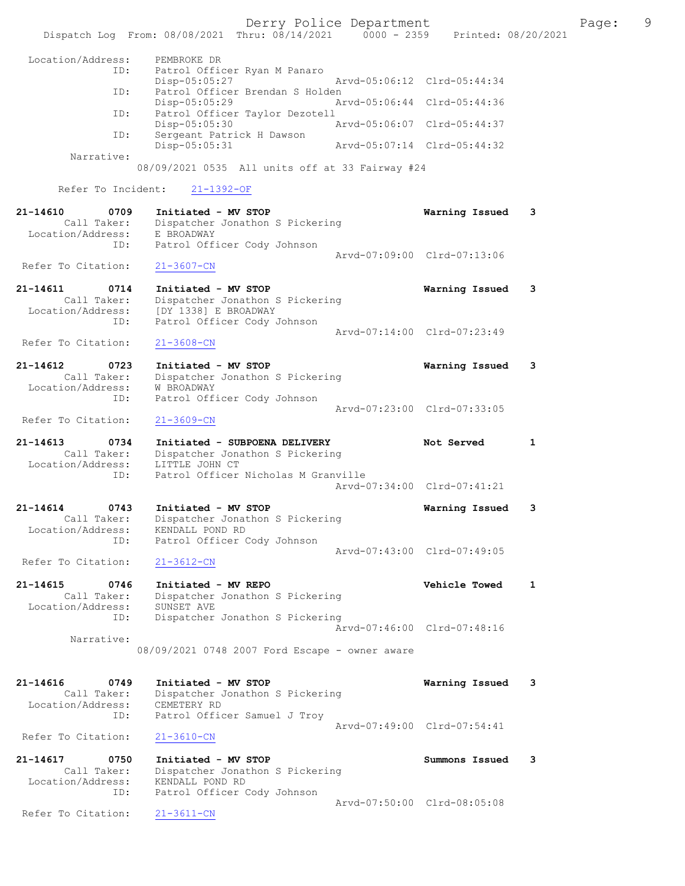Derry Police Department Fage: 9 Dispatch Log From: 08/08/2021 Thru: 08/14/2021 0000 - 2359 Printed: 08/20/2021 Location/Address: PEMBROKE DR<br>ID: Patrol Offic Patrol Officer Ryan M Panaro Disp-05:05:27 Arvd-05:06:12 Clrd-05:44:34 ID: Patrol Officer Brendan S Holden<br>Disp-05:05:29 Arvd-05:06:44 Clrd-05:44:36 Disp-05:05:29 ID: Patrol Officer Taylor Dezotell Disp-05:05:30 Arvd-05:06:07 Clrd-05:44:37 ID: Sergeant Patrick H Dawson Disp-05:05:31 Arvd-05:07:14 Clrd-05:44:32 Narrative: 08/09/2021 0535 All units off at 33 Fairway #24 Refer To Incident: 21-1392-OF 21-14610 0709 Initiated - MV STOP Warning Issued 3 Call Taker: Dispatcher Jonathon S Pickering Location/Address: E BROADWAY ID: Patrol Officer Cody Johnson Arvd-07:09:00 Clrd-07:13:06 Refer To Citation: 21-3607-CN 21-14611 0714 Initiated - MV STOP Warning Issued 3 Call Taker: Dispatcher Jonathon S Pickering Location/Address: [DY 1338] E BROADWAY ID: Patrol Officer Cody Johnson Arvd-07:14:00 Clrd-07:23:49<br>21-3608-CN Refer To Citation: 21-14612 0723 Initiated - MV STOP Warning Issued 3 Call Taker: Dispatcher Jonathon S Pickering Location/Address: W BROADWAY ID: Patrol Officer Cody Johnson Arvd-07:23:00 Clrd-07:33:05 Refer To Citation: 21-3609-CN 21-14613 0734 Initiated - SUBPOENA DELIVERY Not Served 1 Call Taker: Dispatcher Jonathon S Pickering Location/Address: LITTLE JOHN CT ID: Patrol Officer Nicholas M Granville Arvd-07:34:00 Clrd-07:41:21 21-14614 0743 Initiated - MV STOP Warning Issued 3 Call Taker: Dispatcher Jonathon S Pickering Location/Address: KENDALL POND RD ID: Patrol Officer Cody Johnson Arvd-07:43:00 Clrd-07:49:05 Refer To Citation: 21-3612-CN 21-14615 0746 Initiated - MV REPO Vehicle Towed 1 Call Taker: Dispatcher Jonathon S Pickering Location/Address: SUNSET AVE ID: Dispatcher Jonathon S Pickering Arvd-07:46:00 Clrd-07:48:16 Narrative: 08/09/2021 0748 2007 Ford Escape - owner aware 21-14616 0749 Initiated - MV STOP Warning Issued 3 Call Taker: Dispatcher Jonathon S Pickering Location/Address: CEMETERY RD ID: Patrol Officer Samuel J Troy Arvd-07:49:00 Clrd-07:54:41 Refer To Citation: 21-3610-CN 21-14617 0750 Initiated - MV STOP Summons Issued 3 Call Taker: Dispatcher Jonathon S Pickering Location/Address: KENDALL POND RD ID: Patrol Officer Cody Johnson Arvd-07:50:00 Clrd-08:05:08 Refer To Citation: 21-3611-CN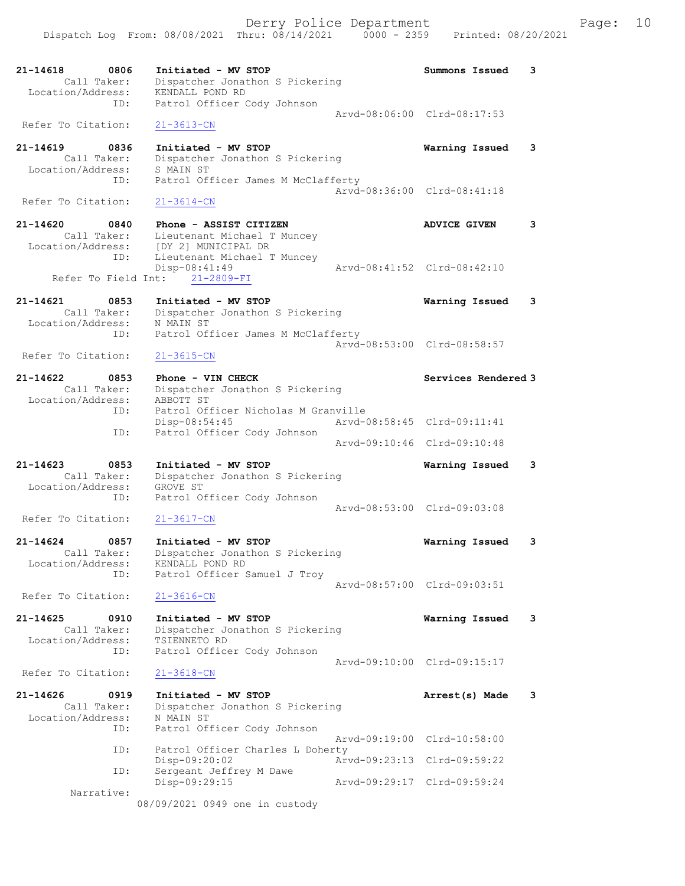21-14618 0806 Initiated - MV STOP Summons Issued 3 Call Taker: Dispatcher Jonathon S Pickering Location/Address: KENDALL POND RD ID: Patrol Officer Cody Johnson Arvd-08:06:00 Clrd-08:17:53 Refer To Citation: 21-3613-CN 21-14619 0836 Initiated - MV STOP Warning Issued 3 Call Taker: Dispatcher Jonathon S Pickering Location/Address: S MAIN ST ID: Patrol Officer James M McClafferty Arvd-08:36:00 Clrd-08:41:18 Refer To Citation: 21-3614-CN 21-14620 0840 Phone - ASSIST CITIZEN ADVICE GIVEN 3 Call Taker: Lieutenant Michael T Muncey Location/Address: [DY 2] MUNICIPAL DR ID: Lieutenant Michael T Muncey Disp-08:41:49 Arvd-08:41:52 Clrd-08:42:10 Refer To Field Int: 21-2809-FI 21-14621 0853 Initiated - MV STOP Warning Issued 3 Call Taker: Dispatcher Jonathon S Pickering Location/Address: N MAIN ST ID: Patrol Officer James M McClafferty Arvd-08:53:00 Clrd-08:58:57 Refer To Citation: 21-3615-CN 21-14622 0853 Phone - VIN CHECK Services Rendered 3 Call Taker: Dispatcher Jonathon S Pickering Location/Address: ABBOTT ST ID: Patrol Officer Nicholas M Granville Disp-08:54:45 Arvd-08:58:45 Clrd-09:11:41 ID: Patrol Officer Cody Johnson Arvd-09:10:46 Clrd-09:10:48 21-14623 0853 Initiated - MV STOP Warning Issued 3 Call Taker: Dispatcher Jonathon S Pickering Location/Address: GROVE ST ID: Patrol Officer Cody Johnson Arvd-08:53:00 Clrd-09:03:08<br>21-3617-CN Refer To Citation: 21-14624 0857 Initiated - MV STOP Warning Issued 3 Call Taker: Dispatcher Jonathon S Pickering Location/Address: KENDALL POND RD ID: Patrol Officer Samuel J Troy Arvd-08:57:00 Clrd-09:03:51 Refer To Citation: 21-3616-CN 21-14625 0910 Initiated - MV STOP Warning Issued 3 Call Taker: Dispatcher Jonathon S Pickering Location/Address: TSIENNETO RD ID: Patrol Officer Cody Johnson Arvd-09:10:00 Clrd-09:15:17 Refer To Citation: 21-3618-CN 21-14626 0919 Initiated - MV STOP Arrest(s) Made 3 Call Taker: Dispatcher Jonathon S Pickering Location/Address: N MAIN ST ID: Patrol Officer Cody Johnson Arvd-09:19:00 Clrd-10:58:00 ID: Patrol Officer Charles L Doherty Disp-09:20:02 Arvd-09:23:13 Clrd-09:59:22 ID: Sergeant Jeffrey M Dawe Disp-09:29:15 Arvd-09:29:17 Clrd-09:59:24 Narrative: 08/09/2021 0949 one in custody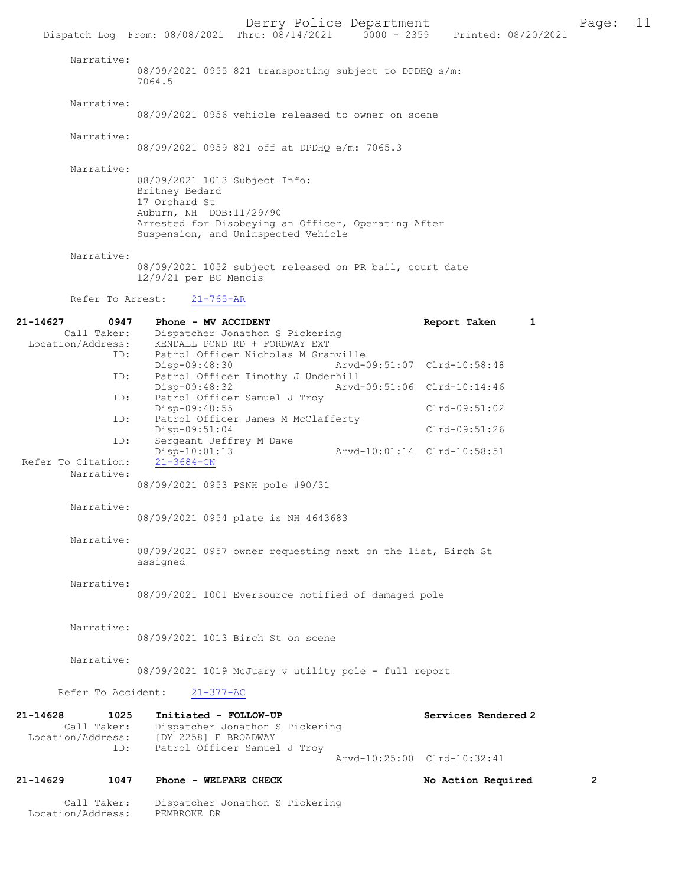Derry Police Department Page: 11 Dispatch Log From: 08/08/2021 Thru: 08/14/2021 Narrative: 08/09/2021 0955 821 transporting subject to DPDHQ s/m: 7064.5 Narrative: 08/09/2021 0956 vehicle released to owner on scene Narrative: 08/09/2021 0959 821 off at DPDHQ e/m: 7065.3 Narrative: 08/09/2021 1013 Subject Info: Britney Bedard 17 Orchard St Auburn, NH DOB:11/29/90 Arrested for Disobeying an Officer, Operating After Suspension, and Uninspected Vehicle Narrative: 08/09/2021 1052 subject released on PR bail, court date 12/9/21 per BC Mencis Refer To Arrest: 21-765-AR 21-14627 0947 Phone - MV ACCIDENT Report Taken 1 Call Taker: Dispatcher Jonathon S Pickering Location/Address: KENDALL POND RD + FORDWAY EXT ID: Patrol Officer Nicholas M Granville Disp-09:48:30 Arvd-09:51:07 Clrd-10:58:48<br>TD: Patrol Officer Timothy J Underhill Patrol Officer Timothy J Underhill<br>Disp-09:48:32 Arvd Disp-09:48:32 Arvd-09:51:06 Clrd-10:14:46 ID: Patrol Officer Samuel J Troy Disp-09:48:55 Clrd-09:51:02<br>ID: Patrol Officer James M McClafferty Patrol Officer James M McClafferty Disp-09:51:04 Clrd-09:51:26<br>ID: Sergeant Jeffrey M Dawe Sergeant Jeffrey M Dawe Disp-10:01:13 Arvd-10:01:14 Clrd-10:58:51 Refer To Citation: Narrative: 08/09/2021 0953 PSNH pole #90/31 Narrative: 08/09/2021 0954 plate is NH 4643683 Narrative: 08/09/2021 0957 owner requesting next on the list, Birch St assigned Narrative: 08/09/2021 1001 Eversource notified of damaged pole Narrative: 08/09/2021 1013 Birch St on scene Narrative: 08/09/2021 1019 McJuary v utility pole - full report Refer To Accident: 21-377-AC 21-14628 1025 Initiated - FOLLOW-UP Call Taker: Dispatcher Jonathon S Pickering Services Rendered 2 Call Taker: Dispatcher Jonathon S Pickering<br>Location/Address: [DY 2258] E BROADWAY ess: [DY 2258] E BROADWAY<br>ID: Patrol Officer Samue Patrol Officer Samuel J Troy Arvd-10:25:00 Clrd-10:32:41 21-14629 1047 Phone - WELFARE CHECK No Action Required 2 Call Taker: Dispatcher Jonathon S Pickering Location/Address: PEMBROKE DR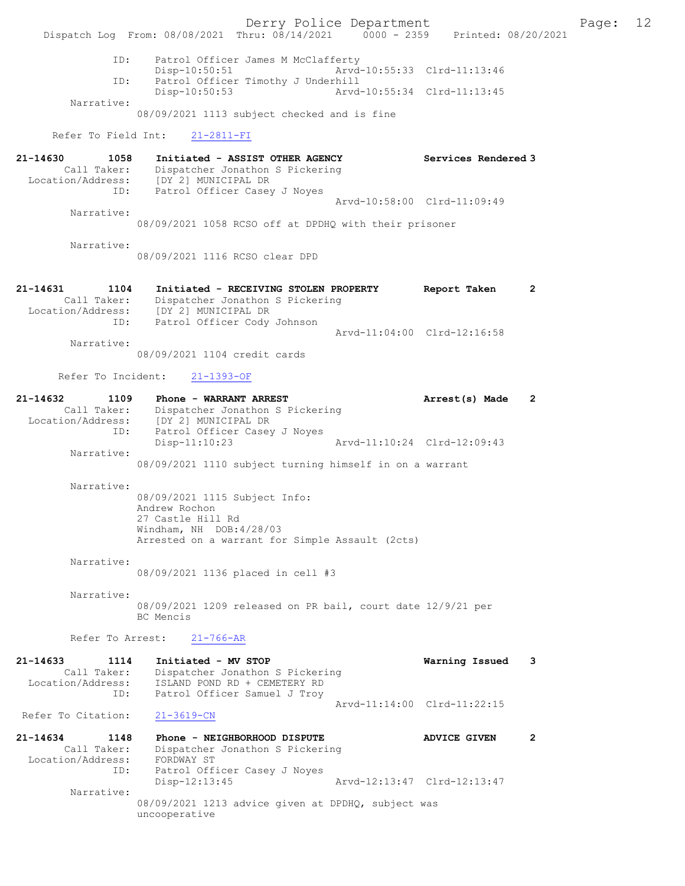Derry Police Department The Page: 12 Dispatch Log From: 08/08/2021 Thru: 08/14/2021 0000 - 2359 Printed: 08/20/2021 ID: Patrol Officer James M McClafferty Disp-10:50:51 Arvd-10:55:33 Clrd-11:13:46<br>TD: Patrol Officer Timothy J Underbill Patrol Officer Timothy J Underhill<br>Disp-10:50:53 Arvd-Arvd-10:55:34 Clrd-11:13:45 Narrative: 08/09/2021 1113 subject checked and is fine Refer To Field Int: 21-2811-FI 21-14630 1058 Initiated - ASSIST OTHER AGENCY Services Rendered 3 Call Taker: Dispatcher Jonathon S Pickering Location/Address: [DY 2] MUNICIPAL DR ID: Patrol Officer Casey J Noyes Arvd-10:58:00 Clrd-11:09:49 Narrative: 08/09/2021 1058 RCSO off at DPDHQ with their prisoner Narrative: 08/09/2021 1116 RCSO clear DPD 21-14631 1104 Initiated - RECEIVING STOLEN PROPERTY Report Taken 2 Call Taker: Dispatcher Jonathon S Pickering Location/Address: [DY 2] MUNICIPAL DR ID: Patrol Officer Cody Johnson Arvd-11:04:00 Clrd-12:16:58 Narrative: 08/09/2021 1104 credit cards Refer To Incident: 21-1393-OF 21-14632 1109 Phone - WARRANT ARREST Arrest(s) Made 2 Call Taker: Dispatcher Jonathon S Pickering Location/Address: [DY 2] MUNICIPAL DR ID: Patrol Officer Casey J Noyes Disp-11:10:23 Arvd-11:10:24 Clrd-12:09:43 Narrative: 08/09/2021 1110 subject turning himself in on a warrant Narrative: 08/09/2021 1115 Subject Info: Andrew Rochon 27 Castle Hill Rd Windham, NH DOB:4/28/03 Arrested on a warrant for Simple Assault (2cts) Narrative: 08/09/2021 1136 placed in cell #3 Narrative: 08/09/2021 1209 released on PR bail, court date 12/9/21 per BC Mencis Refer To Arrest: 21-766-AR 21-14633 1114 Initiated - MV STOP Warning Issued 3 Call Taker: Dispatcher Jonathon S Pickering Location/Address: ISLAND POND RD + CEMETERY RD ID: Patrol Officer Samuel J Troy Arvd-11:14:00 Clrd-11:22:15 Refer To Citation: 21-3619-CN 21-14634 1148 Phone - NEIGHBORHOOD DISPUTE ADVICE GIVEN 2 Call Taker: Dispatcher Jonathon S Pickering Location/Address: FORDWAY ST ID: Patrol Officer Casey J Noyes<br>Disp-12:13:45 Disp-12:13:45 Arvd-12:13:47 Clrd-12:13:47 Narrative:

08/09/2021 1213 advice given at DPDHQ, subject was uncooperative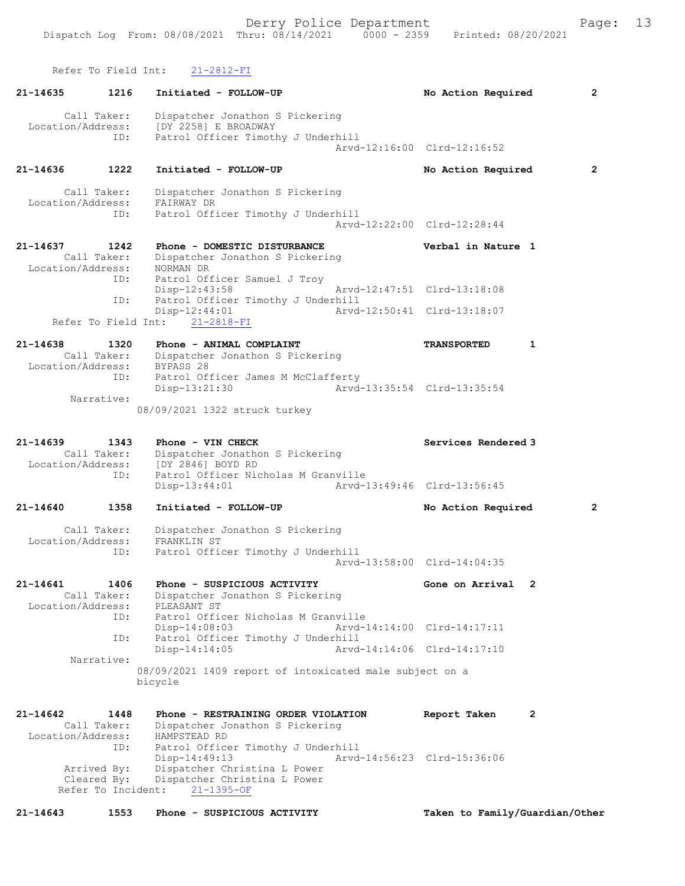Refer To Field Int: 21-2812-FI

| 21-14635                          | 1216                       | Initiated - FOLLOW-UP                                                                         | $\mathbf{2}$<br>No Action Required   |
|-----------------------------------|----------------------------|-----------------------------------------------------------------------------------------------|--------------------------------------|
| Location/Address:                 | Call Taker:<br>ID:         | Dispatcher Jonathon S Pickering<br>[DY 2258] E BROADWAY<br>Patrol Officer Timothy J Underhill | Arvd-12:16:00 Clrd-12:16:52          |
| 21-14636                          | 1222                       | Initiated - FOLLOW-UP                                                                         | $\overline{2}$<br>No Action Required |
| Location/Address:                 | Call Taker:<br>ID:         | Dispatcher Jonathon S Pickering<br>FAIRWAY DR<br>Patrol Officer Timothy J Underhill           | Arvd-12:22:00 Clrd-12:28:44          |
| 21-14637                          | 1242                       | Phone - DOMESTIC DISTURBANCE                                                                  | Verbal in Nature 1                   |
| Location/Address:                 | Call Taker:                | Dispatcher Jonathon S Pickering<br>NORMAN DR                                                  |                                      |
|                                   | ID:                        | Patrol Officer Samuel J Troy<br>$Disp-12:43:58$                                               | Arvd-12:47:51 Clrd-13:18:08          |
|                                   | ID:<br>Refer To Field Int: | Patrol Officer Timothy J Underhill<br>Disp-12:44:01<br>$21 - 2818 - FI$                       | Arvd-12:50:41 Clrd-13:18:07          |
|                                   |                            |                                                                                               |                                      |
| $21 - 14638$<br>Location/Address: | 1320<br>Call Taker:        | Phone - ANIMAL COMPLAINT<br>Dispatcher Jonathon S Pickering<br>BYPASS 28                      | <b>TRANSPORTED</b><br>1              |
|                                   | ID:                        | Patrol Officer James M McClafferty<br>Disp-13:21:30                                           | Arvd-13:35:54 Clrd-13:35:54          |
|                                   | Narrative:                 | 08/09/2021 1322 struck turkey                                                                 |                                      |
| 21-14639<br>Location/Address:     | 1343<br>Call Taker:        | Phone - VIN CHECK<br>Dispatcher Jonathon S Pickering<br>[DY 2846] BOYD RD                     | Services Rendered 3                  |
|                                   | ID:                        | Patrol Officer Nicholas M Granville<br>$Disp-13:44:01$                                        | Arvd-13:49:46 Clrd-13:56:45          |
| 21-14640                          | 1358                       | Initiated - FOLLOW-UP                                                                         | $\overline{2}$<br>No Action Required |
| Location/Address:                 | Call Taker:<br>ID:         | Dispatcher Jonathon S Pickering<br>FRANKLIN ST<br>Patrol Officer Timothy J Underhill          |                                      |
|                                   |                            |                                                                                               | Arvd-13:58:00 Clrd-14:04:35          |
| 21-14641<br>Location/Address:     | 1406<br>Call Taker:        | Phone - SUSPICIOUS ACTIVITY<br>Dispatcher Jonathon S Pickering<br>PLEASANT ST                 | Gone on Arrival<br>2                 |
|                                   | ID:                        | Patrol Officer Nicholas M Granville<br>Disp-14:08:03                                          | Arvd-14:14:00 Clrd-14:17:11          |
|                                   | ID:                        | Patrol Officer Timothy J Underhill<br>$Disp-14:14:05$                                         | Arvd-14:14:06 Clrd-14:17:10          |
|                                   | Narrative:                 | 08/09/2021 1409 report of intoxicated male subject on a<br>bicycle                            |                                      |
| 21-14642                          | 1448                       | Phone - RESTRAINING ORDER VIOLATION                                                           | 2<br>Report Taken                    |
| Location/Address:                 | Call Taker:                | Dispatcher Jonathon S Pickering<br>HAMPSTEAD RD                                               |                                      |
|                                   | ID:                        | Patrol Officer Timothy J Underhill<br>Disp-14:49:13                                           | Arvd-14:56:23 Clrd-15:36:06          |
|                                   | Arrived By:<br>Cleared By: | Dispatcher Christina L Power<br>Dispatcher Christina L Power                                  |                                      |
|                                   | Refer To Incident:         | $21 - 1395 - OF$                                                                              |                                      |
| 21-14643                          | 1553                       | Phone - SUSPICIOUS ACTIVITY                                                                   | Taken to Family/Guardian/Other       |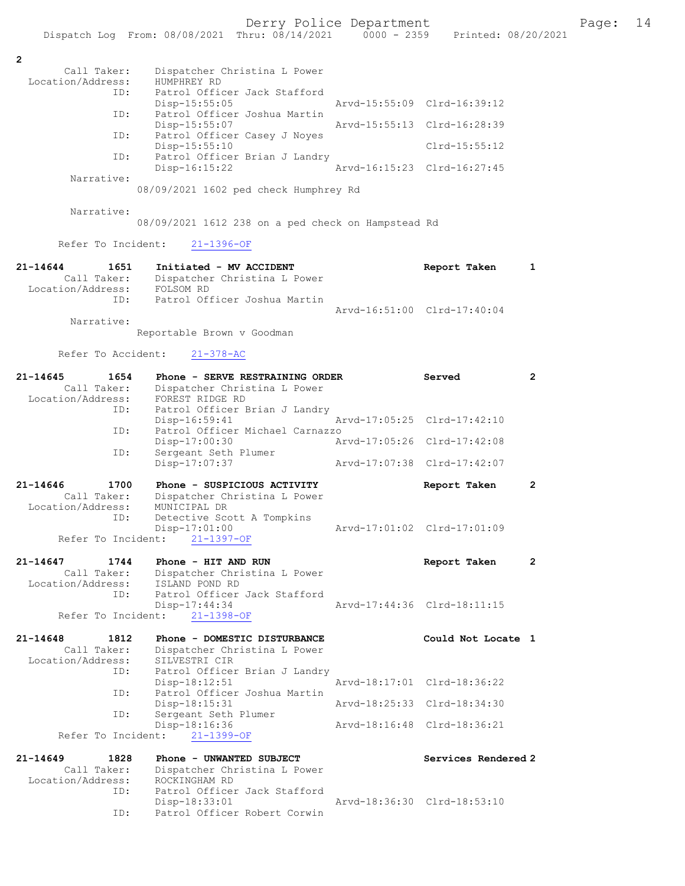|                                     | Dispatch Log From: 08/08/2021 Thru: 08/14/2021          | $0000 - 2359$ |                             | Printed: 08/20/2021 |
|-------------------------------------|---------------------------------------------------------|---------------|-----------------------------|---------------------|
|                                     |                                                         |               |                             |                     |
| $\overline{2}$                      |                                                         |               |                             |                     |
| Call Taker:<br>Location/Address:    | Dispatcher Christina L Power<br>HUMPHREY RD             |               |                             |                     |
| ID:                                 | Patrol Officer Jack Stafford                            |               |                             |                     |
|                                     | Disp-15:55:05                                           |               | Arvd-15:55:09 Clrd-16:39:12 |                     |
| ID:                                 | Patrol Officer Joshua Martin                            |               |                             |                     |
|                                     | Disp-15:55:07                                           |               | Arvd-15:55:13 Clrd-16:28:39 |                     |
| ID:                                 | Patrol Officer Casey J Noyes<br>Disp-15:55:10           |               | Clrd-15:55:12               |                     |
| ID:                                 | Patrol Officer Brian J Landry                           |               |                             |                     |
|                                     | Disp-16:15:22                                           |               | Aryd-16:15:23 Clrd-16:27:45 |                     |
| Narrative:                          |                                                         |               |                             |                     |
|                                     | 08/09/2021 1602 ped check Humphrey Rd                   |               |                             |                     |
| Narrative:                          |                                                         |               |                             |                     |
|                                     | 08/09/2021 1612 238 on a ped check on Hampstead Rd      |               |                             |                     |
|                                     |                                                         |               |                             |                     |
| Refer To Incident:                  | $21 - 1396 - OF$                                        |               |                             |                     |
|                                     |                                                         |               |                             |                     |
| $21 - 14644$<br>1651<br>Call Taker: | Initiated - MV ACCIDENT<br>Dispatcher Christina L Power |               | Report Taken                | 1                   |
| Location/Address:                   | FOLSOM RD                                               |               |                             |                     |
| ID:                                 | Patrol Officer Joshua Martin                            |               |                             |                     |
|                                     |                                                         |               | Arvd-16:51:00 Clrd-17:40:04 |                     |
| Narrative:                          |                                                         |               |                             |                     |
|                                     | Reportable Brown v Goodman                              |               |                             |                     |
| Refer To Accident:                  | $21 - 378 - AC$                                         |               |                             |                     |
|                                     |                                                         |               |                             |                     |
| 21-14645<br>1654                    | Phone - SERVE RESTRAINING ORDER                         |               | Served                      | $\overline{2}$      |
| Call Taker:                         | Dispatcher Christina L Power                            |               |                             |                     |
| Location/Address:<br>ID:            | FOREST RIDGE RD<br>Patrol Officer Brian J Landry        |               |                             |                     |
|                                     | Disp-16:59:41                                           |               | Arvd-17:05:25 Clrd-17:42:10 |                     |
| ID:                                 | Patrol Officer Michael Carnazzo                         |               |                             |                     |
|                                     | Disp-17:00:30                                           |               | Arvd-17:05:26 Clrd-17:42:08 |                     |
| ID:                                 | Sergeant Seth Plumer<br>Disp-17:07:37                   |               | Arvd-17:07:38 Clrd-17:42:07 |                     |
|                                     |                                                         |               |                             |                     |
| 21-14646<br>1700                    | Phone - SUSPICIOUS ACTIVITY                             |               | Report Taken                | $\mathbf{2}$        |
| Call Taker:                         | Dispatcher Christina L Power                            |               |                             |                     |
| Location/Address:                   | MUNICIPAL DR                                            |               |                             |                     |
| ID:                                 | Detective Scott A Tompkins<br>Disp-17:01:00             |               | Arvd-17:01:02 Clrd-17:01:09 |                     |
| Refer To Incident:                  | $21 - 1397 - OF$                                        |               |                             |                     |
|                                     |                                                         |               |                             |                     |
| 21-14647<br>1744                    | Phone - HIT AND RUN                                     |               | Report Taken                | 2                   |
| Call Taker:                         | Dispatcher Christina L Power                            |               |                             |                     |
| Location/Address:<br>ID:            | ISLAND POND RD<br>Patrol Officer Jack Stafford          |               |                             |                     |
|                                     | Disp-17:44:34                                           |               | Arvd-17:44:36 Clrd-18:11:15 |                     |
| Refer To Incident:                  | $21 - 1398 - OF$                                        |               |                             |                     |
|                                     |                                                         |               |                             |                     |
| $21 - 14648$<br>1812                | Phone - DOMESTIC DISTURBANCE                            |               | Could Not Locate 1          |                     |
| Call Taker:<br>Location/Address:    | Dispatcher Christina L Power<br>SILVESTRI CIR           |               |                             |                     |
| ID:                                 | Patrol Officer Brian J Landry                           |               |                             |                     |
|                                     | $Disp-18:12:51$                                         |               | Arvd-18:17:01 Clrd-18:36:22 |                     |
| ID:                                 | Patrol Officer Joshua Martin                            |               |                             |                     |
| ID:                                 | Disp-18:15:31<br>Sergeant Seth Plumer                   |               | Arvd-18:25:33 Clrd-18:34:30 |                     |
|                                     | Disp-18:16:36                                           |               | Arvd-18:16:48 Clrd-18:36:21 |                     |
| Refer To Incident:                  | $21 - 1399 - OF$                                        |               |                             |                     |
|                                     |                                                         |               |                             |                     |
| $21 - 14649$<br>1828                | Phone - UNWANTED SUBJECT                                |               | Services Rendered 2         |                     |
| Call Taker:<br>Location/Address:    | Dispatcher Christina L Power<br>ROCKINGHAM RD           |               |                             |                     |
| ID:                                 | Patrol Officer Jack Stafford                            |               |                             |                     |
|                                     | $Disp-18:33:01$                                         |               | Arvd-18:36:30 Clrd-18:53:10 |                     |

ID: Patrol Officer Robert Corwin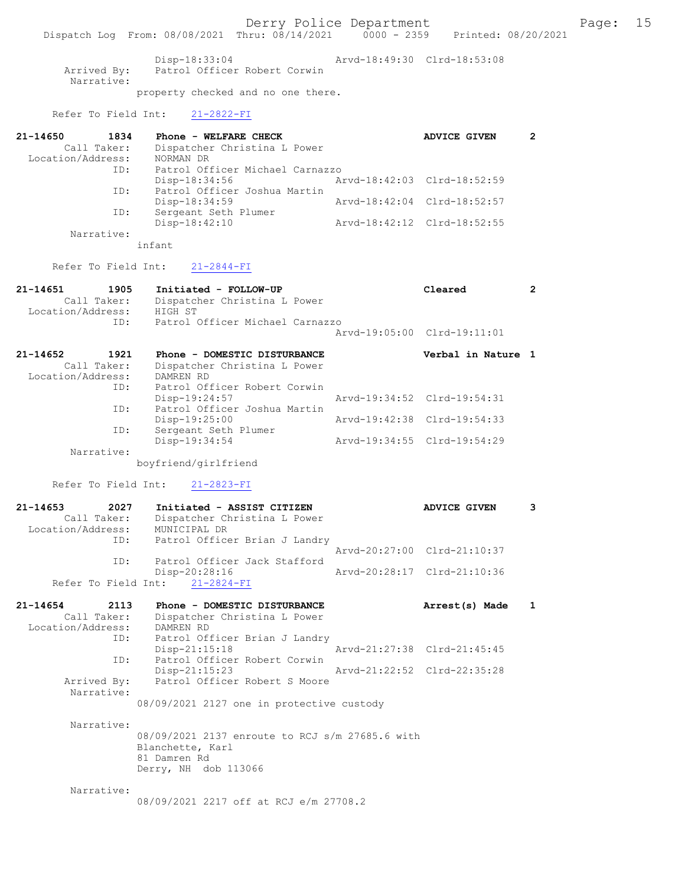Derry Police Department Fage: 15

Dispatch Log From: 08/08/2021 Thru: 08/14/2021 0000 - 2359 Printed: 08/20/2021

 Disp-18:33:04 Arvd-18:49:30 Clrd-18:53:08 Arrived By: Patrol Officer Robert Corwin Narrative: property checked and no one there.

Refer To Field Int: 21-2822-FI

| 21-14650<br>1834  | Phone - WELFARE CHECK                        | ADVICE GIVEN |  |
|-------------------|----------------------------------------------|--------------|--|
| Call Taker:       | Dispatcher Christina L Power                 |              |  |
| Location/Address: | NORMAN DR                                    |              |  |
| ID:               | Patrol Officer Michael Carnazzo              |              |  |
|                   | Arvd-18:42:03 Clrd-18:52:59<br>Disp-18:34:56 |              |  |
| ID:               | Patrol Officer Joshua Martin                 |              |  |
|                   | Arvd-18:42:04 Clrd-18:52:57<br>Disp-18:34:59 |              |  |
| ID:               | Sergeant Seth Plumer                         |              |  |
|                   | Disp-18:42:10<br>Arvd-18:42:12 Clrd-18:52:55 |              |  |
| Narrative:        |                                              |              |  |

infant

Refer To Field Int: 21-2844-FI

| 21-14651<br>1905<br>Call Taker:<br>Location/Address: HIGH ST | Initiated - FOLLOW-UP<br>Dispatcher Christina L Power<br>ID: Patrol Officer Michael Carnazzo | Cleared<br>Arvd-19:05:00 Clrd-19:11:01 |  |
|--------------------------------------------------------------|----------------------------------------------------------------------------------------------|----------------------------------------|--|
| 21-14652<br>1921<br>Call Taker:<br>Location/Address:         | Phone - DOMESTIC DISTURBANCE<br>Dispatcher Christina L Power<br>DAMREN RD                    | Verbal in Nature 1                     |  |
| ID:                                                          | Patrol Officer Robert Corwin<br>Disp-19:24:57                                                | Arvd-19:34:52 Clrd-19:54:31            |  |
| ID:                                                          | Patrol Officer Joshua Martin<br>Disp-19:25:00                                                | Arvd-19:42:38 Clrd-19:54:33            |  |
| ID:<br>Narrative:                                            | Sergeant Seth Plumer<br>Disp-19:34:54                                                        | Arvd-19:34:55 Clrd-19:54:29            |  |

boyfriend/girlfriend

Refer To Field Int: 21-2823-FI

| $21 - 14653$      | 2027        | Initiated - ASSIST CITIZEN     | <b>ADVICE GIVEN</b>         |  |
|-------------------|-------------|--------------------------------|-----------------------------|--|
|                   | Call Taker: | Dispatcher Christina L Power   |                             |  |
| Location/Address: |             | MUNICIPAL DR                   |                             |  |
|                   | ID:         | Patrol Officer Brian J Landry  |                             |  |
|                   |             |                                | Arvd-20:27:00 Clrd-21:10:37 |  |
|                   | ID:         | Patrol Officer Jack Stafford   |                             |  |
|                   |             | Disp-20:28:16                  | Arvd-20:28:17 Clrd-21:10:36 |  |
|                   |             | Refer To Field Int: 21-2824-FI |                             |  |
|                   |             |                                |                             |  |

| $21 - 14654$      | 2113        | Phone - DOMESTIC DISTURBANCE              |                             | Arrest(s) Made | $\mathbf{1}$ |
|-------------------|-------------|-------------------------------------------|-----------------------------|----------------|--------------|
|                   | Call Taker: | Dispatcher Christina L Power              |                             |                |              |
| Location/Address: |             | DAMREN RD                                 |                             |                |              |
|                   | ID:         | Patrol Officer Brian J Landry             |                             |                |              |
|                   |             | $Disp-21:15:18$                           | Arvd-21:27:38 Clrd-21:45:45 |                |              |
|                   | ID:         | Patrol Officer Robert Corwin              |                             |                |              |
|                   |             | $Disp-21:15:23$                           | Arvd-21:22:52 Clrd-22:35:28 |                |              |
|                   | Arrived By: | Patrol Officer Robert S Moore             |                             |                |              |
|                   | Narrative:  |                                           |                             |                |              |
|                   |             | 08/09/2021 2127 one in protective custody |                             |                |              |
|                   |             |                                           |                             |                |              |

 Narrative: 08/09/2021 2137 enroute to RCJ s/m 27685.6 with Blanchette, Karl 81 Damren Rd Derry, NH dob 113066

Narrative:

08/09/2021 2217 off at RCJ e/m 27708.2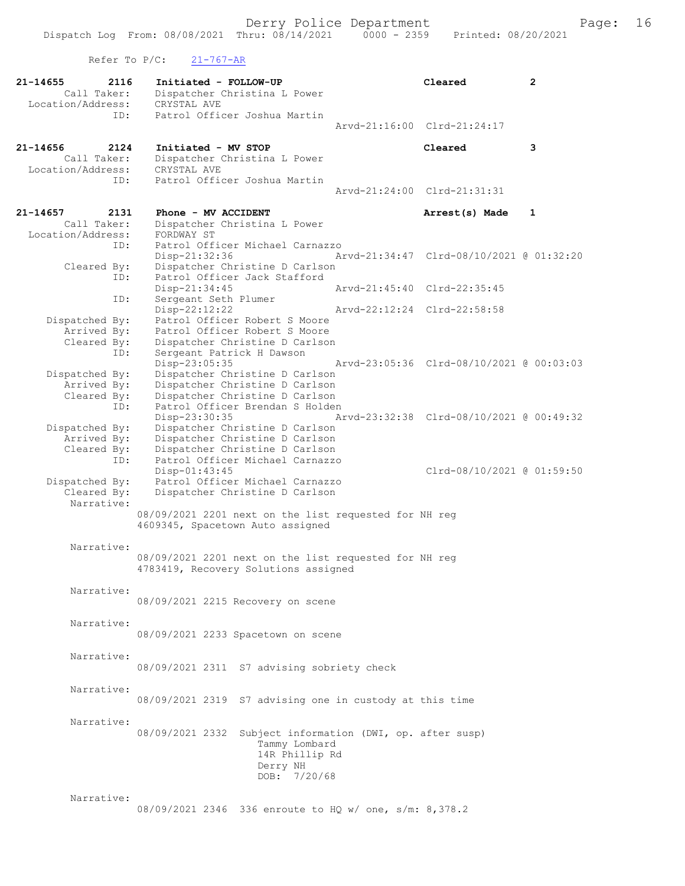Refer To  $P/C$ :  $21-767-AR$ 

| $21 - 14655$<br>2116<br>Call Taker:                         | Initiated - FOLLOW-UP<br>Dispatcher Christina L Power<br>CRYSTAL AVE                               | Cleared                                  | $\overline{2}$ |
|-------------------------------------------------------------|----------------------------------------------------------------------------------------------------|------------------------------------------|----------------|
| Location/Address:<br>ID:                                    | Patrol Officer Joshua Martin                                                                       |                                          |                |
|                                                             |                                                                                                    | Arvd-21:16:00 Clrd-21:24:17              |                |
| 21-14656<br>2124<br>Call Taker:<br>Location/Address:<br>ID: | Initiated - MV STOP<br>Dispatcher Christina L Power<br>CRYSTAL AVE<br>Patrol Officer Joshua Martin | Cleared                                  | 3              |
|                                                             |                                                                                                    | Arvd-21:24:00 Clrd-21:31:31              |                |
| 21-14657<br>2131                                            | Phone - MV ACCIDENT                                                                                | Arrest(s) Made                           | $\mathbf{1}$   |
| Call Taker:                                                 | Dispatcher Christina L Power                                                                       |                                          |                |
| Location/Address:<br>ID:                                    | FORDWAY ST<br>Patrol Officer Michael Carnazzo                                                      |                                          |                |
|                                                             | Disp-21:32:36                                                                                      | Arvd-21:34:47 Clrd-08/10/2021 @ 01:32:20 |                |
| Cleared By:                                                 | Dispatcher Christine D Carlson                                                                     |                                          |                |
| ID:                                                         | Patrol Officer Jack Stafford<br>Disp-21:34:45                                                      | Arvd-21:45:40 Clrd-22:35:45              |                |
| ID:                                                         | Sergeant Seth Plumer                                                                               |                                          |                |
|                                                             | Disp-22:12:22                                                                                      | Arvd-22:12:24 Clrd-22:58:58              |                |
| Dispatched By:                                              | Patrol Officer Robert S Moore                                                                      |                                          |                |
| Arrived By:<br>Cleared By:                                  | Patrol Officer Robert S Moore<br>Dispatcher Christine D Carlson                                    |                                          |                |
| ID:                                                         | Sergeant Patrick H Dawson                                                                          |                                          |                |
|                                                             | Disp-23:05:35                                                                                      | Arvd-23:05:36 Clrd-08/10/2021 @ 00:03:03 |                |
| Dispatched By:                                              | Dispatcher Christine D Carlson                                                                     |                                          |                |
| Arrived By:<br>Cleared By:                                  | Dispatcher Christine D Carlson<br>Dispatcher Christine D Carlson                                   |                                          |                |
| ID:                                                         | Patrol Officer Brendan S Holden                                                                    |                                          |                |
|                                                             | Disp-23:30:35                                                                                      | Arvd-23:32:38 Clrd-08/10/2021 @ 00:49:32 |                |
| Dispatched By:<br>Arrived By:                               | Dispatcher Christine D Carlson<br>Dispatcher Christine D Carlson                                   |                                          |                |
| Cleared By:                                                 | Dispatcher Christine D Carlson                                                                     |                                          |                |
| ID:                                                         | Patrol Officer Michael Carnazzo                                                                    |                                          |                |
|                                                             | Disp-01:43:45                                                                                      | Clrd-08/10/2021 @ 01:59:50               |                |
| Dispatched By:<br>Cleared By:                               | Patrol Officer Michael Carnazzo<br>Dispatcher Christine D Carlson                                  |                                          |                |
| Narrative:                                                  |                                                                                                    |                                          |                |
|                                                             | 08/09/2021 2201 next on the list requested for NH reg                                              |                                          |                |
|                                                             | 4609345, Spacetown Auto assigned                                                                   |                                          |                |
| Narrative:                                                  |                                                                                                    |                                          |                |
|                                                             | 08/09/2021 2201 next on the list requested for NH reg                                              |                                          |                |
|                                                             | 4783419, Recovery Solutions assigned                                                               |                                          |                |
| Narrative:                                                  |                                                                                                    |                                          |                |
|                                                             | 08/09/2021 2215 Recovery on scene                                                                  |                                          |                |
|                                                             |                                                                                                    |                                          |                |
| Narrative:                                                  |                                                                                                    |                                          |                |
|                                                             | 08/09/2021 2233 Spacetown on scene                                                                 |                                          |                |
| Narrative:                                                  |                                                                                                    |                                          |                |
|                                                             | 08/09/2021 2311 S7 advising sobriety check                                                         |                                          |                |
|                                                             |                                                                                                    |                                          |                |
| Narrative:                                                  |                                                                                                    |                                          |                |
|                                                             | 08/09/2021 2319 S7 advising one in custody at this time                                            |                                          |                |
| Narrative:                                                  |                                                                                                    |                                          |                |
|                                                             | 08/09/2021 2332<br>Subject information (DWI, op. after susp)                                       |                                          |                |
|                                                             | Tammy Lombard                                                                                      |                                          |                |
|                                                             | 14R Phillip Rd<br>Derry NH                                                                         |                                          |                |
|                                                             | DOB: 7/20/68                                                                                       |                                          |                |
|                                                             |                                                                                                    |                                          |                |
| Narrative:                                                  |                                                                                                    |                                          |                |
|                                                             | 08/09/2021 2346 336 enroute to HQ w/ one, s/m: 8,378.2                                             |                                          |                |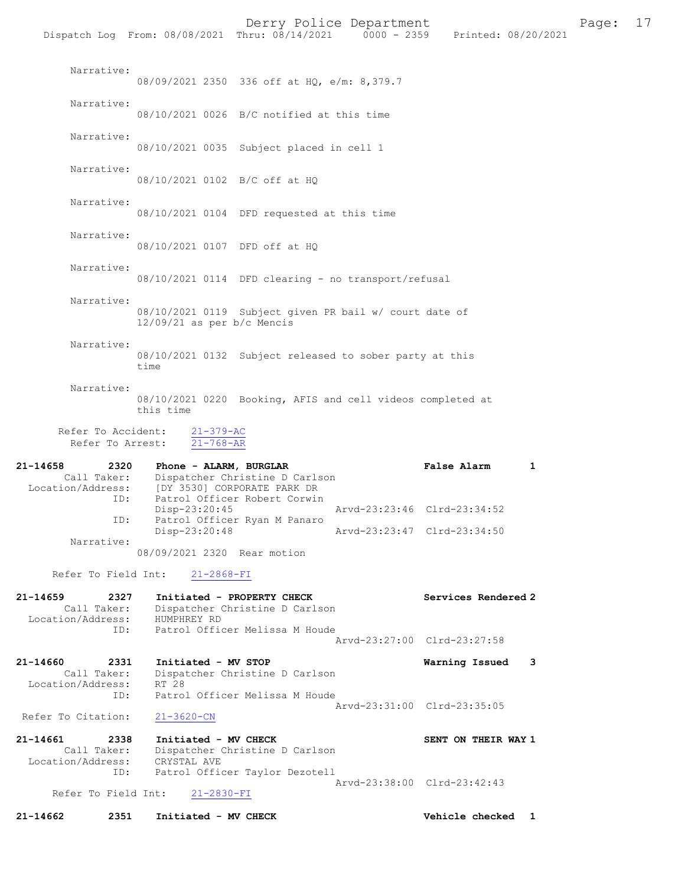Derry Police Department Fage: 17 Dispatch Log From: 08/08/2021 Thru: 08/14/2021 0000 - 2359 Printed: 08/20/2021 Narrative: 08/09/2021 2350 336 off at HQ, e/m: 8,379.7 Narrative: 08/10/2021 0026 B/C notified at this time Narrative: 08/10/2021 0035 Subject placed in cell 1 Narrative: 08/10/2021 0102 B/C off at HQ Narrative: 08/10/2021 0104 DFD requested at this time Narrative: 08/10/2021 0107 DFD off at HQ Narrative: 08/10/2021 0114 DFD clearing - no transport/refusal Narrative: 08/10/2021 0119 Subject given PR bail w/ court date of 12/09/21 as per b/c Mencis Narrative: 08/10/2021 0132 Subject released to sober party at this time Narrative: 08/10/2021 0220 Booking, AFIS and cell videos completed at this time Refer To Accident: 21-379-AC Refer To Arrest:  $\overline{21-768-AR}$ 21-14658 2320 Phone - ALARM, BURGLAR False Alarm 1 Call Taker: Dispatcher Christine D Carlson Location/Address: [DY 3530] CORPORATE PARK DR ID: Patrol Officer Robert Corwin<br>Disp-23:20:45 Disp-23:20:45 Arvd-23:23:46 Clrd-23:34:52<br>
D. Patrol Officer Ryan M Panaro<br>
Disp-23:20:48 Arvd-23:23:47 Clrd-23:34:50 Patrol Officer Ryan M Panaro Disp-23:20:48 Arvd-23:23:47 Clrd-23:34:50 Narrative: 08/09/2021 2320 Rear motion Refer To Field Int: 21-2868-FI 21-14659 2327 Initiated - PROPERTY CHECK Services Rendered 2 Call Taker: Dispatcher Christine D Carlson Location/Address: HUMPHREY RD ID: Patrol Officer Melissa M Houde Arvd-23:27:00 Clrd-23:27:58 21-14660 2331 Initiated - MV STOP Warning Issued 3 Call Taker: Dispatcher Christine D Carlson Location/Address: RT 28 ID: Patrol Officer Melissa M Houde Arvd-23:31:00 Clrd-23:35:05<br>21-3620-CN Refer To Citation: 21-14661 2338 Initiated - MV CHECK SENT ON THEIR WAY 1<br>Call Taker: Dispatcher Christine D Carlson Dispatcher Christine D Carlson<br>CRYSTAL AVE Location/Address:<br>ID: Patrol Officer Taylor Dezotell Arvd-23:38:00 Clrd-23:42:43<br>21-2830-FI Arvd-23:38:00 Clrd-23:42:43 Refer To Field Int:

21-14662 2351 Initiated - MV CHECK Vehicle checked 1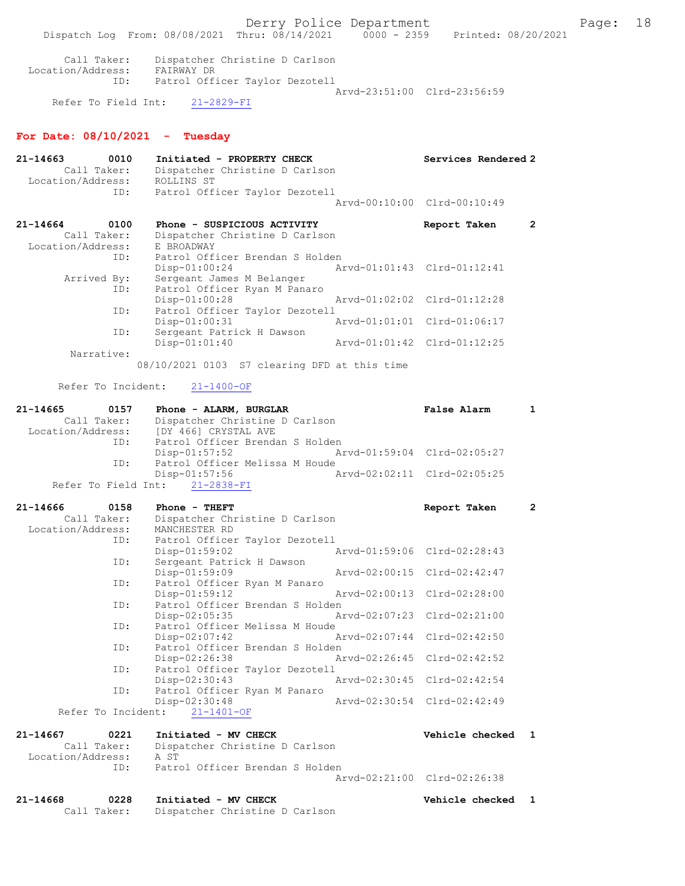Call Taker: Dispatcher Christine D Carlson Location/Address: FAIRWAY DR ID: Patrol Officer Taylor Dezotell Arvd-23:51:00 Clrd-23:56:59

Refer To Field Int: 21-2829-FI

## For Date: 08/10/2021 - Tuesday

| 21-14663          | 0010                | Initiated - PROPERTY CHECK                                       | Services Rendered 2                  |
|-------------------|---------------------|------------------------------------------------------------------|--------------------------------------|
|                   | Call Taker:         | Dispatcher Christine D Carlson                                   |                                      |
| Location/Address: |                     | ROLLINS ST                                                       |                                      |
|                   | ID:                 | Patrol Officer Taylor Dezotell                                   |                                      |
|                   |                     |                                                                  | Arvd-00:10:00 Clrd-00:10:49          |
| 21-14664          | 0100                | Phone - SUSPICIOUS ACTIVITY                                      | Report Taken<br>$\mathbf{2}^{\circ}$ |
|                   | Call Taker:         | Dispatcher Christine D Carlson                                   |                                      |
| Location/Address: |                     | E BROADWAY                                                       |                                      |
|                   | ID:                 | Patrol Officer Brendan S Holden                                  |                                      |
|                   |                     | $Disp-01:00:24$                                                  | Arvd-01:01:43 Clrd-01:12:41          |
|                   | Arrived By:         | Sergeant James M Belanger                                        |                                      |
|                   | ID:                 | Patrol Officer Ryan M Panaro                                     |                                      |
|                   | ID:                 | $Disp-01:00:28$                                                  | Arvd-01:02:02 Clrd-01:12:28          |
|                   |                     | Patrol Officer Taylor Dezotell<br>Disp-01:00:31<br>Arvd-01:01:01 | Clrd-01:06:17                        |
|                   | ID:                 | Sergeant Patrick H Dawson                                        |                                      |
|                   |                     | Disp-01:01:40                                                    | Arvd-01:01:42<br>$Clrd-01:12:25$     |
|                   | Narrative:          |                                                                  |                                      |
|                   |                     | 08/10/2021 0103 S7 clearing DFD at this time                     |                                      |
|                   |                     |                                                                  |                                      |
|                   | Refer To Incident:  | $21 - 1400 - OF$                                                 |                                      |
| 21-14665          | 0157                |                                                                  | <b>False Alarm</b><br>1              |
|                   | Call Taker:         | Phone - ALARM, BURGLAR<br>Dispatcher Christine D Carlson         |                                      |
| Location/Address: |                     | [DY 466] CRYSTAL AVE                                             |                                      |
|                   | ID:                 | Patrol Officer Brendan S Holden                                  |                                      |
|                   |                     | $Disp-01:57:52$                                                  | Arvd-01:59:04 Clrd-02:05:27          |
|                   | ID:                 | Patrol Officer Melissa M Houde                                   |                                      |
|                   |                     | Disp-01:57:56                                                    | Arvd-02:02:11 Clrd-02:05:25          |
|                   | Refer To Field Int: | $21 - 2838 - FI$                                                 |                                      |
|                   |                     |                                                                  |                                      |
| 21-14666          | 0158<br>Call Taker: | Phone - THEFT<br>Dispatcher Christine D Carlson                  | $\overline{2}$<br>Report Taken       |
| Location/Address: |                     | MANCHESTER RD                                                    |                                      |
|                   | ID:                 | Patrol Officer Taylor Dezotell                                   |                                      |
|                   |                     | Disp-01:59:02                                                    | Arvd-01:59:06<br>Clrd-02:28:43       |
|                   | ID:                 | Sergeant Patrick H Dawson                                        |                                      |
|                   |                     | $Disp-01:59:09$<br>Arvd-02:00:15                                 | $Clrd-02:42:47$                      |
|                   | ID:                 | Patrol Officer Ryan M Panaro                                     |                                      |
|                   |                     | Arvd-02:00:13<br>$Disp-01:59:12$                                 | $Clrd-02:28:00$                      |
|                   | ID:                 | Patrol Officer Brendan S Holden                                  |                                      |
|                   | ID:                 | Disp-02:05:35<br>Arvd-02:07:23<br>Patrol Officer Melissa M Houde | $Clrd-02:21:00$                      |
|                   |                     | Disp-02:07:42<br>Arvd-02:07:44                                   | $Clrd-02:42:50$                      |
|                   | ID:                 | Patrol Officer Brendan S Holden                                  |                                      |
|                   |                     | Disp-02:26:38<br>Arvd-02:26:45                                   | $Clrd-02:42:52$                      |
|                   | ID:                 | Patrol Officer Taylor Dezotell                                   |                                      |
|                   |                     | $Disp-02:30:43$                                                  | Arvd-02:30:45 Clrd-02:42:54          |
|                   | ID:                 | Patrol Officer Ryan M Panaro                                     |                                      |
|                   |                     | Disp-02:30:48                                                    | Arvd-02:30:54 Clrd-02:42:49          |
|                   | Refer To Incident:  | $21 - 1401 - OF$                                                 |                                      |
| 21-14667          | 0221                | Initiated - MV CHECK                                             | Vehicle checked<br>$\mathbf{1}$      |
|                   | Call Taker:         | Dispatcher Christine D Carlson                                   |                                      |
| Location/Address: |                     | A ST                                                             |                                      |
|                   | ID:                 | Patrol Officer Brendan S Holden                                  |                                      |
|                   |                     |                                                                  | Arvd-02:21:00 Clrd-02:26:38          |
|                   |                     |                                                                  |                                      |
| 21-14668          | 0228                | Initiated - MV CHECK                                             | Vehicle checked<br>$\mathbf{1}$      |

Call Taker: Dispatcher Christine D Carlson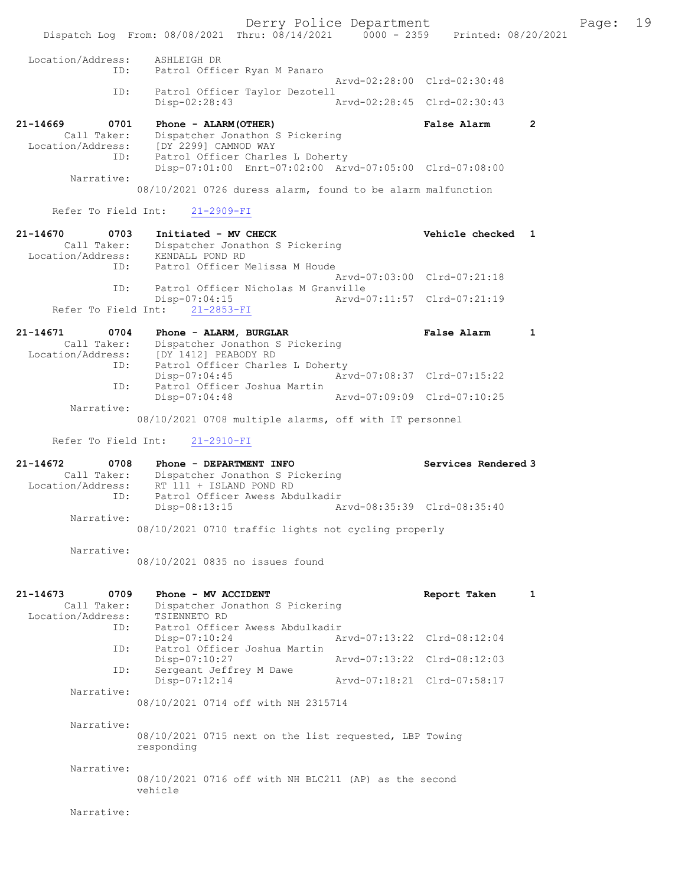Dispatch Log From: 08/08/2021 Thru: 08/14/2021 0000 - 2359 Printed: 08/20/2021 Location/Address: ASHLEIGH DR ID: Patrol Officer Ryan M Panaro Arvd-02:28:00 Clrd-02:30:48<br>TD: Patrol Officer Taylor Dezotell Patrol Officer Taylor Dezotell<br>Disp-02:28:43 Disp-02:28:43 Arvd-02:28:45 Clrd-02:30:43 21-14669 0701 Phone - ALARM(OTHER) False Alarm 2 Call Taker: Dispatcher Jonathon S Pickering Location/Address: [DY 2299] CAMNOD WAY ID: Patrol Officer Charles L Doherty Disp-07:01:00 Enrt-07:02:00 Arvd-07:05:00 Clrd-07:08:00 Narrative: 08/10/2021 0726 duress alarm, found to be alarm malfunction Refer To Field Int: 21-2909-FI 21-14670 0703 Initiated - MV CHECK Vehicle checked 1 Call Taker: Dispatcher Jonathon S Pickering Location/Address: KENDALL POND RD ID: Patrol Officer Melissa M Houde Arvd-07:03:00 Clrd-07:21:18<br>The Patrol Officer Nicholas M Granville Patrol Officer Nicholas M Granville<br>Disp-07:04:15 Arvd-0 Disp-07:04:15 Arvd-07:11:57 Clrd-07:21:19 Refer To Field Int: 21-2853-FI 21-14671 0704 Phone - ALARM, BURGLAR False Alarm 1 Call Taker: Dispatcher Jonathon S Pickering<br>Location/Address: [DY 1412] PEABODY RD Location/Address: [DY 1412] PEABODY RD ID: Patrol Officer Charles L Doherty Disp-07:04:45 Arvd-07:08:37 Clrd-07:15:22<br>TD: Patrol Officer Joshua Martin Patrol Officer Joshua Martin<br>Disp-07:04:48 Disp-07:04:48 Arvd-07:09:09 Clrd-07:10:25 Narrative: 08/10/2021 0708 multiple alarms, off with IT personnel Refer To Field Int: 21-2910-FI 21-14672 0708 Phone - DEPARTMENT INFO Services Rendered 3 Call Taker: Dispatcher Jonathon S Pickering<br>Location/Address: RT 111 + ISLAND POND RD ess: RT 111 + ISLAND POND RD<br>ID: Patrol Officer Awess Abd Patrol Officer Awess Abdulkadir<br>Disp-08:13:15 A Disp-08:13:15 Arvd-08:35:39 Clrd-08:35:40 Narrative: 08/10/2021 0710 traffic lights not cycling properly Narrative: 08/10/2021 0835 no issues found 21-14673 0709 Phone - MV ACCIDENT CONSUMERT Report Taken 1 Call Taker: Dispatcher Jonathon S Pickering<br>ion/Address: TSIENNETO RD Location/Address:<br>ID: Patrol Officer Awess Abdulkadir<br>Disp-07:10:24 A Disp-07:10:24 Arvd-07:13:22 Clrd-08:12:04 ID: Patrol Officer Joshua Martin Disp-07:10:27 <br>D: Sergeant Jeffrey M Dawe <br>D: Sergeant Jeffrey M Dawe Sergeant Jeffrey M Dawe<br>Disp-07:12:14 Arvd-07:18:21 Clrd-07:58:17 Narrative: 08/10/2021 0714 off with NH 2315714 Narrative: 08/10/2021 0715 next on the list requested, LBP Towing responding Narrative: 08/10/2021 0716 off with NH BLC211 (AP) as the second vehicle Narrative:

Derry Police Department The Page: 19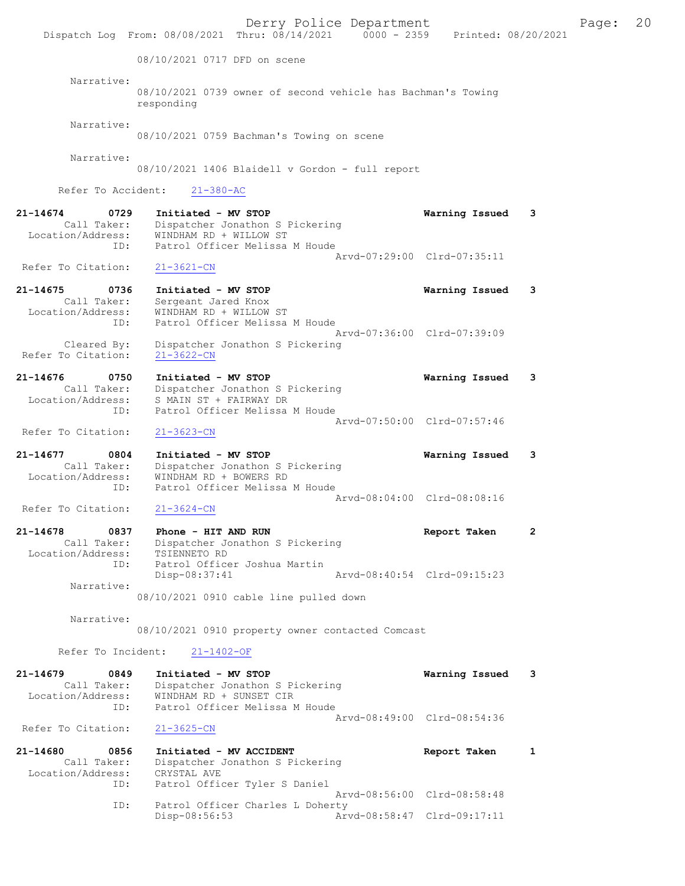Derry Police Department The Page: 20 Dispatch Log From: 08/08/2021 Thru: 08/14/2021 0000 - 2359 Printed: 08/20/2021 08/10/2021 0717 DFD on scene Narrative: 08/10/2021 0739 owner of second vehicle has Bachman's Towing responding Narrative: 08/10/2021 0759 Bachman's Towing on scene Narrative: 08/10/2021 1406 Blaidell v Gordon - full report Refer To Accident: 21-380-AC 21-14674 0729 Initiated - MV STOP Warning Issued 3 Call Taker: Dispatcher Jonathon S Pickering Location/Address: WINDHAM RD + WILLOW ST ID: Patrol Officer Melissa M Houde Arvd-07:29:00 Clrd-07:35:11<br>21-3621-CN Refer To Citation: 21-14675 0736 Initiated - MV STOP Warning Issued 3 Call Taker: Sergeant Jared Knox Location/Address: WINDHAM RD + WILLOW ST ess: Miniman Party Constants and Houde Arvd-07:36:00 Clrd-07:39:09 Cleared By: Dispatcher Jonathon S Pickering Refer To Citation: 21-3622-CN 21-14676 0750 Initiated - MV STOP Warning Issued 3 Call Taker: Dispatcher Jonathon S Pickering Location/Address: S MAIN ST + FAIRWAY DR ID: Patrol Officer Melissa M Houde Arvd-07:50:00 Clrd-07:57:46 Refer To Citation: 21-3623-CN 21-14677 0804 Initiated - MV STOP Warning Issued 3 Call Taker: Dispatcher Jonathon S Pickering Location/Address: WINDHAM RD + BOWERS RD ID: Patrol Officer Melissa M Houde Arvd-08:04:00 Clrd-08:08:16 Refer To Citation: 21-14678 0837 Phone - HIT AND RUN Report Taken 2 Call Taker: Dispatcher Jonathon S Pickering -14678<br>Call Taker: Dispacence<br>Location/Address: TSIENNETO RD<br>ID: Patrol Office Patrol Officer Joshua Martin<br>Disp-08:37:41 Disp-08:37:41 Arvd-08:40:54 Clrd-09:15:23 Narrative: 08/10/2021 0910 cable line pulled down Narrative: 08/10/2021 0910 property owner contacted Comcast Refer To Incident: 21-1402-OF 21-14679 0849 Initiated - MV STOP Warning Issued 3 Call Taker: Dispatcher Jonathon S Pickering Location/Address: WINDHAM RD + SUNSET CIR ID: Patrol Officer Melissa M Houde Arvd-08:49:00 Clrd-08:54:36<br>21-3625-CN Refer To Citation: 21-14680 0856 Initiated - MV ACCIDENT CONTRESS Report Taken 1 Call Taker: Dispatcher Jonathon S Pickering Location/Address: CRYSTAL AVE ID: Patrol Officer Tyler S Daniel Arvd-08:56:00 Clrd-08:58:48 ID: Patrol Officer Charles L Doherty<br>Disp-08:56:53 Art Disp-08:56:53 Arvd-08:58:47 Clrd-09:17:11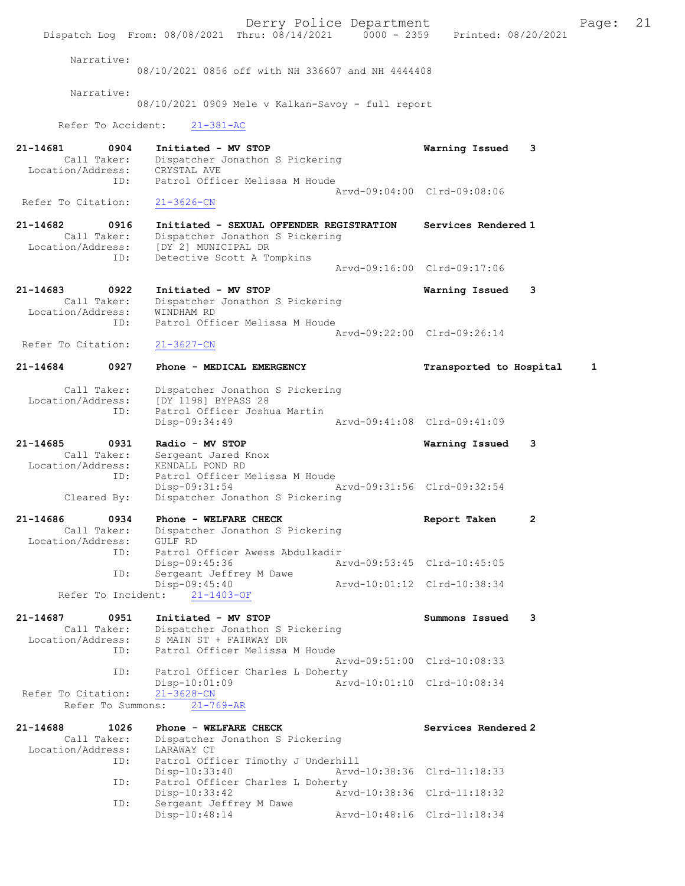Derry Police Department The Page: 21 Dispatch Log From: 08/08/2021 Thru: 08/14/2021 0000 - 2359 Printed: 08/20/2021 Narrative: 08/10/2021 0856 off with NH 336607 and NH 4444408 Narrative: 08/10/2021 0909 Mele v Kalkan-Savoy - full report Refer To Accident: 21-381-AC 21-14681 0904 Initiated - MV STOP Warning Issued 3 Call Taker: Dispatcher Jonathon S Pickering Location/Address: CRYSTAL AVE ID: Patrol Officer Melissa M Houde Arvd-09:04:00 Clrd-09:08:06<br>21-3626-CN Refer To Citation: 21-14682 0916 Initiated - SEXUAL OFFENDER REGISTRATION Services Rendered 1 Call Taker: Dispatcher Jonathon S Pickering Location/Address: [DY 2] MUNICIPAL DR<br>ID: Detective Scott A To Detective Scott A Tompkins Arvd-09:16:00 Clrd-09:17:06 21-14683 0922 Initiated - MV STOP Warning Issued 3<br>Call Taker: Dispatcher Jonathon S Pickering Dispatcher Jonathon S Pickering<br>WINDHAM RD Location/Address:<br>ID: Patrol Officer Melissa M Houde Arvd-09:22:00 Clrd-09:26:14<br>21-3627-CN Refer To Citation: 21-14684 0927 Phone - MEDICAL EMERGENCY Transported to Hospital 1 Call Taker: Dispatcher Jonathon S Pickering Location/Address: [DY 1198] BYPASS 28 ID: Patrol Officer Joshua Martin Disp-09:34:49 Arvd-09:41:08 Clrd-09:41:09 21-14685 0931 Radio - MV STOP Warning Issued 3 Call Taker: Sergeant Jared Knox Location/Address: KENDALL POND RD ID: Patrol Officer Melissa M Houde<br>Disp-09:31:54 Disp-09:31:54 Arvd-09:31:56 Clrd-09:32:54 Cleared By: Dispatcher Jonathon S Pickering 21-14686 0934 Phone - WELFARE CHECK Report Taken 2 Call Taker: Dispatcher Jonathon S Pickering Location/Address: GULF RD ID: Patrol Officer Awess Abdulkadir Disp-09:45:36 Arvd-09:53:45 Clrd-10:45:05<br>TD: Sergeant Jeffrey M Dawe Sergeant Jeffrey M Dawe<br>Disp-09:45:40 Arvd-10:01:12 Clrd-10:38:34 Refer To Incident: 21-1403-OF 21-14687 0951 Initiated - MV STOP Summons Issued 3 Call Taker: Dispatcher Jonathon S Pickering Location/Address: S MAIN ST + FAIRWAY DR Patrol Officer Melissa M Houde Arvd-09:51:00 Clrd-10:08:33 ID: Patrol Officer Charles L Doherty<br>Disp-10:01:09 Arv Disp-10:01:09 Arvd-10:01:10 Clrd-10:08:34 Refer To Citation: Refer To Summons: 21-769-AR 21-14688 1026 Phone - WELFARE CHECK Services Rendered 2 Call Taker: Dispatcher Jonathon S Pickering Location/Address: ess: LARAWAY CT<br>ID: Patrol Officer Timothy J Underhill<br>Disp-10:33:40 Arvd- Disp-10:33:40 Arvd-10:38:36 Clrd-11:18:33 ID: Patrol Officer Charles L Doherty<br>Disp-10:33:42 Arvd-10:38:36 Clrd-11:18:32 Disp-10:33:42 Arvd-10:38:36 Clrd-11:18:32 ID: Sergeant Jeffrey M Dawe Disp-10:48:14 Arvd-10:48:16 Clrd-11:18:34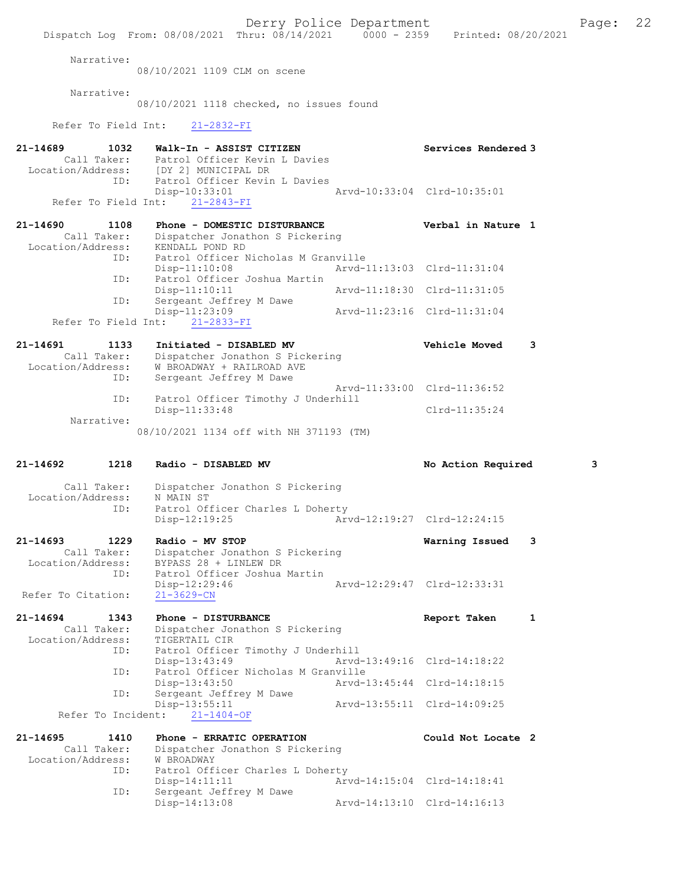Derry Police Department The Page: 22 Dispatch Log From: 08/08/2021 Thru: 08/14/2021 0000 - 2359 Printed: 08/20/2021 Narrative: 08/10/2021 1109 CLM on scene Narrative: 08/10/2021 1118 checked, no issues found Refer To Field Int: 21-2832-FI 21-14689 1032 Walk-In - ASSIST CITIZEN Services Rendered 3 Call Taker: Patrol Officer Kevin L Davies Location/Address: [DY 2] MUNICIPAL DR ID: Patrol Officer Kevin L Davies Disp-10:33:01<br>Disp-10:33:01<br>Arvd-10:33:04 Clrd-10:35:01 Refer To Field Int: 21-2843-FI 21-14690 1108 Phone - DOMESTIC DISTURBANCE Verbal in Nature 1 Call Taker: Dispatcher Jonathon S Pickering Location/Address: KENDALL POND RD ID: Patrol Officer Nicholas M Granville Disp-11:10:08 Arvd-11:13:03 Clrd-11:31:04 ID: Patrol Officer Joshua Martin Disp-11:10:11 Arvd-11:18:30 Clrd-11:31:05<br>ID: Sergeant Jeffrey M Dawe Sergeant Jeffrey M Dawe<br>Disp-11:23:09 Disp-11:23:09 Arvd-11:23:16 Clrd-11:31:04 Refer To Field Int: 21-2833-FI 21-14691 1133 Initiated - DISABLED MV Vehicle Moved 3 Call Taker: Dispatcher Jonathon S Pickering Location/Address: W BROADWAY + RAILROAD AVE ID: Sergeant Jeffrey M Dawe Arvd-11:33:00 Clrd-11:36:52 ID: Patrol Officer Timothy J Underhill Disp-11:33:48 Clrd-11:35:24 Narrative: 08/10/2021 1134 off with NH 371193 (TM) 21-14692 1218 Radio - DISABLED MV No Action Required 3 Call Taker: Dispatcher Jonathon S Pickering Location/Address: N MAIN ST ID: Patrol Officer Charles L Doherty Disp-12:19:25 Arvd-12:19:27 Clrd-12:24:15 21-14693 1229 Radio - MV STOP Warning Issued 3 Call Taker: Dispatcher Jonathon S Pickering Location/Address: BYPASS 28 + LINLEW DR ID: Patrol Officer Joshua Martin Disp-12:29:46 Arvd-12:29:47 Clrd-12:33:31 Refer To Citation: 21-3629-CN 21-14694 1343 Phone - DISTURBANCE 1 21-14694 Report Taken 1 Call Taker: Dispatcher Jonathon S Pickering Location/Address: TIGERTAIL CIR ID: Patrol Officer Timothy J Underhill<br>Disp-13:43:49 Arvd-Disp-13:43:49 Arvd-13:49:16 Clrd-14:18:22<br>ID: Patrol Officer Nicholas M Granville Patrol Officer Nicholas M Granville Disp-13:43:50 Arvd-13:45:44 Clrd-14:18:15 ID: Sergeant Jeffrey M Dawe Disp-13:55:11 Arvd-13:55:11 Clrd-14:09:25 Refer To Incident: 21-1404-OF 21-14695 1410 Phone - ERRATIC OPERATION Could Not Locate 2 Call Taker: Dispatcher Jonathon S Pickering Location/Address: W BROADWAY ID: Patrol Officer Charles L Doherty Disp-14:11:11 Arvd-14:15:04 Clrd-14:18:41<br>ID: Sergeant Jeffrey M Dawe ID: Sergeant Jeffrey M Dawe Disp-14:13:08 Arvd-14:13:10 Clrd-14:16:13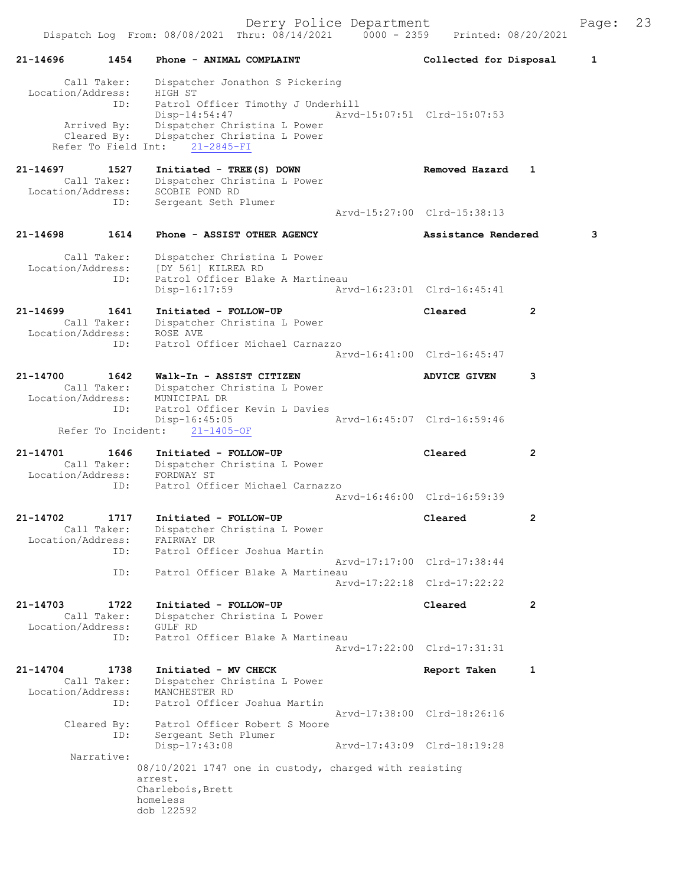| 21-14696                                             | 1454<br>Phone - ANIMAL COMPLAINT                                                                                 | Collected for Disposal      | 1              |
|------------------------------------------------------|------------------------------------------------------------------------------------------------------------------|-----------------------------|----------------|
| Call Taker:                                          | Dispatcher Jonathon S Pickering                                                                                  |                             |                |
| Location/Address:<br>ID:                             | HIGH ST<br>Patrol Officer Timothy J Underhill                                                                    |                             |                |
| Arrived By:<br>Cleared By:<br>Refer To Field Int:    | Disp-14:54:47<br>Dispatcher Christina L Power<br>Dispatcher Christina L Power<br>$21 - 2845 - FI$                | Arvd-15:07:51 Clrd-15:07:53 |                |
| 21-14697<br>Call Taker:<br>Location/Address:         | Initiated - TREE(S) DOWN<br>1527<br>Dispatcher Christina L Power<br>SCOBIE POND RD                               | Removed Hazard              | 1              |
| ID:                                                  | Sergeant Seth Plumer                                                                                             | Arvd-15:27:00 Clrd-15:38:13 |                |
| 1614<br>21-14698                                     | Phone - ASSIST OTHER AGENCY                                                                                      | Assistance Rendered         | 3              |
| Call Taker:<br>Location/Address:                     | Dispatcher Christina L Power<br>[DY 561] KILREA RD                                                               |                             |                |
| ID:                                                  | Patrol Officer Blake A Martineau<br>$Disp-16:17:59$                                                              | Arvd-16:23:01 Clrd-16:45:41 |                |
| $21 - 14699$<br>1641<br>Call Taker:                  | Initiated - FOLLOW-UP<br>Dispatcher Christina L Power                                                            | Cleared                     | $\overline{2}$ |
| Location/Address:<br>ID:                             | ROSE AVE<br>Patrol Officer Michael Carnazzo                                                                      | Arvd-16:41:00 Clrd-16:45:47 |                |
| 21-14700                                             | 1642<br>Walk-In - ASSIST CITIZEN                                                                                 | <b>ADVICE GIVEN</b>         | 3              |
| Call Taker:<br>Location/Address:<br>ID:              | Dispatcher Christina L Power<br>MUNICIPAL DR<br>Patrol Officer Kevin L Davies                                    |                             |                |
| Refer To Incident:                                   | $Disp-16:45:05$<br>$21 - 1405 - OF$                                                                              | Arvd-16:45:07 Clrd-16:59:46 |                |
| 21-14701<br>1646<br>Call Taker:<br>Location/Address: | Initiated - FOLLOW-UP<br>Dispatcher Christina L Power<br>FORDWAY ST                                              | Cleared                     | $\mathbf{2}$   |
| ID:                                                  | Patrol Officer Michael Carnazzo                                                                                  | Arvd-16:46:00 Clrd-16:59:39 |                |
| 21-14702<br>1717<br>Call Taker:<br>Location/Address: | Initiated - FOLLOW-UP<br>Dispatcher Christina L Power<br>FAIRWAY DR                                              | Cleared                     | $\overline{2}$ |
| ID:                                                  | Patrol Officer Joshua Martin                                                                                     | Arvd-17:17:00 Clrd-17:38:44 |                |
| ID:                                                  | Patrol Officer Blake A Martineau                                                                                 | Arvd-17:22:18 Clrd-17:22:22 |                |
| 21-14703<br>1722<br>Call Taker:                      | Initiated - FOLLOW-UP<br>Dispatcher Christina L Power                                                            | Cleared                     | $\overline{2}$ |
| Location/Address:<br>ID:                             | GULF RD<br>Patrol Officer Blake A Martineau                                                                      | Arvd-17:22:00 Clrd-17:31:31 |                |
| 21-14704<br>1738<br>Call Taker:<br>Location/Address: | Initiated - MV CHECK<br>Dispatcher Christina L Power<br>MANCHESTER RD                                            | Report Taken                | 1              |
| ID:<br>Cleared By:<br>ID:                            | Patrol Officer Joshua Martin<br>Patrol Officer Robert S Moore<br>Sergeant Seth Plumer                            | Arvd-17:38:00 Clrd-18:26:16 |                |
| Narrative:                                           | Disp-17:43:08                                                                                                    | Arvd-17:43:09 Clrd-18:19:28 |                |
|                                                      | 08/10/2021 1747 one in custody, charged with resisting<br>arrest.<br>Charlebois, Brett<br>homeless<br>dob 122592 |                             |                |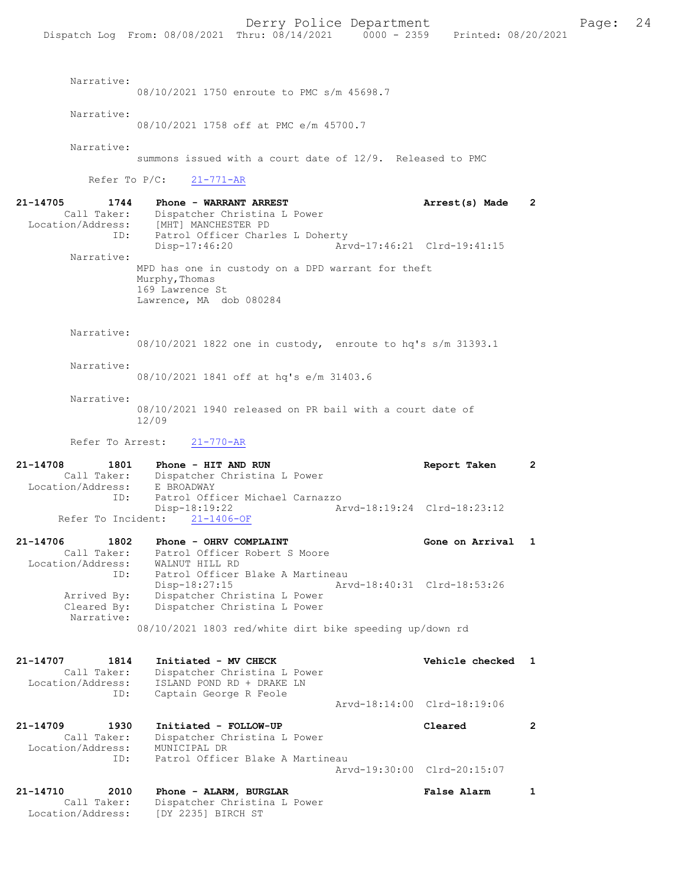Narrative: 08/10/2021 1750 enroute to PMC s/m 45698.7 Narrative: 08/10/2021 1758 off at PMC e/m 45700.7 Narrative: summons issued with a court date of 12/9. Released to PMC Refer To P/C: 21-771-AR 21-14705 1744 Phone - WARRANT ARREST Arrest(s) Made 2 Call Taker: Dispatcher Christina L Power<br>Location/Address: [MHT] MANCHESTER PD [MHT] MANCHESTER PD ESS. THILL HANDELLERS. THE PATROL Officer Charles L Doherty<br>Disp-17:46:20 Art Disp-17:46:20 Arvd-17:46:21 Clrd-19:41:15 Narrative: MPD has one in custody on a DPD warrant for theft Murphy, Thomas 169 Lawrence St Lawrence, MA dob 080284 Narrative: 08/10/2021 1822 one in custody, enroute to hq's s/m 31393.1 Narrative: 08/10/2021 1841 off at hq's e/m 31403.6 Narrative: 08/10/2021 1940 released on PR bail with a court date of 12/09 Refer To Arrest: 21-770-AR 21-14708 1801 Phone - HIT AND RUN Report Taken 2<br>Call Taker: Dispatcher Christina L Power Dispatcher Christina L Power<br>E BROADWAY Location/Address:<br>TD: Patrol Officer Michael Carnazzo<br>Disp-18:19:22 Ar 18:19:22 <br>21-1406-OF <br>21-1406-OF <br>21-1406-OF Refer To Incident: 21-14706 1802 Phone - OHRV COMPLAINT Gone on Arrival 1 Call Taker: Patrol Officer Robert S Moore Location/Address: WALNUT HILL RD ID: Patrol Officer Blake A Martineau<br>Disp-18:27:15 Mrvd-18:40:31 Clrd-18:53:26 Disp-18:27:15 Arvd-18:40:31 Clrd-18:53:26 Arrived By: Dispatcher Christina L Power Cleared By: Dispatcher Christina L Power

08/10/2021 1803 red/white dirt bike speeding up/down rd

Narrative:

| Location/Address: | Call Taker:<br>ID: | Dispatcher Christina L Power<br>ISLAND POND RD + DRAKE LN<br>Captain George R Feole |                             |  |
|-------------------|--------------------|-------------------------------------------------------------------------------------|-----------------------------|--|
|                   |                    |                                                                                     | Arvd-18:14:00 Clrd-18:19:06 |  |
| 21-14709          | 1930               | Initiated - FOLLOW-UP                                                               | Cleared                     |  |

 Call Taker: Dispatcher Christina L Power Location/Address: MUNICIPAL DR ID: Patrol Officer Blake A Martineau Arvd-19:30:00 Clrd-20:15:07

21-14710 2010 Phone - ALARM, BURGLAR <br>Call Taker: Dispatcher Christina L Power<br>-- Call Taker: Dispatcher Christina L Power Location/Address: [DY 2235] BIRCH ST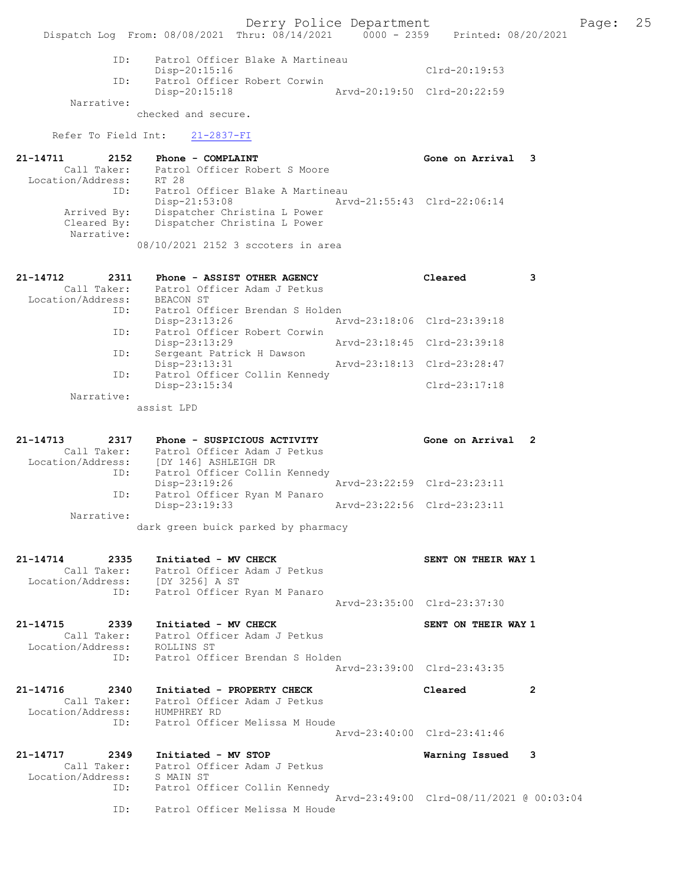Derry Police Department Fage: 25 Dispatch Log From: 08/08/2021 Thru: 08/14/2021 0000 - 2359 Printed: 08/20/2021 ID: Patrol Officer Blake A Martineau Disp-20:15:16 Clrd-20:19:53 ID: Patrol Officer Robert Corwin Disp-20:15:18 Arvd-20:19:50 Clrd-20:22:59 Narrative: checked and secure. Refer To Field Int: 21-2837-FI 21-14711 2152 Phone - COMPLAINT Gone on Arrival 3 Call Taker: Patrol Officer Robert S Moore Location/Address: RT 28 ID: Patrol Officer Blake A Martineau Disp-21:53:08 Arvd-21:55:43 Clrd-22:06:14 Arrived By: Dispatcher Christina L Power Cleared By: Dispatcher Christina L Power Narrative: 08/10/2021 2152 3 sccoters in area 21-14712 2311 Phone - ASSIST OTHER AGENCY Cleared 3 Call Taker: Patrol Officer Adam J Petkus Call Taker: Patrol Of:<br>Location/Address: BEACON ST ID: Patrol Officer Brendan S Holden<br>Disp-23:13:26 Arvd-23:18:06 Clrd-23:39:18 Disp-23:13:26 Arvd-23:18:06 Clrd-23:39:18 ID: Patrol Officer Robert Corwin Disp-23:13:29 Arvd-23:18:45 Clrd-23:39:18 ID: Sergeant Patrick H Dawson Disp-23:13:31 Arvd-23:18:13 Clrd-23:28:47 ID: Patrol Officer Collin Kennedy Disp-23:15:34 Clrd-23:17:18 Narrative: assist LPD 21-14713 2317 Phone - SUSPICIOUS ACTIVITY Gone on Arrival 2 Call Taker: Patrol Officer Adam J Petkus Location/Address: [DY 146] ASHLEIGH DR ID: Patrol Officer Collin Kennedy Disp-23:19:26 Arvd-23:22:59 Clrd-23:23:11 ID: Patrol Officer Ryan M Panaro Disp-23:19:33 Arvd-23:22:56 Clrd-23:23:11 Narrative: dark green buick parked by pharmacy 21-14714 2335 Initiated - MV CHECK SENT ON THEIR WAY 1 Call Taker: Patrol Officer Adam J Petkus Location/Address: [DY 3256] A ST ID: Patrol Officer Ryan M Panaro Arvd-23:35:00 Clrd-23:37:30 21-14715 2339 Initiated - MV CHECK SENT ON THEIR WAY 1 Call Taker: Patrol Officer Adam J Petkus Location/Address: ROLLINS ST ID: Patrol Officer Brendan S Holden Arvd-23:39:00 Clrd-23:43:35 21-14716 2340 Initiated - PROPERTY CHECK Cleared 2 Call Taker: Patrol Officer Adam J Petkus Location/Address: HUMPHREY RD ID: Patrol Officer Melissa M Houde Arvd-23:40:00 Clrd-23:41:46 21-14717 2349 Initiated - MV STOP Warning Issued 3 Call Taker: Patrol Officer Adam J Petkus Location/Address: S MAIN ST ID: Patrol Officer Collin Kennedy Arvd-23:49:00 Clrd-08/11/2021 @ 00:03:04 ID: Patrol Officer Melissa M Houde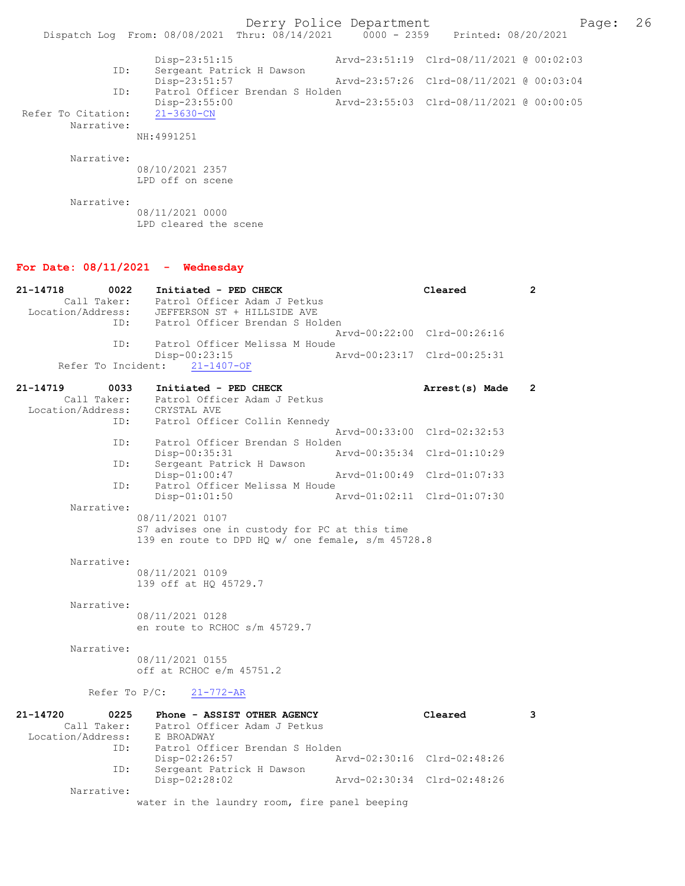Derry Police Department Page: 26 Dispatch Log From: 08/08/2021 Thru: 08/14/2021 0000 - 2359 Disp-23:51:15 Arvd-23:51:19 Clrd-08/11/2021 @ 00:02:03 ID: Sergeant Patrick H Dawson<br>Disp-23:51:57 Disp-23:51:57 Arvd-23:57:26 Clrd-08/11/2021 @ 00:03:04<br>ID: Patrol Officer Brendan S Holden ID: Patrol Officer Brendan S Holden Disp-23:55:00 <br>21-3630-CN<br>21-3630-CN Refer To Citation: Narrative: NH:4991251 Narrative: 08/10/2021 2357 LPD off on scene

Narrative:

08/11/2021 0000 LPD cleared the scene

#### For Date: 08/11/2021 - Wednesday

| 21-14718<br>0022<br>Call Taker:<br>Location/Address:                     | Initiated - PED CHECK<br>Patrol Officer Adam J Petkus<br>JEFFERSON ST + HILLSIDE AVE                                                                                                                                                                                                    | Cleared                     | $\overline{2}$ |
|--------------------------------------------------------------------------|-----------------------------------------------------------------------------------------------------------------------------------------------------------------------------------------------------------------------------------------------------------------------------------------|-----------------------------|----------------|
| ID:                                                                      | Patrol Officer Brendan S Holden                                                                                                                                                                                                                                                         | Arvd-00:22:00 Clrd-00:26:16 |                |
| ID:<br>Refer To Incident:                                                | Patrol Officer Melissa M Houde<br>$Disp-00:23:15$<br>$21 - 1407 - OF$                                                                                                                                                                                                                   | Arvd-00:23:17 Clrd-00:25:31 |                |
| 21-14719<br>0033<br>Call Taker:<br>Location/Address:                     | Initiated - PED CHECK<br>Patrol Officer Adam J Petkus<br>CRYSTAL AVE                                                                                                                                                                                                                    | Arrest(s) Made              | $\mathbf{2}$   |
| ID:                                                                      | Patrol Officer Collin Kennedy                                                                                                                                                                                                                                                           | Arvd-00:33:00 Clrd-02:32:53 |                |
| ID:                                                                      | Patrol Officer Brendan S Holden<br>Disp-00:35:31                                                                                                                                                                                                                                        | Arvd-00:35:34 Clrd-01:10:29 |                |
| ID:                                                                      | Sergeant Patrick H Dawson<br>$Disp-01:00:47$                                                                                                                                                                                                                                            | Arvd-01:00:49 Clrd-01:07:33 |                |
| ID:                                                                      | Patrol Officer Melissa M Houde<br>$Disp-01:01:50$                                                                                                                                                                                                                                       | Arvd-01:02:11 Clrd-01:07:30 |                |
| Narrative:<br>Narrative:<br>Narrative:<br>Narrative:<br>Refer To $P/C$ : | 08/11/2021 0107<br>S7 advises one in custody for PC at this time<br>139 en route to DPD HQ w/ one female, s/m 45728.8<br>08/11/2021 0109<br>139 off at HQ 45729.7<br>08/11/2021 0128<br>en route to RCHOC s/m 45729.7<br>08/11/2021 0155<br>off at RCHOC e/m 45751.2<br>$21 - 772 - AR$ |                             |                |
| $21 - 14720$<br>0225<br>Call Taker:<br>Location/Address:                 | Phone - ASSIST OTHER AGENCY<br>Patrol Officer Adam J Petkus<br>E BROADWAY                                                                                                                                                                                                               | Cleared                     | 3              |
| ID:                                                                      | Patrol Officer Brendan S Holden<br>Disp-02:26:57                                                                                                                                                                                                                                        | Arvd-02:30:16 Clrd-02:48:26 |                |
| ID:                                                                      | Sergeant Patrick H Dawson<br>Disp-02:28:02                                                                                                                                                                                                                                              | Arvd-02:30:34 Clrd-02:48:26 |                |
| Narrative:                                                               | water in the laundry room, fire panel beeping                                                                                                                                                                                                                                           |                             |                |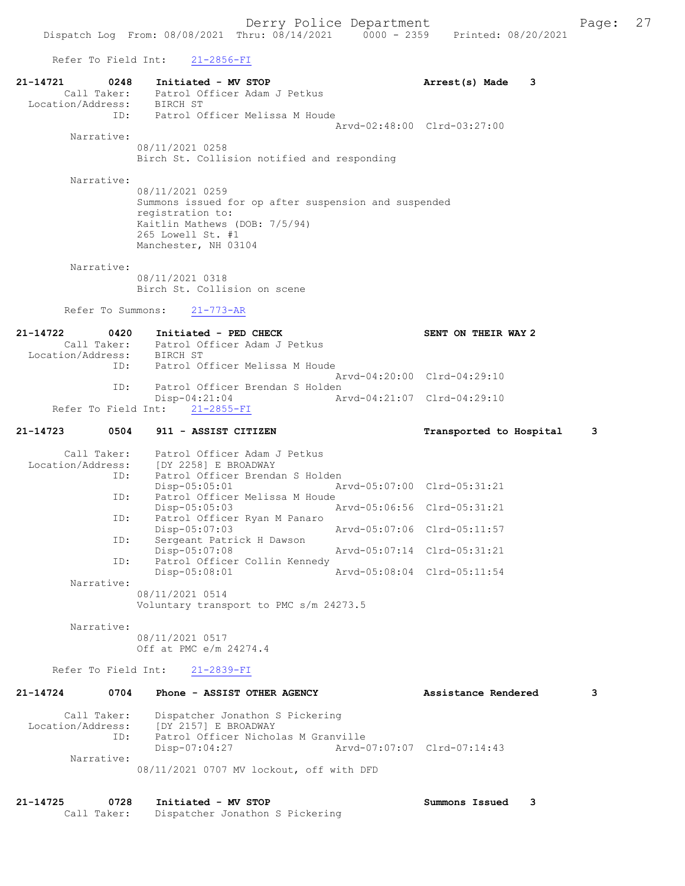Refer To Field Int: 21-2856-FI

| 21-14721<br>0248<br>Call Taker:<br>Location/Address: BIRCH ST | Initiated - MV STOP<br>Patrol Officer Adam J Petkus                                                                                                                       | Arrest(s) Made          | 3 |
|---------------------------------------------------------------|---------------------------------------------------------------------------------------------------------------------------------------------------------------------------|-------------------------|---|
| ID:<br>Narrative:                                             | Patrol Officer Melissa M Houde<br>Arvd-02:48:00 Clrd-03:27:00                                                                                                             |                         |   |
|                                                               | 08/11/2021 0258<br>Birch St. Collision notified and responding                                                                                                            |                         |   |
| Narrative:                                                    | 08/11/2021 0259<br>Summons issued for op after suspension and suspended<br>registration to:<br>Kaitlin Mathews (DOB: 7/5/94)<br>265 Lowell St. #1<br>Manchester, NH 03104 |                         |   |
| Narrative:                                                    | 08/11/2021 0318<br>Birch St. Collision on scene                                                                                                                           |                         |   |
| Refer To Summons:                                             | $21 - 773 - AR$                                                                                                                                                           |                         |   |
| 21-14722<br>0420<br>Location/Address: BIRCH ST                | Initiated - PED CHECK<br>Call Taker: Patrol Officer Adam J Petkus                                                                                                         | SENT ON THEIR WAY 2     |   |
| ID:<br>ID:                                                    | Patrol Officer Melissa M Houde<br>Arvd-04:20:00 Clrd-04:29:10<br>Patrol Officer Brendan S Holden                                                                          |                         |   |
| Refer To Field Int:                                           | $Disp-04:21:04$<br>Arvd-04:21:07 Clrd-04:29:10<br>$21 - 2855 - FI$                                                                                                        |                         |   |
| 21-14723<br>0504                                              | 911 - ASSIST CITIZEN                                                                                                                                                      | Transported to Hospital | 3 |
| Call Taker:<br>Location/Address:                              | Patrol Officer Adam J Petkus<br>[DY 2258] E BROADWAY                                                                                                                      |                         |   |
| ID:                                                           | Patrol Officer Brendan S Holden<br>$Disp-05:05:01$<br>Arvd-05:07:00 Clrd-05:31:21                                                                                         |                         |   |
| ID:<br>ID:                                                    | Patrol Officer Melissa M Houde<br>$Disp-05:05:03$<br>Arvd-05:06:56 Clrd-05:31:21<br>Patrol Officer Ryan M Panaro                                                          |                         |   |
| ID:                                                           | Disp-05:07:03<br>Arvd-05:07:06 Clrd-05:11:57<br>Sergeant Patrick H Dawson                                                                                                 |                         |   |
| ID:                                                           | Disp-05:07:08<br>Arvd-05:07:14 Clrd-05:31:21<br>Patrol Officer Collin Kennedy                                                                                             |                         |   |
| Narrative:                                                    | Disp-05:08:01<br>Arvd-05:08:04 Clrd-05:11:54                                                                                                                              |                         |   |
|                                                               | 08/11/2021 0514<br>Voluntary transport to PMC s/m 24273.5                                                                                                                 |                         |   |
| Narrative:                                                    | 08/11/2021 0517<br>Off at PMC e/m 24274.4                                                                                                                                 |                         |   |
|                                                               | Refer To Field Int: 21-2839-FI                                                                                                                                            |                         |   |
| 21-14724<br>0704                                              | Phone - ASSIST OTHER AGENCY                                                                                                                                               | Assistance Rendered     | 3 |
| Call Taker:<br>Location/Address:<br>ID:                       | Dispatcher Jonathon S Pickering<br>[DY 2157] E BROADWAY<br>Patrol Officer Nicholas M Granville<br>$Disp-07:04:27$<br>Arvd-07:07:07 Clrd-07:14:43                          |                         |   |
| Narrative:                                                    | 08/11/2021 0707 MV lockout, off with DFD                                                                                                                                  |                         |   |
| 21-14725<br>0728<br>Call Taker:                               | Initiated - MV STOP<br>Dispatcher Jonathon S Pickering                                                                                                                    | Summons Issued          | 3 |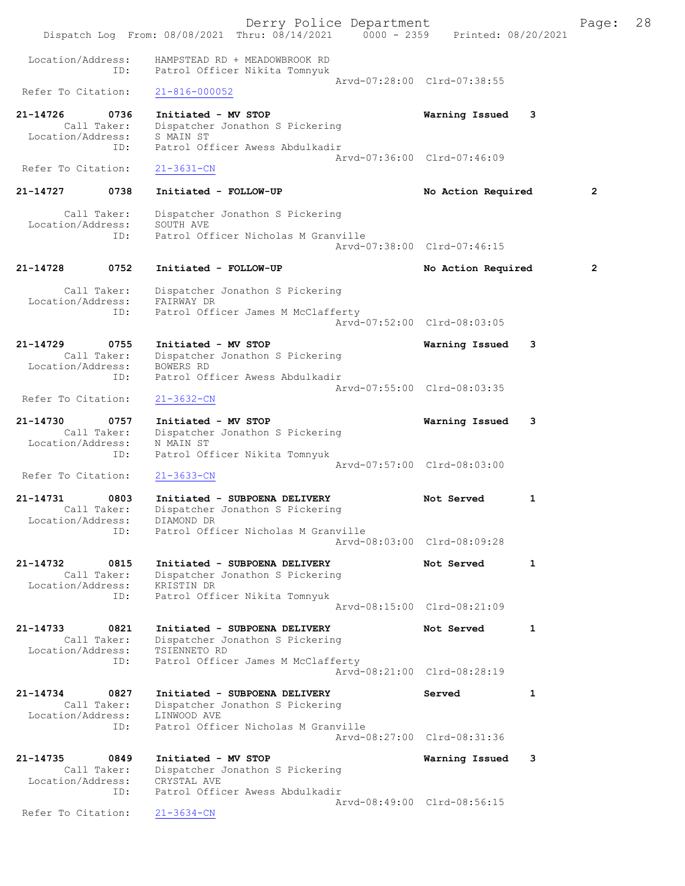|                                              |                            | Derry Police Department<br>Dispatch Log From: 08/08/2021 Thru: 08/14/2021 0000 - 2359 Printed: 08/20/2021              |                                            | Page:          | 28 |
|----------------------------------------------|----------------------------|------------------------------------------------------------------------------------------------------------------------|--------------------------------------------|----------------|----|
| Location/Address:                            | ID:                        | HAMPSTEAD RD + MEADOWBROOK RD<br>Patrol Officer Nikita Tomnyuk                                                         |                                            |                |    |
| Refer To Citation:                           |                            | $21 - 816 - 000052$                                                                                                    | Arvd-07:28:00 Clrd-07:38:55                |                |    |
| 21-14726<br>Location/Address:                | 0736<br>Call Taker:<br>ID: | Initiated - MV STOP<br>Dispatcher Jonathon S Pickering<br>S MAIN ST<br>Patrol Officer Awess Abdulkadir                 | Warning Issued<br>3                        |                |    |
| Refer To Citation:                           |                            | $21 - 3631 - CN$                                                                                                       | Arvd-07:36:00 Clrd-07:46:09                |                |    |
| 21-14727                                     | 0738                       | Initiated - FOLLOW-UP                                                                                                  | No Action Required                         | $\overline{2}$ |    |
| Call Taker:<br>Location/Address:             | ID:                        | Dispatcher Jonathon S Pickering<br>SOUTH AVE<br>Patrol Officer Nicholas M Granville                                    | Arvd-07:38:00 Clrd-07:46:15                |                |    |
| 21-14728                                     | 0752                       | Initiated - FOLLOW-UP                                                                                                  | No Action Required                         | $\overline{2}$ |    |
| Call Taker:<br>Location/Address:             | ID:                        | Dispatcher Jonathon S Pickering<br>FAIRWAY DR<br>Patrol Officer James M McClafferty                                    | Arvd-07:52:00 Clrd-08:03:05                |                |    |
| 21-14729<br>Location/Address:                | 0755<br>Call Taker:        | Initiated - MV STOP<br>Dispatcher Jonathon S Pickering<br>BOWERS RD                                                    | Warning Issued<br>3                        |                |    |
| Refer To Citation:                           | ID:                        | Patrol Officer Awess Abdulkadir<br>$21 - 3632 - CN$                                                                    | Arvd-07:55:00 Clrd-08:03:35                |                |    |
| 21-14730<br>Location/Address:                | 0757<br>Call Taker:<br>ID: | Initiated - MV STOP<br>Dispatcher Jonathon S Pickering<br>N MAIN ST<br>Patrol Officer Nikita Tomnyuk                   | Warning Issued<br>3                        |                |    |
| Refer To Citation:                           |                            | $21 - 3633 - CN$                                                                                                       | Arvd-07:57:00 Clrd-08:03:00                |                |    |
| 21-14731<br>Call Taker:<br>Location/Address: | 0803<br>ID:                | Initiated - SUBPOENA DELIVERY<br>Dispatcher Jonathon S Pickering<br>DIAMOND DR<br>Patrol Officer Nicholas M Granville  | 1<br>Not Served                            |                |    |
|                                              |                            |                                                                                                                        | Arvd-08:03:00 Clrd-08:09:28                |                |    |
| 21-14732<br>Location/Address:                | 0815<br>Call Taker:        | Initiated - SUBPOENA DELIVERY<br>Dispatcher Jonathon S Pickering<br>KRISTIN DR                                         | Not Served<br>1                            |                |    |
|                                              | ID:                        | Patrol Officer Nikita Tomnyuk                                                                                          | Arvd-08:15:00 Clrd-08:21:09                |                |    |
| 21-14733<br>Location/Address:                | 0821<br>Call Taker:<br>ID: | Initiated - SUBPOENA DELIVERY<br>Dispatcher Jonathon S Pickering<br>TSIENNETO RD<br>Patrol Officer James M McClafferty | Not Served<br>1                            |                |    |
|                                              |                            |                                                                                                                        | Arvd-08:21:00 Clrd-08:28:19                |                |    |
| 21-14734<br>Location/Address:                | 0827<br>Call Taker:<br>ID: | Initiated - SUBPOENA DELIVERY<br>Dispatcher Jonathon S Pickering<br>LINWOOD AVE<br>Patrol Officer Nicholas M Granville | 1<br>Served<br>Arvd-08:27:00 Clrd-08:31:36 |                |    |
| 21-14735                                     | 0849                       | Initiated - MV STOP                                                                                                    | 3                                          |                |    |
| Location/Address:                            | Call Taker:<br>ID:         | Dispatcher Jonathon S Pickering<br>CRYSTAL AVE<br>Patrol Officer Awess Abdulkadir                                      | Warning Issued                             |                |    |
| Refer To Citation:                           |                            | $21 - 3634 - CN$                                                                                                       | Arvd-08:49:00 Clrd-08:56:15                |                |    |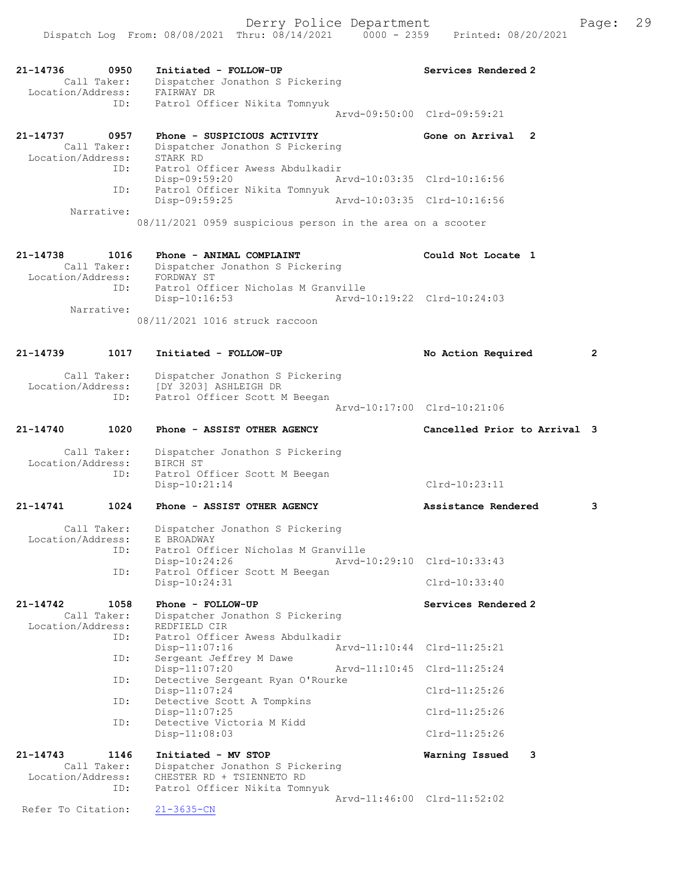|                              | Derry Police Department<br>Dispatch Log From: 08/08/2021 Thru: 08/14/2021 0000 - 2359 Printed: 08/20/2021 |                             |                     | Page: | 29 |
|------------------------------|-----------------------------------------------------------------------------------------------------------|-----------------------------|---------------------|-------|----|
| 21-14736 0950<br>Call Taker: | Initiated - FOLLOW-UP<br>Dispatcher Jonathon S Pickering                                                  |                             | Services Rendered 2 |       |    |
| Location/Address: FAIRWAY DR |                                                                                                           |                             |                     |       |    |
| ID:                          | Patrol Officer Nikita Tomnyuk                                                                             |                             |                     |       |    |
|                              |                                                                                                           | Aryd-09:50:00 Clrd-09:59:21 |                     |       |    |
| 21-14737<br>0957             | Phone - SUSPICIOUS ACTIVITY                                                                               |                             | Gone on Arrival 2   |       |    |
| Call Taker:                  | Dispatcher Jonathon S Pickering                                                                           |                             |                     |       |    |
| Location/Address:            | STARK RD                                                                                                  |                             |                     |       |    |
| ID:                          | Patrol Officer Awess Abdulkadir                                                                           |                             |                     |       |    |
|                              | Disp-09:59:20                                                                                             | Arvd-10:03:35 Clrd-10:16:56 |                     |       |    |
| ID:                          | Patrol Officer Nikita Tomnyuk                                                                             |                             |                     |       |    |
|                              | Disp-09:59:25                                                                                             | Arvd-10:03:35 Clrd-10:16:56 |                     |       |    |
| Narrative:                   |                                                                                                           |                             |                     |       |    |
|                              | 08/11/2021 0959 suspicious person in the area on a scooter                                                |                             |                     |       |    |
|                              |                                                                                                           |                             |                     |       |    |
| 21-14738                     | 1016 Phone - ANIMAL COMPLAINT                                                                             |                             | Could Not Locate 1  |       |    |
| Call Taker:                  | Dispatcher Jonathon S Pickering                                                                           |                             |                     |       |    |
| Location/Address:            | FORDWAY ST                                                                                                |                             |                     |       |    |
| ID:                          | Patrol Officer Nicholas M Granville                                                                       |                             |                     |       |    |
|                              | Disp-10:16:53 Arvd-10:19:22 Clrd-10:24:03                                                                 |                             |                     |       |    |
| Narrative:                   |                                                                                                           |                             |                     |       |    |
|                              | 08/11/2021 1016 struck raccoon                                                                            |                             |                     |       |    |
|                              |                                                                                                           |                             |                     |       |    |

| 21-14739          | 1017               | Initiated - FOLLOW-UP                                                                           | No Action Required           | $\overline{2}$ |
|-------------------|--------------------|-------------------------------------------------------------------------------------------------|------------------------------|----------------|
| Location/Address: | Call Taker:<br>ID: | Dispatcher Jonathon S Pickering<br>[DY 3203] ASHLEIGH DR<br>Patrol Officer Scott M Beegan       |                              |                |
|                   |                    |                                                                                                 | Arvd-10:17:00 Clrd-10:21:06  |                |
| 21-14740          | 1020               | Phone - ASSIST OTHER AGENCY                                                                     | Cancelled Prior to Arrival 3 |                |
| Location/Address: | Call Taker:<br>ID: | Dispatcher Jonathon S Pickering<br>BIRCH ST<br>Patrol Officer Scott M Beegan<br>$Disp-10:21:14$ | $Clrd-10:23:11$              |                |
| 21-14741          | 1024               | Phone - ASSIST OTHER AGENCY                                                                     | Assistance Rendered          | 3              |
| Location/Address: | Call Taker:<br>ID: | Dispatcher Jonathon S Pickering<br>E BROADWAY<br>Patrol Officer Nicholas M Granville            |                              |                |
|                   | ID:                | Arvd-10:29:10 Clrd-10:33:43<br>Disp-10:24:26<br>Patrol Officer Scott M Beegan                   |                              |                |

Disp-10:24:31 Clrd-10:33:40 21-14742 1058 Phone - FOLLOW-UP Call Taker: Dispatcher Jonathon S Pickering Services Rendered 2 Dispatcher Jonathon S Pickering<br>REDFIELD CIR Location/Address: ID: Patrol Officer Awess Abdulkadir Disp-11:07:16 <br>
Disp-11:07:16 <br>
Dispose arvd-11:10:44 Clrd-11:25:21<br>
Dispose are all property M Dawe Sergeant Jeffrey M Dawe<br>Disp-11:07:20 Disp-11:07:20 Arvd-11:10:45 Clrd-11:25:24<br>ID: Detective Sergeant Ryan O'Rourke Detective Sergeant Ryan O'Rourke<br>Disp-11:07:24 Disp-11:07:24 Clrd-11:25:26 ID: Detective Scott A Tompkins Disp-11:07:25<br>ID: Detective Victoria M Kidd<br>Disposition of the Clrd-11:25:26 Detective Victoria M Kidd Disp-11:08:03 Clrd-11:25:26 21-14743 1146 Initiated - MV STOP **Warning Issued 3**<br>Call Taker: Dispatcher Jonathon S Pickering Dispatcher Jonathon S Pickering Location/Address: CHESTER RD + TSIENNETO RD<br>ID: Patrol Officer Nikita Tomm Patrol Officer Nikita Tomnyuk Arvd-11:46:00 Clrd-11:52:02<br>21-3635-CN Refer To Citation:

Patrol Officer Scott M Beegan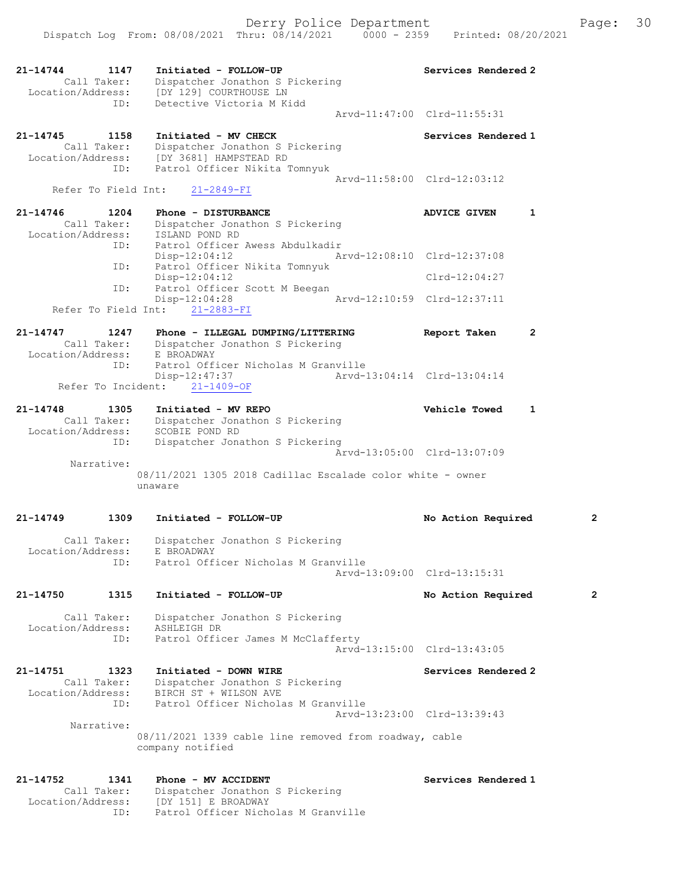|                               |                            | Dispatch Log From: 08/08/2021 Thru: 08/14/2021<br>$0000 - 2359$                                                                      | Printed: 08/20/2021                 |                |
|-------------------------------|----------------------------|--------------------------------------------------------------------------------------------------------------------------------------|-------------------------------------|----------------|
| 21-14744                      | 1147<br>Call Taker:<br>ID: | Initiated - FOLLOW-UP<br>Dispatcher Jonathon S Pickering<br>Location/Address: [DY 129] COURTHOUSE LN<br>Detective Victoria M Kidd    | Services Rendered 2                 |                |
|                               |                            |                                                                                                                                      | Arvd-11:47:00 Clrd-11:55:31         |                |
| 21-14745                      | 1158<br>Call Taker:<br>ID: | Initiated - MV CHECK<br>Dispatcher Jonathon S Pickering<br>Location/Address: [DY 3681] HAMPSTEAD RD<br>Patrol Officer Nikita Tomnyuk | Services Rendered 1                 |                |
|                               | Refer To Field Int:        | $21 - 2849 - FI$                                                                                                                     | Arvd-11:58:00 Clrd-12:03:12         |                |
| 21-14746                      | 1204                       | Phone - DISTURBANCE                                                                                                                  | $\mathbf{1}$<br><b>ADVICE GIVEN</b> |                |
| Location/Address:             | Call Taker:<br>ID:         | Dispatcher Jonathon S Pickering<br>ISLAND POND RD<br>Patrol Officer Awess Abdulkadir                                                 |                                     |                |
|                               | ID:                        | Disp-12:04:12<br>Patrol Officer Nikita Tomnyuk                                                                                       | Arvd-12:08:10 Clrd-12:37:08         |                |
|                               |                            | $Disp-12:04:12$<br>Patrol Officer Scott M Beegan                                                                                     | $Clrd-12:04:27$                     |                |
|                               | ID:                        | Disp-12:04:28<br>Refer To Field Int: 21-2883-FI                                                                                      | Arvd-12:10:59 Clrd-12:37:11         |                |
| $21 - 14747$                  | 1247                       | Phone - ILLEGAL DUMPING/LITTERING<br>Call Taker: Dispatcher Jonathon S Pickering<br>Location/Address: E BROADWAY                     | Report Taken<br>$\mathbf{2}$        |                |
|                               | ID:                        | Patrol Officer Nicholas M Granville<br>$Disp-12:47:37$<br>Refer To Incident:<br>$21 - 1409 - OF$                                     | Arvd-13:04:14 Clrd-13:04:14         |                |
| 21-14748<br>Location/Address: | 1305<br>Call Taker:        | Initiated - MV REPO<br>Dispatcher Jonathon S Pickering<br>SCOBIE POND RD                                                             | Vehicle Towed<br>$\mathbf{1}$       |                |
|                               | ID:                        | Dispatcher Jonathon S Pickering                                                                                                      | Arvd-13:05:00 Clrd-13:07:09         |                |
|                               | Narrative:                 | 08/11/2021 1305 2018 Cadillac Escalade color white - owner<br>unaware                                                                |                                     |                |
| 21-14749                      | 1309                       | Initiated - FOLLOW-UP                                                                                                                | No Action Required                  | 2              |
| Location/Address:             | Call Taker:<br>ID:         | Dispatcher Jonathon S Pickering<br>E BROADWAY<br>Patrol Officer Nicholas M Granville                                                 |                                     |                |
|                               |                            |                                                                                                                                      | Arvd-13:09:00 Clrd-13:15:31         |                |
| 21-14750                      | 1315                       | Initiated - FOLLOW-UP                                                                                                                | No Action Required                  | $\overline{2}$ |
| Location/Address:             | Call Taker:                | Dispatcher Jonathon S Pickering<br>ASHLEIGH DR                                                                                       |                                     |                |
|                               | ID:                        | Patrol Officer James M McClafferty                                                                                                   | Arvd-13:15:00 Clrd-13:43:05         |                |
| 21-14751<br>Location/Address: | 1323<br>Call Taker:<br>ID: | Initiated - DOWN WIRE<br>Dispatcher Jonathon S Pickering<br>BIRCH ST + WILSON AVE<br>Patrol Officer Nicholas M Granville             | Services Rendered 2                 |                |
|                               | Narrative:                 | 08/11/2021 1339 cable line removed from roadway, cable<br>company notified                                                           | Arvd-13:23:00 Clrd-13:39:43         |                |
| 21-14752                      | 1341<br>Call Taker:        | Phone - MV ACCIDENT<br>Dispatcher Jonathon S Pickering                                                                               | Services Rendered 1                 |                |

Location/Address: [DY 151] E BROADWAY

ID: Patrol Officer Nicholas M Granville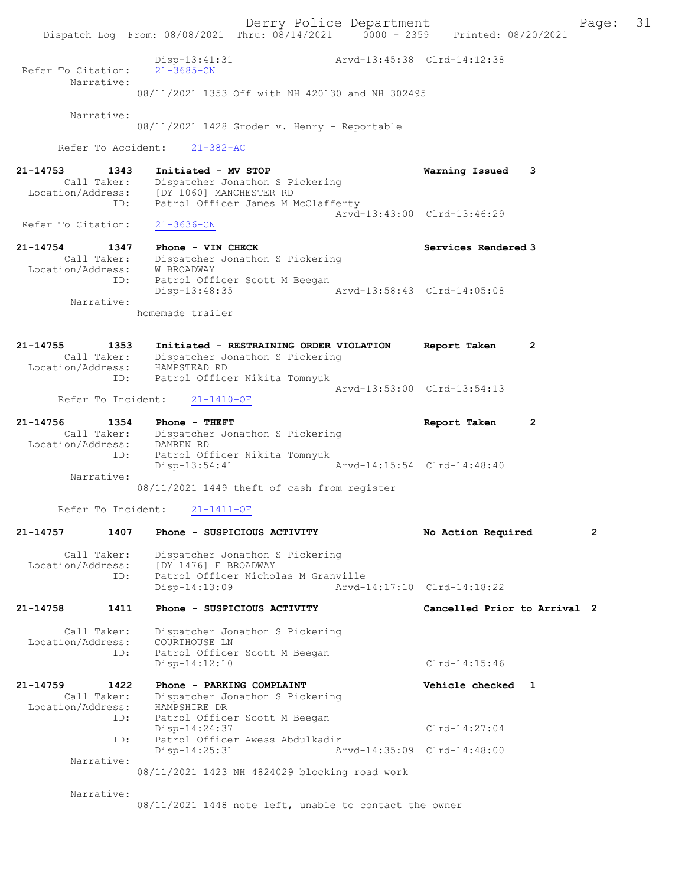Derry Police Department The Page: 31 Dispatch Log From: 08/08/2021 Thru: 08/14/2021 0000 - 2359 Printed: 08/20/2021 Disp-13:41:31 Arvd-13:45:38 Clrd-14:12:38 Refer To Citation: Narrative: 08/11/2021 1353 Off with NH 420130 and NH 302495 Narrative: 08/11/2021 1428 Groder v. Henry - Reportable Refer To Accident: 21-382-AC 21-14753 1343 Initiated - MV STOP Warning Issued 3 Call Taker: Dispatcher Jonathon S Pickering Location/Address: [DY 1060] MANCHESTER RD ID: Patrol Officer James M McClafferty Arvd-13:43:00 Clrd-13:46:29<br>21-3636-CN Refer To Citation: 21-14754 1347 Phone - VIN CHECK North Services Rendered 3 Call Taker: Dispatcher Jonathon S Pickering Location/Address: W BROADWAY ID: Patrol Officer Scott M Beegan<br>Disp-13:48:35 Arvd-13:58:43 Clrd-14:05:08 Disp-13:48:35 Narrative: homemade trailer 21-14755 1353 Initiated - RESTRAINING ORDER VIOLATION Report Taken 2 Call Taker: Dispatcher Jonathon S Pickering Location/Address: HAMPSTEAD RD ID: Patrol Officer Nikita Tomnyuk Arvd-13:53:00 Clrd-13:54:13<br>21-1410-OF Refer To Incident: 21-14756 1354 Phone - THEFT 1990 Report Taken 2 Call Taker: Dispatcher Jonathon S Pickering Location/Address: DAMREN RD ID: Patrol Officer Nikita Tomnyuk Disp-13:54:41 Arvd-14:15:54 Clrd-14:48:40 Narrative: 08/11/2021 1449 theft of cash from register Refer To Incident: 21-1411-OF 21-14757 1407 Phone - SUSPICIOUS ACTIVITY No Action Required 2 Call Taker: Dispatcher Jonathon S Pickering Location/Address: [DY 1476] E BROADWAY ID: Patrol Officer Nicholas M Granville Disp-14:13:09 Arvd-14:17:10 Clrd-14:18:22 21-14758 1411 Phone - SUSPICIOUS ACTIVITY Cancelled Prior to Arrival 2 Call Taker: Dispatcher Jonathon S Pickering Location/Address: COURTHOUSE LN ID: Patrol Officer Scott M Beegan Disp-14:12:10 Clrd-14:15:46 21-14759 1422 Phone - PARKING COMPLAINT Vehicle checked 1 Call Taker: Dispatcher Jonathon S Pickering -14759<br>Call Taker: Dispaction<br>Location/Address: HAMPSHIRE DR ID: Patrol Officer Scott M Beegan Disp-14:24:37 Clrd-14:27:04<br>ID: Patrol Officer Awess Abdulkadir Clrd-14:27:04 Patrol Officer Awess Abdulkadir<br>Disp-14:25:31 Ar Disp-14:25:31 Arvd-14:35:09 Clrd-14:48:00 Narrative: 08/11/2021 1423 NH 4824029 blocking road work Narrative: 08/11/2021 1448 note left, unable to contact the owner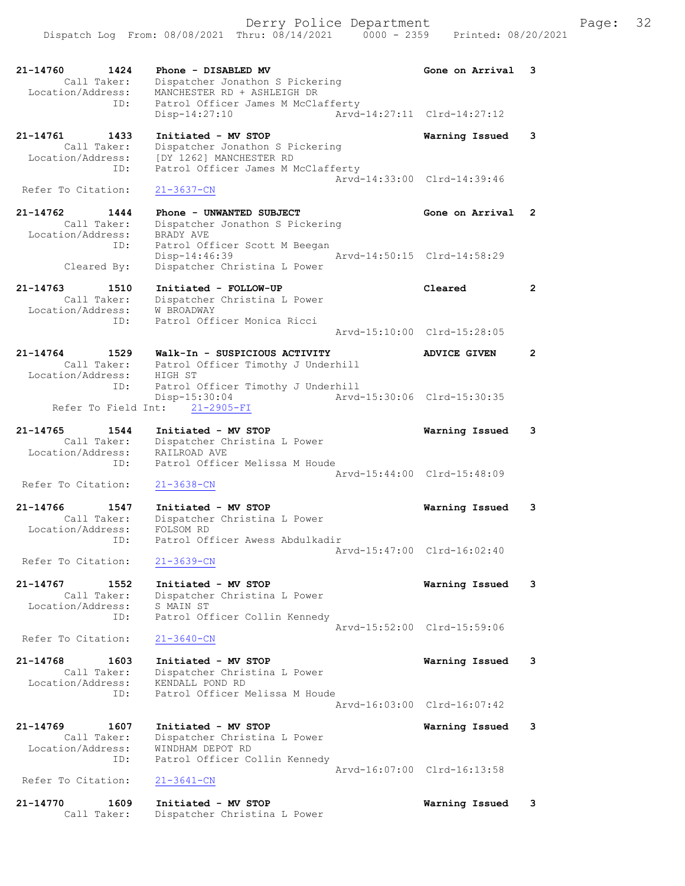| 21-14760<br>1424<br>Call Taker:<br>Location/Address:     | Phone - DISABLED MV<br>Dispatcher Jonathon S Pickering<br>MANCHESTER RD + ASHLEIGH DR | Gone on Arrival             | 3                     |
|----------------------------------------------------------|---------------------------------------------------------------------------------------|-----------------------------|-----------------------|
| ID:                                                      | Patrol Officer James M McClafferty<br>Disp-14:27:10                                   | Arvd-14:27:11 Clrd-14:27:12 |                       |
| 21-14761<br>1433<br>Call Taker:                          | Initiated - MV STOP<br>Dispatcher Jonathon S Pickering                                | Warning Issued              | 3                     |
| Location/Address:<br>ID:                                 | [DY 1262] MANCHESTER RD<br>Patrol Officer James M McClafferty                         | Arvd-14:33:00 Clrd-14:39:46 |                       |
| Refer To Citation:                                       | $21 - 3637 - CN$                                                                      |                             |                       |
| 21-14762<br>1444<br>Call Taker:<br>Location/Address:     | Phone - UNWANTED SUBJECT<br>Dispatcher Jonathon S Pickering                           | Gone on Arrival             | $\mathbf{2}^{\prime}$ |
| ID:                                                      | BRADY AVE<br>Patrol Officer Scott M Beegan<br>Disp-14:46:39                           | Arvd-14:50:15 Clrd-14:58:29 |                       |
| Cleared By:                                              | Dispatcher Christina L Power                                                          |                             |                       |
| $21 - 14763$<br>1510<br>Call Taker:<br>Location/Address: | Initiated - FOLLOW-UP<br>Dispatcher Christina L Power<br>W BROADWAY                   | Cleared                     | $\mathbf{2}^{\circ}$  |
| ID:                                                      | Patrol Officer Monica Ricci                                                           | Arvd-15:10:00 Clrd-15:28:05 |                       |
| $21 - 14764$<br>1529                                     | Walk-In - SUSPICIOUS ACTIVITY                                                         | <b>ADVICE GIVEN</b>         | 2                     |
| Call Taker:<br>Location/Address:                         | Patrol Officer Timothy J Underhill<br>HIGH ST                                         |                             |                       |
| ID:                                                      | Patrol Officer Timothy J Underhill<br>Disp-15:30:04                                   | Arvd-15:30:06 Clrd-15:30:35 |                       |
| Refer To Field Int:                                      | $21 - 2905 - FI$                                                                      |                             |                       |
| $21 - 14765$<br>1544<br>Call Taker:                      | Initiated - MV STOP<br>Dispatcher Christina L Power                                   | Warning Issued              | 3                     |
| Location/Address:<br>ID:                                 | RAILROAD AVE<br>Patrol Officer Melissa M Houde                                        |                             |                       |
| Refer To Citation:                                       | $21 - 3638 - CN$                                                                      | Arvd-15:44:00 Clrd-15:48:09 |                       |
| 21-14766<br>1547<br>Call Taker:                          | Initiated - MV STOP<br>Dispatcher Christina L Power                                   | Warning Issued              | 3                     |
| Location/Address:<br>ID:                                 | FOLSOM RD<br>Patrol Officer Awess Abdulkadir                                          |                             |                       |
| Refer To Citation:                                       | $21 - 3639 - CN$                                                                      | Arvd-15:47:00 Clrd-16:02:40 |                       |
| 21-14767<br>1552<br>Call Taker:                          | Initiated - MV STOP<br>Dispatcher Christina L Power                                   | Warning Issued              | 3                     |
| Location/Address:<br>ID:                                 | S MAIN ST<br>Patrol Officer Collin Kennedy                                            |                             |                       |
| Refer To Citation:                                       | $21 - 3640 - CN$                                                                      | Arvd-15:52:00 Clrd-15:59:06 |                       |
| 21-14768<br>1603                                         | Initiated - MV STOP                                                                   | Warning Issued              | 3                     |
| Call Taker:<br>Location/Address:                         | Dispatcher Christina L Power<br>KENDALL POND RD                                       |                             |                       |
| ID:                                                      | Patrol Officer Melissa M Houde                                                        | Arvd-16:03:00 Clrd-16:07:42 |                       |
| 21-14769<br>1607                                         | Initiated - MV STOP                                                                   | Warning Issued              | 3                     |
| Call Taker:<br>Location/Address:<br>ID:                  | Dispatcher Christina L Power<br>WINDHAM DEPOT RD                                      |                             |                       |
| Refer To Citation:                                       | Patrol Officer Collin Kennedy<br>$21 - 3641 - CN$                                     | Arvd-16:07:00 Clrd-16:13:58 |                       |
| 21-14770<br>1609<br>Call Taker:                          | Initiated - MV STOP<br>Dispatcher Christina L Power                                   | Warning Issued              | 3                     |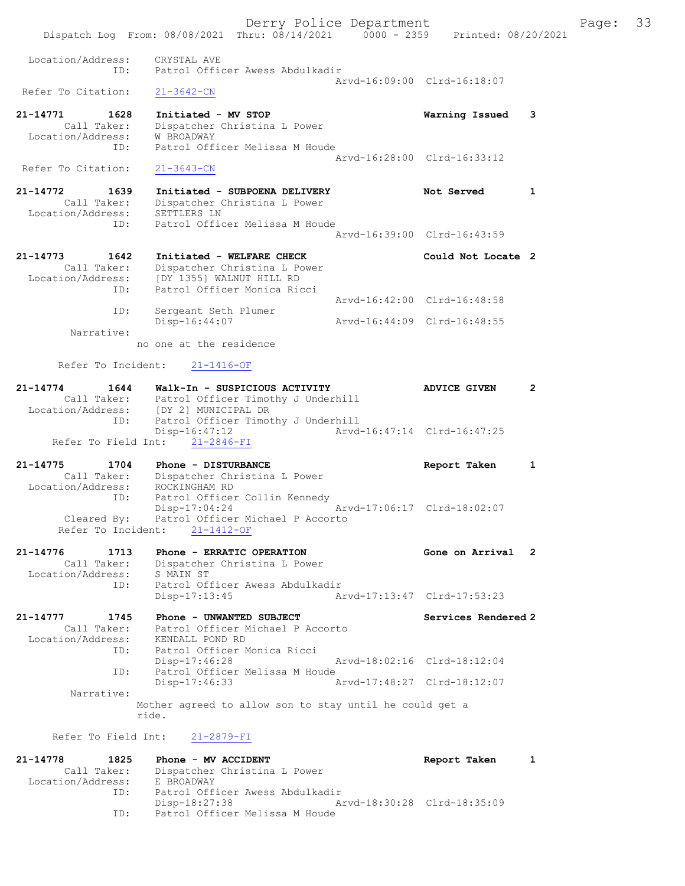Derry Police Department Fage: 33 Dispatch Log From: 08/08/2021 Thru: 08/14/2021 0000 - 2359 Printed: 08/20/2021 Location/Address: CRYSTAL AVE ID: Patrol Officer Awess Abdulkadir Arvd-16:09:00 Clrd-16:18:07 Refer To Citation: 21-14771 1628 Initiated - MV STOP Warning Issued 3 Call Taker: Dispatcher Christina L Power Location/Address: W BROADWAY ID: Patrol Officer Melissa M Houde Arvd-16:28:00 Clrd-16:33:12 Refer To Citation: 21-3643-CN 21-14772 1639 Initiated - SUBPOENA DELIVERY Not Served 1 Call Taker: Dispatcher Christina L Power Location/Address: SETTLERS LN ID: Patrol Officer Melissa M Houde Arvd-16:39:00 Clrd-16:43:59 21-14773 1642 Initiated - WELFARE CHECK Could Not Locate 2 Call Taker: Dispatcher Christina L Power Location/Address: [DY 1355] WALNUT HILL RD ID: Patrol Officer Monica Ricci Arvd-16:42:00 Clrd-16:48:58 ID: Sergeant Seth Plumer Disp-16:44:07 Arvd-16:44:09 Clrd-16:48:55 Narrative: no one at the residence Refer To Incident: 21-1416-OF 21-14774 1644 Walk-In - SUSPICIOUS ACTIVITY ADVICE GIVEN 2 Call Taker: Patrol Officer Timothy J Underhill Location/Address: [DY 2] MUNICIPAL DR ID: Patrol Officer Timothy J Underhill<br>Disp-16:47:12 Arvd- Disp-16:47:12 Arvd-16:47:14 Clrd-16:47:25 Refer To Field Int: 21-2846-FI 21-14775 1704 Phone - DISTURBANCE Report Taken 1 Call Taker: Dispatcher Christina L Power Location/Address: ROCKINGHAM RD ID: Patrol Officer Collin Kennedy Disp-17:04:24 Arvd-17:06:17 Clrd-18:02:07 Cleared By: Patrol Officer Michael P Accorto Refer To Incident: 21-1412-OF 21-14776 1713 Phone - ERRATIC OPERATION Gone on Arrival 2 Call Taker: Dispatcher Christina L Power Location/Address: S MAIN ST ID: Patrol Officer Awess Abdulkadir Disp-17:13:45 Arvd-17:13:47 Clrd-17:53:23 21-14777 1745 Phone - UNWANTED SUBJECT Services Rendered 2 Call Taker: Patrol Officer Michael P Accorto Location/Address: KENDALL POND RD ID: Patrol Officer Monica Ricci Disp-17:46:28 Arvd-18:02:16 Clrd-18:12:04 ID: Patrol Officer Melissa M Houde Disp-17:46:33 Narrative: Mother agreed to allow son to stay until he could get a ride. Refer To Field Int: 21-2879-FI 21-14778 1825 Phone - MV ACCIDENT 1 21-14778 Report Taken 1 Call Taker: Dispatcher Christina L Power Location/Address: E BROADWAY ID: Patrol Officer Awess Abdulkadir Disp-18:27:38 Arvd-18:30:28 Clrd-18:35:09 ID: Patrol Officer Melissa M Houde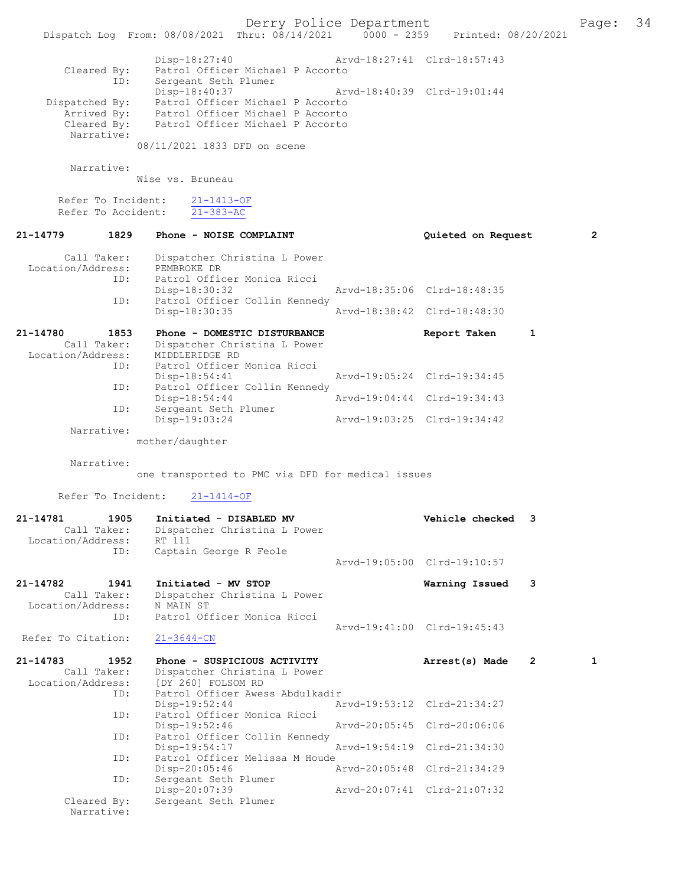Derry Police Department The Page: 34 Dispatch Log From: 08/08/2021 Thru: 08/14/2021 0000 - 2359 Printed: 08/20/2021 Disp-18:27:40 Arvd-18:27:41 Clrd-18:57:43 Cleared By: Patrol Officer Michael P Accorto By: Factor Sergeant Seth Plumer<br>ID: Sergeant Seth Plumer<br>Disp-18:40:37 Disp-18:40:37 Arvd-18:40:39 Clrd-19:01:44 Dispatched By: Patrol Officer Michael P Accorto Arrived By: Patrol Officer Michael P Accorto Cleared By: Patrol Officer Michael P Accorto Narrative: 08/11/2021 1833 DFD on scene Narrative: Wise vs. Bruneau Refer To Incident: 21-1413-OF Refer To Accident: 21-383-AC 21-14779 1829 Phone - NOISE COMPLAINT Quieted on Request 2 Call Taker: Dispatcher Christina L Power Location/Address: PEMBROKE DR<br>ID: Patrol Offic Patrol Officer Monica Ricci<br>Disp-18:30:32 Disp-18:30:32 Arvd-18:35:06 Clrd-18:48:35 Patrol Officer Collin Kennedy<br>Disp-18:30:35 Disp-18:30:35 Arvd-18:38:42 Clrd-18:48:30 21-14780 1853 Phone - DOMESTIC DISTURBANCE Report Taken 1 Call Taker: Dispatcher Christina L Power Location/Address: MIDDLERIDGE RD ID: Patrol Officer Monica Ricci Disp-18:54:41 Arvd-19:05:24 Clrd-19:34:45<br>TD: Patrol Officer Collin Kennedy Patrol Officer Collin Kennedy<br>Disp-18:54:44 Disp-18:54:44 <br>
Disp-18:54:44 <br>
Disposition arvd-19:04:44 <br>
Clrd-19:34:43 Sergeant Seth Plumer<br>Disp-19:03:24 Disp-19:03:24 Arvd-19:03:25 Clrd-19:34:42 Narrative: mother/daughter Narrative: one transported to PMC via DFD for medical issues Refer To Incident: 21-1414-OF 21-14781 1905 Initiated - DISABLED MV Vehicle checked 3<br>Call Taker: Dispatcher Christina L Power Dispatcher Christina L Power Location/Address: RT 111 Captain George R Feole Arvd-19:05:00 Clrd-19:10:57 21-14782 1941 Initiated - MV STOP Warning Issued 3 Call Taker: Dispatcher Christina L Power Location/Address: N MAIN ST ID: Patrol Officer Monica Ricci Arvd-19:41:00 Clrd-19:45:43<br>21-3644-CN Refer To Citation: 21-14783 1952 Phone - SUSPICIOUS ACTIVITY Arrest(s) Made 2 1<br>Call Taker: Dispatcher Christina L Power Dispatcher Christina L Power Location/Address: [DY 260] FOLSOM RD<br>Location/Address: [DY 260] FOLSOM RD<br>ID: Patrol Officer Awess Patrol Officer Awess Abdulkadir<br>Disp-19:52:44 Ar Disp-19:52:44 Arvd-19:53:12 Clrd-21:34:27<br>ID: Patrol Officer Monica Ricci Patrol Officer Monica Ricci<br>Disp-19:52:46 Disp-19:52:46 Arvd-20:05:45 Clrd-20:06:06 ID: Patrol Officer Collin Kennedy<br>Disp-19:54:17 Disp-19:54:17 Arvd-19:54:19 Clrd-21:34:30<br>TD: Patrol Officer Melissa M Houde Patrol Officer Melissa M Houde<br>Disp-20:05:46 A Disp-20:05:46 Arvd-20:05:48 Clrd-21:34:29<br>ID: Sergeant Seth Plumer Sergeant Seth Plumer<br>Disp-20:07:39 Disp-20:07:39 Arvd-20:07:41 Clrd-21:07:32<br>Cleared By: Sergeant Seth Plumer Sergeant Seth Plumer Narrative: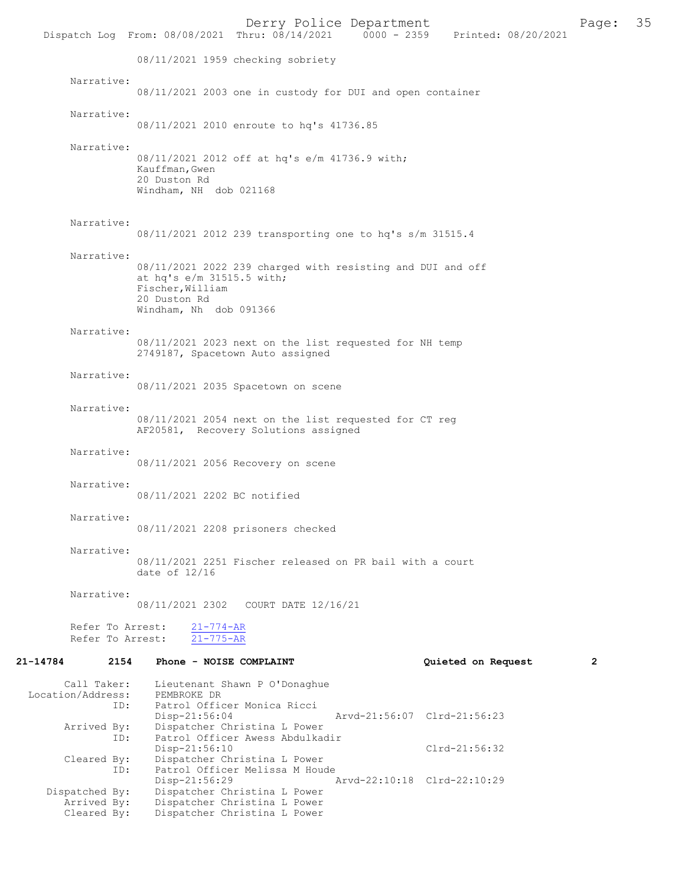Derry Police Department Page: 35 Dispatch Log From: 08/08/2021 Thru: 08/14/2021 08/11/2021 1959 checking sobriety Narrative: 08/11/2021 2003 one in custody for DUI and open container Narrative: 08/11/2021 2010 enroute to hq's 41736.85 Narrative: 08/11/2021 2012 off at hq's e/m 41736.9 with; Kauffman,Gwen 20 Duston Rd Windham, NH dob 021168 Narrative: 08/11/2021 2012 239 transporting one to hq's s/m 31515.4 Narrative: 08/11/2021 2022 239 charged with resisting and DUI and off at hq's e/m 31515.5 with; Fischer,William 20 Duston Rd Windham, Nh dob 091366 Narrative: 08/11/2021 2023 next on the list requested for NH temp 2749187, Spacetown Auto assigned Narrative: 08/11/2021 2035 Spacetown on scene Narrative: 08/11/2021 2054 next on the list requested for CT reg AF20581, Recovery Solutions assigned Narrative: 08/11/2021 2056 Recovery on scene Narrative: 08/11/2021 2202 BC notified Narrative: 08/11/2021 2208 prisoners checked Narrative: 08/11/2021 2251 Fischer released on PR bail with a court date of 12/16 Narrative: 08/11/2021 2302 COURT DATE 12/16/21 Refer To Arrest: 21-774-AR Refer To Arrest: 21-775-AR 21-14784 2154 Phone - NOISE COMPLAINT Quieted on Request 2 Call Taker: Lieutenant Shawn P O'Donaghue<br>.on/Address: PEMBROKE DR Location/Address: ID: Patrol Officer Monica Ricci Disp-21:56:04 Arvd-21:56:07 Clrd-21:56:23<br>Arrived By: Dispatcher Christina L Power By: Dispatcher Christina L Power<br>ID: Patrol Officer Awess Abdulka Patrol Officer Awess Abdulkadir Disp-21:56:10 Disp-21:56:10 Cleared By: Dispatcher Christina L Power Dispatcher Christina L Power ID: Patrol Officer Melissa M Houde<br>Disp-21:56:29 Disp-21:56:29 Arvd-22:10:18 Clrd-22:10:29<br>Dispatched By: Dispatcher Christina L Power Dispatcher Christina L Power Arrived By: Dispatcher Christina L Power<br>Cleared By: Dispatcher Christina L Power

Dispatcher Christina L Power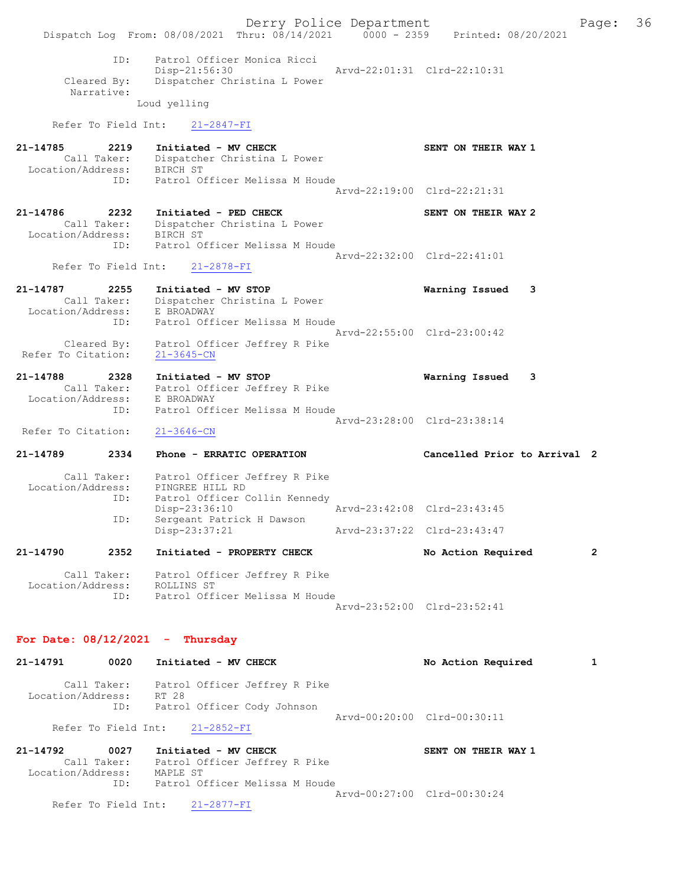Derry Police Department Fage: 36 Dispatch Log From: 08/08/2021 Thru: 08/14/2021 0000 - 2359 Printed: 08/20/2021 ID: Patrol Officer Monica Ricci Disp-21:56:30 Arvd-22:01:31 Clrd-22:10:31 Cleared By: Dispatcher Christina L Power Narrative: Loud yelling Refer To Field Int: 21-2847-FI 21-14785 2219 Initiated - MV CHECK SENT ON THEIR WAY 1 Call Taker: Dispatcher Christina L Power Location/Address: BIRCH ST ID: Patrol Officer Melissa M Houde Arvd-22:19:00 Clrd-22:21:31 21-14786 2232 Initiated - PED CHECK SENT ON THEIR WAY 2 Call Taker: Dispatcher Christina L Power Location/Address: BIRCH ST ID: Patrol Officer Melissa M Houde Arvd-22:32:00 Clrd-22:41:01 Refer To Field Int: 21-2878-FI 21-14787 2255 Initiated - MV STOP Warning Issued 3 Call Taker: Dispatcher Christina L Power Location/Address: E BROADWAY ID: Patrol Officer Melissa M Houde Arvd-22:55:00 Clrd-23:00:42 Cleared By: Patrol Officer Jeffrey R Pike Refer To Citation: 21-3645-CN 21-14788 2328 Initiated - MV STOP Warning Issued 3 Call Taker: Patrol Officer Jeffrey R Pike Location/Address: E BROADWAY ID: Patrol Officer Melissa M Houde Arvd-23:28:00 Clrd-23:38:14 Refer To Citation: 21-3646-CN 21-14789 2334 Phone - ERRATIC OPERATION Cancelled Prior to Arrival 2 Call Taker: Patrol Officer Jeffrey R Pike Location/Address: PINGREE HILL RD ID: Patrol Officer Collin Kennedy Disp-23:36:10 Arvd-23:42:08 Clrd-23:43:45 ID: Sergeant Patrick H Dawson Disp-23:37:21 Arvd-23:37:22 Clrd-23:43:47 1D: Sergeant Patrick H Dawson<br>
Disp-23:37:21 Arvd-23:37:22 Clrd-23:43:47<br>
21-14790 2352 Initiated - PROPERTY CHECK No Action Required 2 Call Taker: Patrol Officer Jeffrey R Pike Location/Address: ROLLINS ST ID: Patrol Officer Melissa M Houde Arvd-23:52:00 Clrd-23:52:41 For Date: 08/12/2021 - Thursday

# 21-14791 0020 Initiated - MV CHECK No No Action Required 1 Call Taker: Patrol Officer Jeffrey R Pike Location/Address: RT 28 ID: Patrol Officer Cody Johnson Arvd-00:20:00 Clrd-00:30:11 Refer To Field Int: 21-2852-FI

21-14792 0027 Initiated - MV CHECK SENT ON THEIR WAY 1 Call Taker: Patrol Officer Jeffrey R Pike Location/Address: MAPLE ST ID: Patrol Officer Melissa M Houde Arvd-00:27:00 Clrd-00:30:24 Refer To Field Int: 21-2877-FI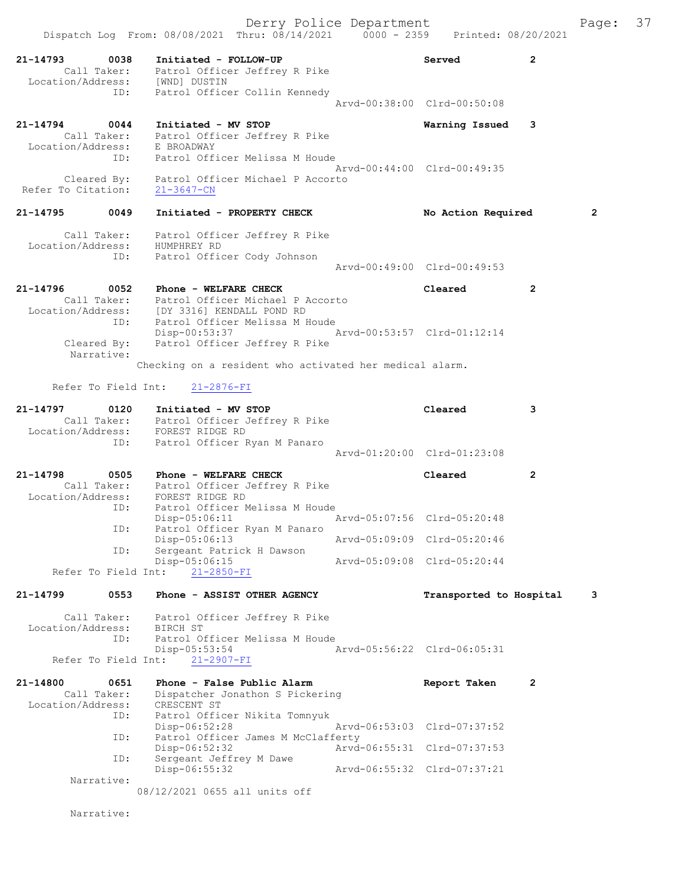Derry Police Department Fage: 37 Dispatch Log From: 08/08/2021 Thru: 08/14/2021 0000 - 2359 Printed: 08/20/2021 21-14793 0038 Initiated - FOLLOW-UP Served 2 Call Taker: Patrol Officer Jeffrey R Pike Location/Address: [WND] DUSTIN ID: Patrol Officer Collin Kennedy Arvd-00:38:00 Clrd-00:50:08 21-14794 0044 Initiated - MV STOP Warning Issued 3 Call Taker: Patrol Officer Jeffrey R Pike Location/Address: E BROADWAY ID: Patrol Officer Melissa M Houde Arvd-00:44:00 Clrd-00:49:35 Cleared By: Patrol Officer Michael P Accorto Refer To Citation: 21-3647-CN 21-14795 0049 Initiated - PROPERTY CHECK No Action Required 2 Call Taker: Patrol Officer Jeffrey R Pike Location/Address: HUMPHREY RD ID: Patrol Officer Cody Johnson Arvd-00:49:00 Clrd-00:49:53 21-14796 0052 Phone - WELFARE CHECK Cleared 2 Call Taker: Patrol Officer Michael P Accorto Location/Address: [DY 3316] KENDALL POND RD ID: Patrol Officer Melissa M Houde Disp-00:53:37 Arvd-00:53:57 Clrd-01:12:14 Cleared By: Patrol Officer Jeffrey R Pike Narrative: Checking on a resident who activated her medical alarm. Refer To Field Int: 21-2876-FI 21-14797 0120 Initiated - MV STOP Cleared 3 Call Taker: Patrol Officer Jeffrey R Pike Location/Address: FOREST RIDGE RD ID: Patrol Officer Ryan M Panaro Arvd-01:20:00 Clrd-01:23:08 21-14798 0505 Phone - WELFARE CHECK Cleared 2 Call Taker: Patrol Officer Jeffrey R Pike Location/Address: FOREST RIDGE RD ID: Patrol Officer Melissa M Houde Disp-05:06:11 Arvd-05:07:56 Clrd-05:20:48 ID: Patrol Officer Ryan M Panaro<br>Disp-05:06:13 Arvd-05:09:09 Clrd-05:20:46 Disp-05:06:13 Arvd-05:09:09 Clrd-05:20:46 ID: Sergeant Patrick H Dawson Disp-05:06:15 Arvd-05:09:08 Clrd-05:20:44 Refer To Field Int: 21-2850-FI 21-14799 0553 Phone - ASSIST OTHER AGENCY Transported to Hospital 3 Call Taker: Patrol Officer Jeffrey R Pike Location/Address: BIRCH ST ID: Patrol Officer Melissa M Houde Disp-05:53:54 Arvd-05:56:22 Clrd-06:05:31 Disp-05:53:54<br>Refer To Field Int:  $\frac{21-2907-FI}{21-2907-FI}$ 21-14800 0651 Phone - False Public Alarm Report Taken 2 Call Taker: Dispatcher Jonathon S Pickering Location/Address: CRESCENT ST ID: Patrol Officer Nikita Tomnyuk Disp-06:52:28 Arvd-06:53:03 Clrd-07:37:52 ID: Patrol Officer James M McClafferty Disp-06:52:32 Arvd-06:55:31 Clrd-07:37:53 ID: Sergeant Jeffrey M Dawe<br>Disp-06:55:32 Disp-06:55:32 Arvd-06:55:32 Clrd-07:37:21 Narrative: 08/12/2021 0655 all units off

Narrative: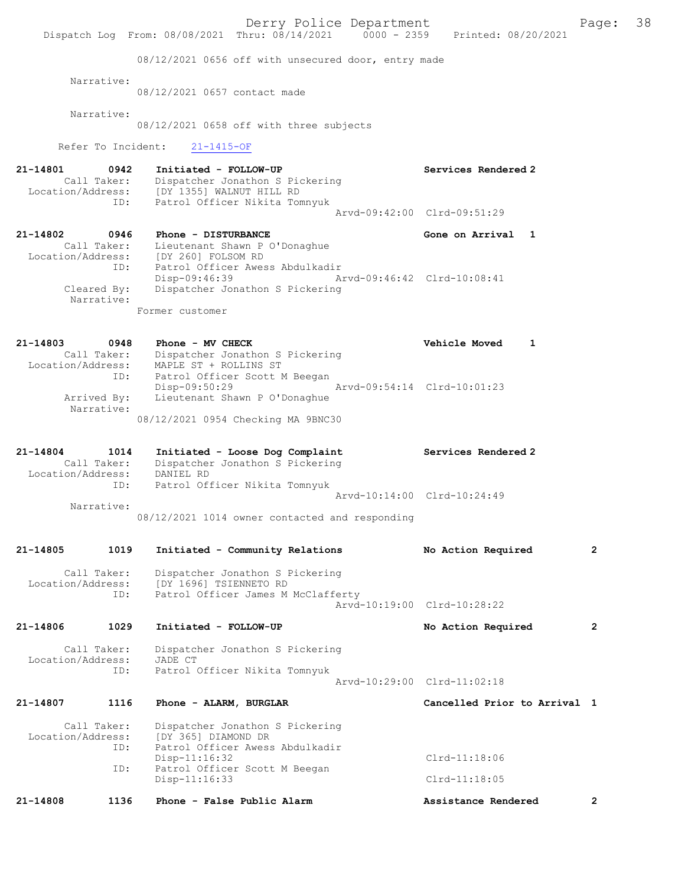Derry Police Department<br>Page: 38 Printed: 08/20/2021 0000 - 2359 Printed: 08/20/2021 Dispatch Log From: 08/08/2021 Thru: 08/14/2021 08/12/2021 0656 off with unsecured door, entry made Narrative: 08/12/2021 0657 contact made Narrative: 08/12/2021 0658 off with three subjects Refer To Incident: 21-1415-OF 21-14801 0942 Initiated - FOLLOW-UP Services Rendered 2 Call Taker: Dispatcher Jonathon S Pickering Location/Address: [DY 1355] WALNUT HILL RD ID: Patrol Officer Nikita Tomnyuk Arvd-09:42:00 Clrd-09:51:29 21-14802 0946 Phone - DISTURBANCE Gone on Arrival 1 Call Taker: Lieutenant Shawn P O'Donaghue Location/Address: [DY 260] FOLSOM RD ID: Patrol Officer Awess Abdulkadir Disp-09:46:39 Arvd-09:46:42 Clrd-10:08:41<br>Cleared By: Dispatcher Jonathon S Pickering Cleared By: Dispatcher Jonathon S Pickering Narrative: Former customer 21-14803 0948 Phone - MV CHECK Vehicle Moved 1 Call Taker: Dispatcher Jonathon S Pickering Location/Address: MAPLE ST + ROLLINS ST ID: Patrol Officer Scott M Beegan Disp-09:50:29 Arvd-09:54:14 Clrd-10:01:23 Arrived By: Lieutenant Shawn P O'Donaghue Narrative: 08/12/2021 0954 Checking MA 9BNC30 21-14804 1014 Initiated - Loose Dog Complaint Services Rendered 2 Call Taker: Dispatcher Jonathon S Pickering Location/Address: DANIEL RD ID: Patrol Officer Nikita Tomnyuk Arvd-10:14:00 Clrd-10:24:49 Narrative: 08/12/2021 1014 owner contacted and responding 21-14805 1019 Initiated - Community Relations No Action Required 2 Call Taker: Dispatcher Jonathon S Pickering Location/Address: [DY 1696] TSIENNETO RD ID: Patrol Officer James M McClafferty Arvd-10:19:00 Clrd-10:28:22 21-14806 1029 Initiated - FOLLOW-UP No Action Required 2 Call Taker: Dispatcher Jonathon S Pickering<br>on/Address: JADE CT Location/Address:<br>ID: Patrol Officer Nikita Tomnyuk Arvd-10:29:00 Clrd-11:02:18 21-14807 1116 Phone - ALARM, BURGLAR Cancelled Prior to Arrival 1 Call Taker: Dispatcher Jonathon S Pickering<br>Location/Address: [DY 365] DIAMOND DR Location/Address: [DY 365] DIAMOND DR ID: Patrol Officer Awess Abdulkadir Disp-11:16:32 Clrd-11:18:06<br>ID: Patrol Officer Scott M Beegan Patrol Officer Scott M Beegan Disp-11:16:33 Clrd-11:18:05 21-14808 1136 Phone - False Public Alarm Assistance Rendered 2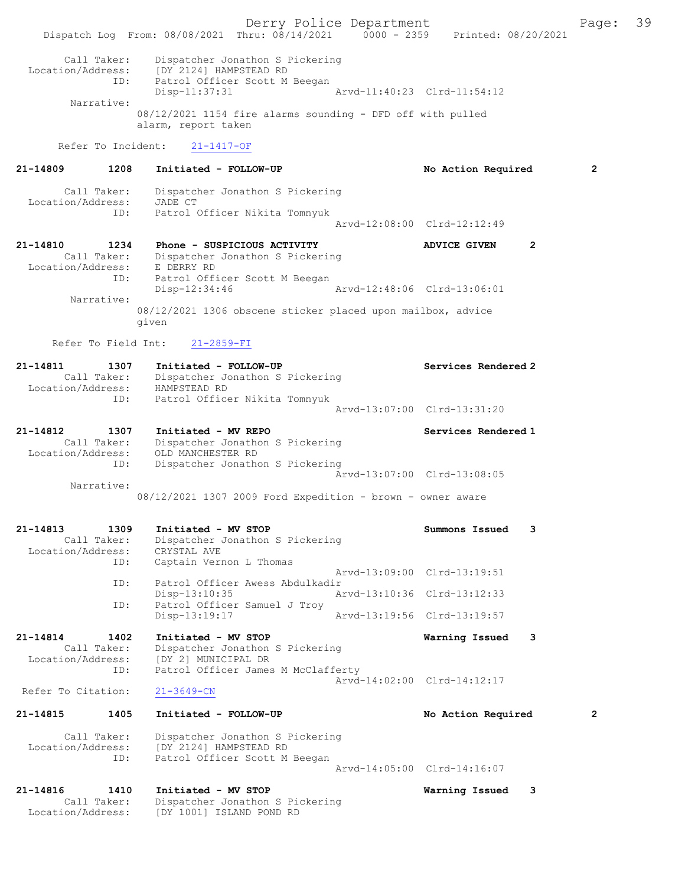Derry Police Department Fage: 39 Dispatch Log From: 08/08/2021 Thru: 08/14/2021 0000 - 2359 Printed: 08/20/2021 Call Taker: Dispatcher Jonathon S Pickering Location/Address: [DY 2124] HAMPSTEAD RD ID: Patrol Officer Scott M Beegan Disp-11:37:31 Arvd-11:40:23 Clrd-11:54:12 Narrative: 08/12/2021 1154 fire alarms sounding - DFD off with pulled alarm, report taken Refer To Incident: 21-1417-OF 21-14809 1208 Initiated - FOLLOW-UP No Action Required 2 Call Taker: Dispatcher Jonathon S Pickering Location/Address: JADE CT ID: Patrol Officer Nikita Tomnyuk Arvd-12:08:00 Clrd-12:12:49 21-14810 1234 Phone - SUSPICIOUS ACTIVITY ADVICE GIVEN 2 Call Taker: Dispatcher Jonathon S Pickering Location/Address: E DERRY RD ID: Patrol Officer Scott M Beegan<br>Disp-12:34:46 Disp-12:34:46 Arvd-12:48:06 Clrd-13:06:01 Narrative: 08/12/2021 1306 obscene sticker placed upon mailbox, advice given Refer To Field Int: 21-2859-FI 21-14811 1307 Initiated - FOLLOW-UP Services Rendered 2 Call Taker: Dispatcher Jonathon S Pickering Location/Address: HAMPSTEAD RD ID: Patrol Officer Nikita Tomnyuk Arvd-13:07:00 Clrd-13:31:20 21-14812 1307 Initiated - MV REPO Services Rendered 1 Call Taker: Dispatcher Jonathon S Pickering Location/Address: OLD MANCHESTER RD ID: Dispatcher Jonathon S Pickering Arvd-13:07:00 Clrd-13:08:05 Narrative: 08/12/2021 1307 2009 Ford Expedition - brown - owner aware 21-14813 1309 Initiated - MV STOP Summons Issued 3 Call Taker: Dispatcher Jonathon S Pickering<br>ion/Address: CRYSTAL AVE Location/Address:<br>TD: Captain Vernon L Thomas Arvd-13:09:00 Clrd-13:19:51 ID: Patrol Officer Awess Abdulkadir Disp-13:10:35 Arvd-13:10:36 Clrd-13:12:33<br>TD: Patrol Officer Samuel J Trov Patrol Officer Samuel J Troy Disp-13:19:17 Arvd-13:19:56 Clrd-13:19:57 21-14814 1402 Initiated - MV STOP Warning Issued 3 Call Taker: Dispatcher Jonathon S Pickering Location/Address: [DY 2] MUNICIPAL DR ID: Patrol Officer James M McClafferty Arvd-14:02:00 Clrd-14:12:17 Refer To Citation: 21-3649-CN 21-14815 1405 Initiated - FOLLOW-UP No Action Required 2 Call Taker: Dispatcher Jonathon S Pickering Location/Address: [DY 2124] HAMPSTEAD RD ID: Patrol Officer Scott M Beegan Arvd-14:05:00 Clrd-14:16:07 21-14816 1410 Initiated - MV STOP Warning Issued 3 Call Taker: Dispatcher Jonathon S Pickering Location/Address: [DY 1001] ISLAND POND RD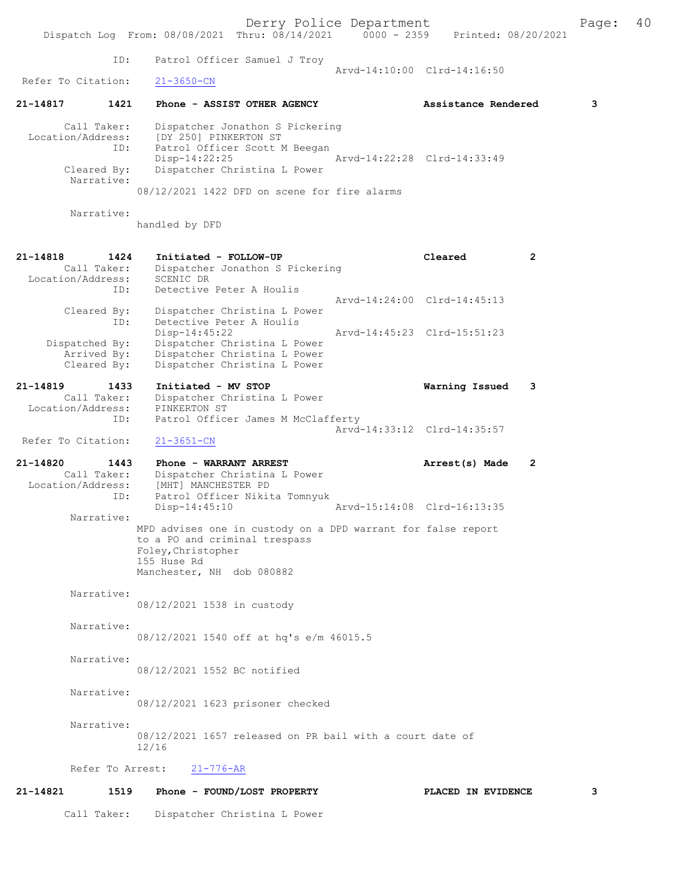Derry Police Department<br>
Page: 40<br>
Printed: 08/20/2021<br>
Printed: 08/20/2021 Dispatch Log From: 08/08/2021 Thru: 08/14/2021 ID: Patrol Officer Samuel J Troy Arvd-14:10:00 Clrd-14:16:50<br>21-3650-CN Refer To Citation: 21-14817 1421 Phone - ASSIST OTHER AGENCY Assistance Rendered 3 Call Taker: Dispatcher Jonathon S Pickering Location/Address: [DY 250] PINKERTON ST<br>TD: Patrol Officer Scott M Patrol Officer Scott M Beegan<br>Disp-14:22:25 Disp-14:22:25 Arvd-14:22:28 Clrd-14:33:49 Cleared By: Dispatcher Christina L Power Narrative: 08/12/2021 1422 DFD on scene for fire alarms Narrative: handled by DFD 21-14818 1424 Initiated - FOLLOW-UP Cleared 2 Call Taker: Dispatcher Jonathon S Pickering<br>on/Address: SCENIC DR Location/Address:<br>ID: Detective Peter A Houlis Arvd-14:24:00 Clrd-14:45:13 Cleared By: Dispatcher Christina L Power ID: Detective Peter A Houlis<br>Disp-14:45:22 Disp-14:45:22 Arvd-14:45:23 Clrd-15:51:23<br>Dispatched By: Dispatcher Christina L Power Dispatcher Christina L Power Arrived By: Dispatcher Christina L Power Cleared By: Dispatcher Christina L Power 21-14819 1433 Initiated - MV STOP Warning Issued 3 Call Taker: Dispatcher Christina L Power<br>ion/Address: PINKERTON ST Location/Address:<br>ID: Patrol Officer James M McClafferty Arvd-14:33:12 Clrd-14:35:57 Refer To Citation: 21-3651-CN 21-14820 1443 Phone - WARRANT ARREST 21-14820 Arrest(s) Made 2 Call Taker: Dispatcher Christina L Power<br>Location/Address: [MHT] MANCHESTER PD ess: [MHT] MANCHESTER PD<br>ID: Patrol Officer Nikit Patrol Officer Nikita Tomnyuk<br>Disp-14:45:10 Arvd-15:14:08 Clrd-16:13:35 Narrative: MPD advises one in custody on a DPD warrant for false report to a PO and criminal trespass Foley,Christopher 155 Huse Rd Manchester, NH dob 080882 Narrative: 08/12/2021 1538 in custody Narrative: 08/12/2021 1540 off at hq's e/m 46015.5 Narrative: 08/12/2021 1552 BC notified Narrative: 08/12/2021 1623 prisoner checked Narrative: 08/12/2021 1657 released on PR bail with a court date of 12/16 Refer To Arrest: 21-776-AR 21-14821 1519 Phone - FOUND/LOST PROPERTY PLACED IN EVIDENCE 3

Call Taker: Dispatcher Christina L Power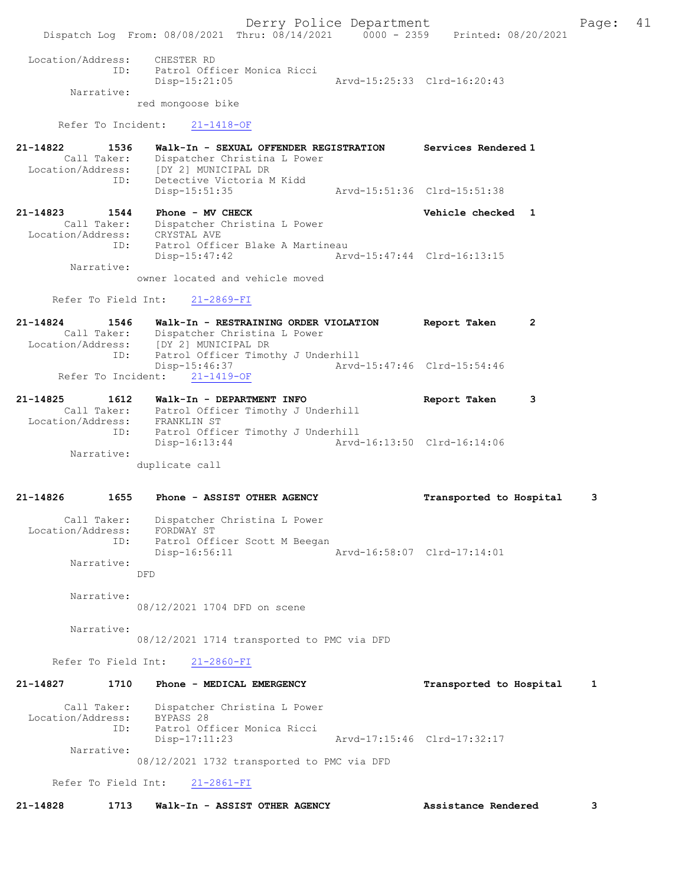Derry Police Department Fage: 41 Dispatch Log From: 08/08/2021 Thru: 08/14/2021 0000 - 2359 Printed: 08/20/2021 Location/Address: CHESTER RD ID: Patrol Officer Monica Ricci Arvd-15:25:33 Clrd-16:20:43 Narrative: red mongoose bike Refer To Incident: 21-1418-OF 21-14822 1536 Walk-In - SEXUAL OFFENDER REGISTRATION Services Rendered 1 Call Taker: Dispatcher Christina L Power Location/Address: [DY 2] MUNICIPAL DR ID: Detective Victoria M Kidd Disp-15:51:35 Arvd-15:51:36 Clrd-15:51:38 21-14823 1544 Phone - MV CHECK 21-14823 Vehicle checked 1 Call Taker: Dispatcher Christina L Power Location/Address: CRYSTAL AVE ID: Patrol Officer Blake A Martineau<br>Disp-15:47:42 Ary Disp-15:47:42 Arvd-15:47:44 Clrd-16:13:15 Narrative: owner located and vehicle moved Refer To Field Int: 21-2869-FI 21-14824 1546 Walk-In - RESTRAINING ORDER VIOLATION Report Taken 2 Call Taker: Dispatcher Christina L Power<br>Location/Address: [DY 2] MUNICIPAL DR ess: [DY<sup>^</sup>2] MUNICIPAL DR<br>ID: Patrol Officer Timot Patrol Officer Timothy J Underhill<br>Disp-15:46:37 Arvd-15:46:37 <br>21-1419-0F <br>21-1419-0F Refer To Incident: 21-14825 1612 Walk-In - DEPARTMENT INFO Report Taken 3 Call Taker: Patrol Officer Timothy J Underhill Location/Address: FRANKLIN ST ID: Patrol Officer Timothy J Underhill<br>Disp-16:13:44 Arvd Disp-16:13:44 Arvd-16:13:50 Clrd-16:14:06 Narrative: duplicate call 21-14826 1655 Phone - ASSIST OTHER AGENCY Transported to Hospital 3 Call Taker: Dispatcher Christina L Power Location/Address: FORDWAY ST ID: Patrol Officer Scott M Beegan<br>Disp-16:56:11 Disp-16:56:11 Arvd-16:58:07 Clrd-17:14:01 Narrative: DFD Narrative: 08/12/2021 1704 DFD on scene Narrative: 08/12/2021 1714 transported to PMC via DFD Refer To Field Int: 21-2860-FI 21-14827 1710 Phone - MEDICAL EMERGENCY Transported to Hospital 1 Call Taker: Dispatcher Christina L Power Location/Address: BYPASS 28 ID: Patrol Officer Monica Ricci Arvd-17:15:46 Clrd-17:32:17 Narrative: 08/12/2021 1732 transported to PMC via DFD Refer To Field Int: 21-2861-FI

21-14828 1713 Walk-In - ASSIST OTHER AGENCY Assistance Rendered 3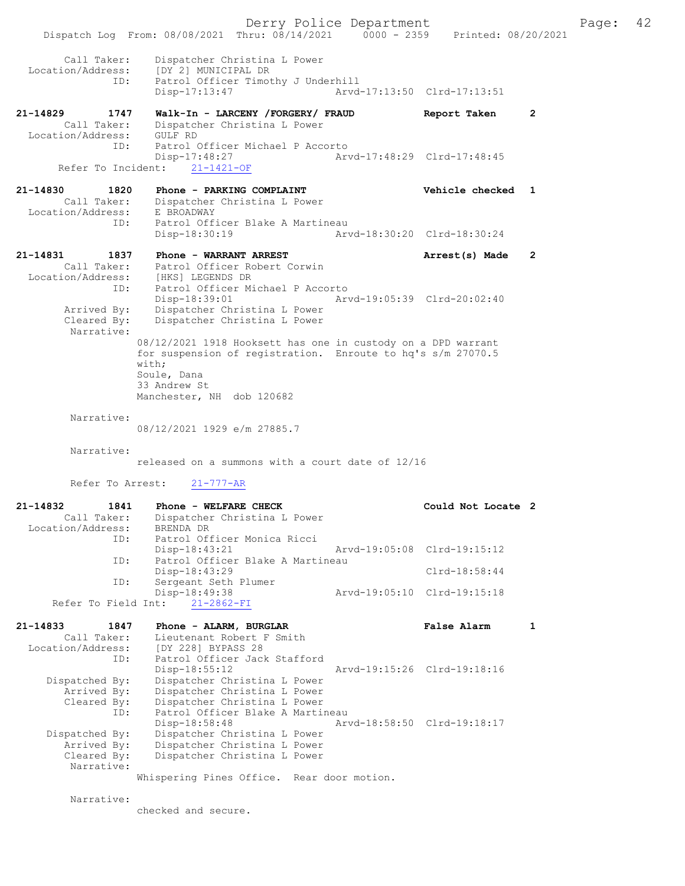Derry Police Department Fage: 42 Dispatch Log From: 08/08/2021 Thru: 08/14/2021 0000 - 2359 Printed: 08/20/2021 Call Taker: Dispatcher Christina L Power Location/Address: [DY 2] MUNICIPAL DR ID: Patrol Officer Timothy J Underhill Disp-17:13:47 Arvd-17:13:50 Clrd-17:13:51 21-14829 1747 Walk-In - LARCENY /FORGERY/ FRAUD Report Taken 2 Call Taker: Dispatcher Christina L Power Location/Address: GULF RD ID: Patrol Officer Michael P Accorto<br>Disp-17:48:27 Arv Disp-17:48:27 Arvd-17:48:29 Clrd-17:48:45 Refer To Incident: 21-1421-OF 21-14830 1820 Phone - PARKING COMPLAINT Vehicle checked 1 Call Taker: Dispatcher Christina L Power Location/Address: E BROADWAY ID: Patrol Officer Blake A Martineau Disp-18:30:19 Arvd-18:30:20 Clrd-18:30:24 21-14831 1837 Phone - WARRANT ARREST Arrest(s) Made 2 Call Taker: Patrol Officer Robert Corwin Location/Address: [HKS] LEGENDS DR ID: Patrol Officer Michael P Accorto Disp-18:39:01 Arvd-19:05:39 Clrd-20:02:40 Arrived By: Dispatcher Christina L Power Cleared By: Dispatcher Christina L Power Narrative: 08/12/2021 1918 Hooksett has one in custody on a DPD warrant for suspension of registration. Enroute to hq's s/m 27070.5 with; Soule, Dana 33 Andrew St Manchester, NH dob 120682 Narrative: 08/12/2021 1929 e/m 27885.7 Narrative: released on a summons with a court date of 12/16 Refer To Arrest: 21-777-AR 21-14832 1841 Phone - WELFARE CHECK Could Not Locate 2 Call Taker: Dispatcher Christina L Power Location/Address: BRENDA DR ID: Patrol Officer Monica Ricci Disp-18:43:21 Arvd-19:05:08 Clrd-19:15:12 ID: Patrol Officer Blake A Martineau Disp-18:43:29 Clrd-18:58:44 ID: Sergeant Seth Plumer Disp-18:49:38 Arvd-19:05:10 Clrd-19:15:18 Refer To Field Int: 21-2862-FI 21-14833 1847 Phone - ALARM, BURGLAR False Alarm 1 Call Taker: Lieutenant Robert F Smith Location/Address: [DY 228] BYPASS 28 ID: Patrol Officer Jack Stafford Disp-18:55:12 Arvd-19:15:26 Clrd-19:18:16 Dispatched By: Dispatcher Christina L Power Arrived By: Dispatcher Christina L Power Cleared By: Dispatcher Christina L Power ID: Patrol Officer Blake A Martineau Disp-18:58:48 Arvd-18:58:50 Clrd-19:18:17 Dispatched By: Dispatcher Christina L Power Arrived By: Dispatcher Christina L Power<br>Cleared By: Dispatcher Christina L Power Dispatcher Christina L Power Narrative: Whispering Pines Office. Rear door motion.

Narrative:

checked and secure.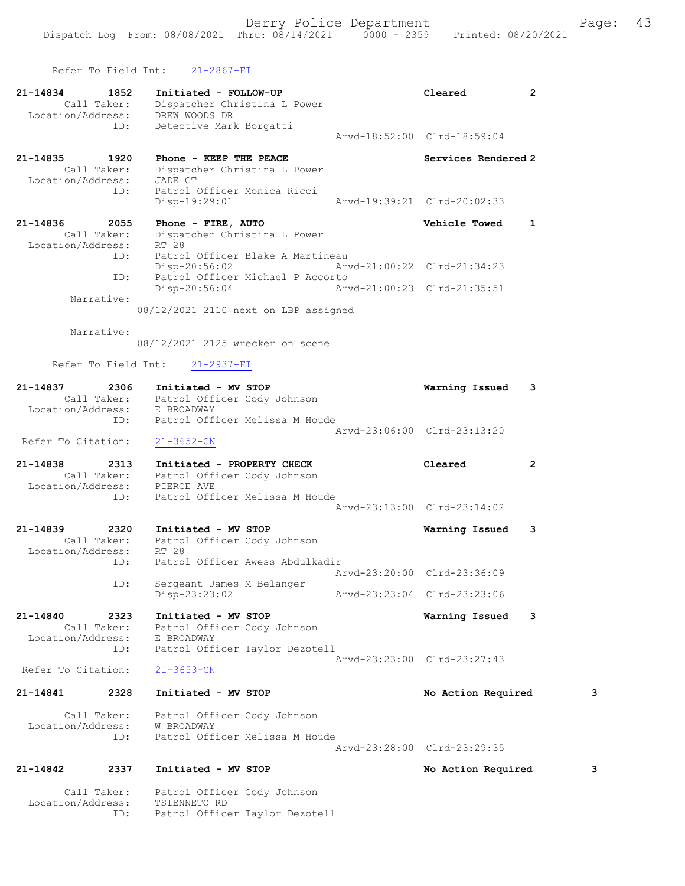Refer To Field Int: 21-2867-FI

ID: Patrol Officer Taylor Dezotell

| 21-14834<br>Location/Address: | 1852<br>Call Taker:                      | Initiated - FOLLOW-UP<br>Dispatcher Christina L Power<br>DREW WOODS DR                                |                             | Cleared                     | $\mathbf{2}$ |
|-------------------------------|------------------------------------------|-------------------------------------------------------------------------------------------------------|-----------------------------|-----------------------------|--------------|
|                               | ID:                                      | Detective Mark Borgatti                                                                               |                             | Arvd-18:52:00 Clrd-18:59:04 |              |
| 21-14835<br>Location/Address: | 1920<br>Call Taker:<br>ID:               | Phone - KEEP THE PEACE<br>Dispatcher Christina L Power<br>JADE CT<br>Patrol Officer Monica Ricci      |                             | Services Rendered 2         |              |
|                               |                                          | Disp-19:29:01                                                                                         |                             | Arvd-19:39:21 Clrd-20:02:33 |              |
| 21-14836<br>Location/Address: | 2055<br>Call Taker:                      | Phone - FIRE, AUTO<br>Dispatcher Christina L Power<br>RT 28                                           |                             | Vehicle Towed               | 1            |
|                               | ID:<br>ID:                               | Patrol Officer Blake A Martineau<br>Disp-20:56:02<br>Patrol Officer Michael P Accorto                 |                             | Arvd-21:00:22 Clrd-21:34:23 |              |
|                               | Narrative:                               | Disp-20:56:04                                                                                         | Arvd-21:00:23 Clrd-21:35:51 |                             |              |
|                               |                                          | 08/12/2021 2110 next on LBP assigned                                                                  |                             |                             |              |
|                               | Narrative:                               | 08/12/2021 2125 wrecker on scene                                                                      |                             |                             |              |
|                               | Refer To Field Int:                      | 21-2937-FI                                                                                            |                             |                             |              |
| 21-14837                      |                                          | 7 2306 Initiated - MV STOP<br>Call Taker: Patrol Officer Cody Johnson<br>Location/Address: E BROADWAY |                             | Warning Issued              | 3            |
|                               | ID:                                      | Patrol Officer Melissa M Houde                                                                        |                             |                             |              |
| Refer To Citation:            |                                          | $21 - 3652 - CN$                                                                                      |                             | Arvd-23:06:00 Clrd-23:13:20 |              |
| 21-14838<br>Location/Address: | 2313                                     | Initiated - PROPERTY CHECK<br>Call Taker: Patrol Officer Cody Johnson<br>PIERCE AVE                   |                             | Cleared                     | $\mathbf{2}$ |
|                               | ID:                                      | Patrol Officer Melissa M Houde                                                                        |                             | Arvd-23:13:00 Clrd-23:14:02 |              |
| 21-14839                      | 2320                                     | Initiated - MV STOP<br>Call Taker: Patrol Officer Cody Johnson                                        |                             | Warning Issued              | 3            |
| Location/Address:             | ID:                                      | RT 28<br>Patrol Officer Awess Abdulkadir                                                              |                             | Arvd-23:20:00 Clrd-23:36:09 |              |
|                               | ID:                                      | Sergeant James M Belanger<br>Disp-23:23:02                                                            |                             | Arvd-23:23:04 Clrd-23:23:06 |              |
| 21-14840                      | 2323<br>Call Taker:<br>Location/Address: | Initiated - MV STOP<br>Patrol Officer Cody Johnson<br>E BROADWAY                                      |                             | Warning Issued              | 3            |
|                               | ID:                                      | Patrol Officer Taylor Dezotell                                                                        |                             | Arvd-23:23:00 Clrd-23:27:43 |              |
| Refer To Citation:            |                                          | $21 - 3653 - CN$                                                                                      |                             |                             |              |
| 21-14841                      | 2328                                     | Initiated - MV STOP                                                                                   |                             | No Action Required          | 3            |
| Location/Address:             | Call Taker:<br>ID:                       | Patrol Officer Cody Johnson<br>W BROADWAY<br>Patrol Officer Melissa M Houde                           |                             |                             |              |
|                               |                                          |                                                                                                       |                             | Arvd-23:28:00 Clrd-23:29:35 |              |
| 21-14842                      | 2337                                     | Initiated - MV STOP                                                                                   |                             | No Action Required          | 3            |
| Location/Address:             | Call Taker:                              | Patrol Officer Cody Johnson<br>TSIENNETO RD                                                           |                             |                             |              |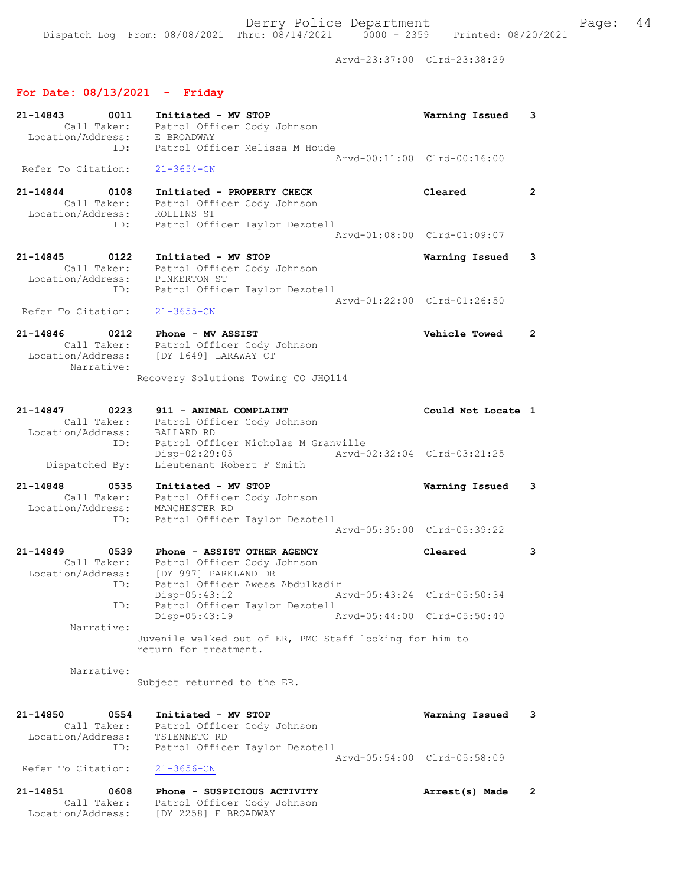Dispatch Log From: 08/08/2021 Thru: 08/14/2021 0000 - 2359 Printed: 08/20/2021

Arvd-23:37:00 Clrd-23:38:29

# For Date: 08/13/2021 - Friday

| 21-14843<br>0011<br>Call Taker:<br>Location/Address:<br>ID:        | Initiated - MV STOP<br>Patrol Officer Cody Johnson<br>E BROADWAY<br>Patrol Officer Melissa M Houde                    | Warning Issued                                | 3              |
|--------------------------------------------------------------------|-----------------------------------------------------------------------------------------------------------------------|-----------------------------------------------|----------------|
| Refer To Citation:                                                 | $21 - 3654 - CN$                                                                                                      | Arvd-00:11:00 Clrd-00:16:00                   |                |
| 21-14844<br>0108<br>Call Taker:<br>Location/Address:<br>ID:        | Initiated - PROPERTY CHECK<br>Patrol Officer Cody Johnson<br>ROLLINS ST<br>Patrol Officer Taylor Dezotell             | Cleared                                       | $\mathbf{2}$   |
|                                                                    |                                                                                                                       | Arvd-01:08:00 Clrd-01:09:07                   |                |
| 21-14845<br>0122<br>Call Taker:<br>Location/Address:<br>ID:        | Initiated - MV STOP<br>Patrol Officer Cody Johnson<br>PINKERTON ST<br>Patrol Officer Taylor Dezotell                  | Warning Issued<br>Arvd-01:22:00 Clrd-01:26:50 | 3              |
| Refer To Citation:                                                 | $21 - 3655 - CN$                                                                                                      |                                               |                |
| 21-14846<br>0212<br>Call Taker:<br>Location/Address:<br>Narrative: | Phone - MV ASSIST<br>Patrol Officer Cody Johnson<br>[DY 1649] LARAWAY CT                                              | Vehicle Towed                                 | $\overline{2}$ |
|                                                                    | Recovery Solutions Towing CO JHQ114                                                                                   |                                               |                |
| 21-14847<br>0223<br>Call Taker:<br>Location/Address:               | 911 - ANIMAL COMPLAINT<br>Patrol Officer Cody Johnson<br><b>BALLARD RD</b>                                            | Could Not Locate 1                            |                |
| ID:<br>Dispatched By:                                              | Patrol Officer Nicholas M Granville<br>Disp-02:29:05<br>Lieutenant Robert F Smith                                     | Arvd-02:32:04 Clrd-03:21:25                   |                |
| 21-14848<br>0535<br>Call Taker:<br>Location/Address:<br>ID:        | Initiated - MV STOP<br>Patrol Officer Cody Johnson<br>MANCHESTER RD<br>Patrol Officer Taylor Dezotell                 | Warning Issued                                | 3              |
|                                                                    |                                                                                                                       | Arvd-05:35:00 Clrd-05:39:22                   |                |
| 21-14849<br>0539<br>Call Taker:<br>Location/Address:<br>ID:        | Phone - ASSIST OTHER AGENCY<br>Patrol Officer Cody Johnson<br>[DY 997] PARKLAND DR<br>Patrol Officer Awess Abdulkadir | Cleared                                       | 3              |
| ID:                                                                | $Disp-05:43:12$<br>Arvd-05:43:24 Clrd-05:50:34<br>Patrol Officer Taylor Dezotell                                      |                                               |                |
| Narrative:                                                         | Disp-05:43:19<br>Juvenile walked out of ER, PMC Staff looking for him to<br>return for treatment.                     | Arvd-05:44:00 Clrd-05:50:40                   |                |
| Narrative:                                                         | Subject returned to the ER.                                                                                           |                                               |                |
| 21-14850<br>0554<br>Call Taker:<br>Location/Address:<br>ID:        | Initiated - MV STOP<br>Patrol Officer Cody Johnson<br>TSIENNETO RD<br>Patrol Officer Taylor Dezotell                  | Warning Issued                                | 3              |
| Refer To Citation:                                                 | $21 - 3656 - CN$                                                                                                      | Arvd-05:54:00 Clrd-05:58:09                   |                |
| 21-14851<br>0608<br>Call Taker:<br>Location/Address:               | Phone - SUSPICIOUS ACTIVITY<br>Patrol Officer Cody Johnson<br>[DY 2258] E BROADWAY                                    | Arrest(s) Made                                | $\mathbf{2}$   |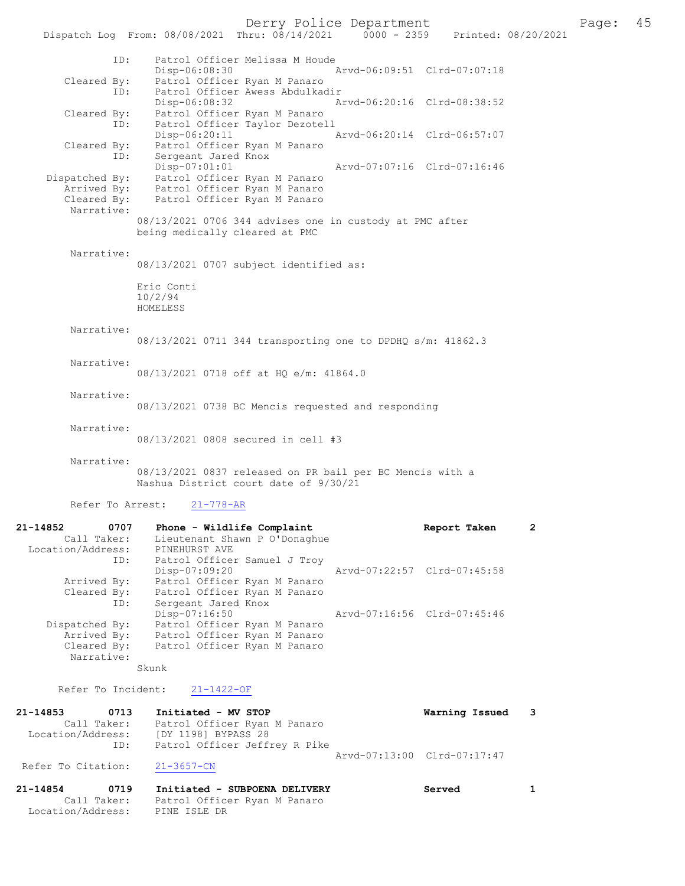Derry Police Department<br>Page: 45 Printed: 08/20/2021 0000 - 2359 Printed: 08/20/2021

Dispatch Log From: 08/08/2021 Thru: 08/14/2021 ID: Patrol Officer Melissa M Houde Disp-06:08:30 Arvd-06:09:51 Clrd-07:07:18 Cleared By: Patrol Officer Ryan M Panaro ID: Patrol Officer Awess Abdulkadir<br>Disp-06:08:32 A Disp-06:08:32 Arvd-06:20:16 Clrd-08:38:52 Cleared By: Patrol Officer Ryan M Panaro ID: Patrol Officer Taylor Dezotell Disp-06:20:11 Arvd-06:20:14 Clrd-06:57:07 Cleared By: Patrol Officer Ryan M Panaro ID: Sergeant Jared Knox<br>Disp-07:01:01 Disp-07:01:01 Arvd-07:07:16 Clrd-07:16:46 Dispatched By: Patrol Officer Ryan M Panaro Arrived By: Patrol Officer Ryan M Panaro Cleared By: Patrol Officer Ryan M Panaro Narrative: 08/13/2021 0706 344 advises one in custody at PMC after being medically cleared at PMC Narrative: 08/13/2021 0707 subject identified as: Eric Conti 10/2/94 HOMELESS Narrative: 08/13/2021 0711 344 transporting one to DPDHQ s/m: 41862.3 Narrative: 08/13/2021 0718 off at HQ e/m: 41864.0 Narrative: 08/13/2021 0738 BC Mencis requested and responding Narrative: 08/13/2021 0808 secured in cell #3 Narrative: 08/13/2021 0837 released on PR bail per BC Mencis with a Nashua District court date of 9/30/21 Refer To Arrest: 21-778-AR 21-14852 0707 Phone - Wildlife Complaint 1997 Report Taken 2 Call Taker: Lieutenant Shawn P O'Donaghue Location/Address: PINEHURST AVE ID: Patrol Officer Samuel J Troy Disp-07:09:20 Arvd-07:22:57 Clrd-07:45:58 Arrived By: Patrol Officer Ryan M Panaro Cleared By: Patrol Officer Ryan M Panaro ID: Sergeant Jared Knox Disp-07:16:50 Arvd-07:16:56 Clrd-07:45:46 Dispatched By: Patrol Officer Ryan M Panaro Arrived By: Patrol Officer Ryan M Panaro Cleared By: Patrol Officer Ryan M Panaro Narrative: Skunk Refer To Incident: 21-1422-OF 21-14853 0713 Initiated - MV STOP Warning Issued 3 Call Taker: Patrol Officer Ryan M Panaro Location/Address: [DY 1198] BYPASS 28 ID: Patrol Officer Jeffrey R Pike Arvd-07:13:00 Clrd-07:17:47<br>21-3657-CN Refer To Citation:

21-14854 0719 Initiated - SUBPOENA DELIVERY Served 1 Call Taker: Patrol Officer Ryan M Panaro Location/Address: PINE ISLE DR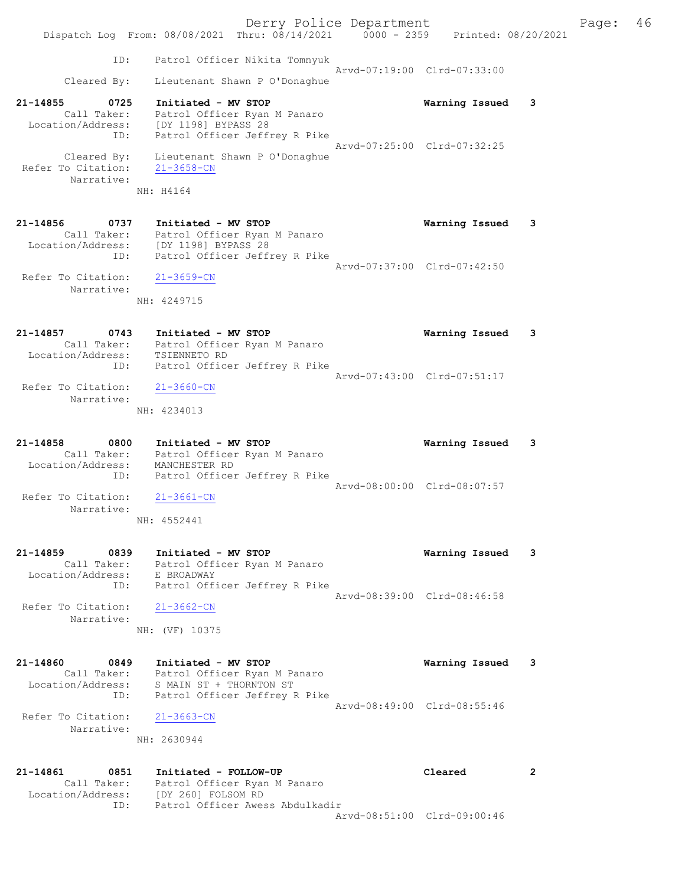Derry Police Department Fage: 46 Dispatch Log From: 08/08/2021 Thru: 08/14/2021 0000 - 2359 Printed: 08/20/2021 ID: Patrol Officer Nikita Tomnyuk Arvd-07:19:00 Clrd-07:33:00 Cleared By: Lieutenant Shawn P O'Donaghue 21-14855 0725 Initiated - MV STOP Warning Issued 3 Call Taker: Patrol Officer Ryan M Panaro Location/Address: [DY 1198] BYPASS 28 ID: Patrol Officer Jeffrey R Pike Arvd-07:25:00 Clrd-07:32:25 Cleared By: Lieutenant Shawn P O'Donaghue Refer To Citation: 21-3658-CN Narrative: NH: H4164 21-14856 0737 Initiated - MV STOP Warning Issued 3 Call Taker: Patrol Officer Ryan M Panaro Location/Address: [DY 1198] BYPASS 28 ID: Patrol Officer Jeffrey R Pike Arvd-07:37:00 Clrd-07:42:50 Refer To Citation: 21-3659-CN Narrative: NH: 4249715 21-14857 0743 Initiated - MV STOP Warning Issued 3 Call Taker: Patrol Officer Ryan M Panaro Location/Address: TSIENNETO RD ID: Patrol Officer Jeffrey R Pike Arvd-07:43:00 Clrd-07:51:17 Refer To Citation: 21-3660-CN Narrative: NH: 4234013 21-14858 0800 Initiated - MV STOP Warning Issued 3 Call Taker: Patrol Officer Ryan M Panaro Location/Address: MANCHESTER RD ID: Patrol Officer Jeffrey R Pike Arvd-08:00:00 Clrd-08:07:57 Refer To Citation: 21-3661-CN Narrative: NH: 4552441 21-14859 0839 Initiated - MV STOP Warning Issued 3 Call Taker: Patrol Officer Ryan M Panaro Location/Address: E BROADWAY ID: Patrol Officer Jeffrey R Pike Arvd-08:39:00 Clrd-08:46:58 Refer To Citation: 21-3662-CN Narrative: NH: (VF) 10375 21-14860 0849 Initiated - MV STOP Warning Issued 3 Call Taker: Patrol Officer Ryan M Panaro Location/Address: S MAIN ST + THORNTON ST ID: Patrol Officer Jeffrey R Pike Arvd-08:49:00 Clrd-08:55:46 Refer To Citation: 21-3663-CN Narrative: NH: 2630944 21-14861 0851 Initiated - FOLLOW-UP Cleared 2 Call Taker: Patrol Officer Ryan M Panaro Location/Address: [DY 260] FOLSOM RD ID: Patrol Officer Awess Abdulkadir

Arvd-08:51:00 Clrd-09:00:46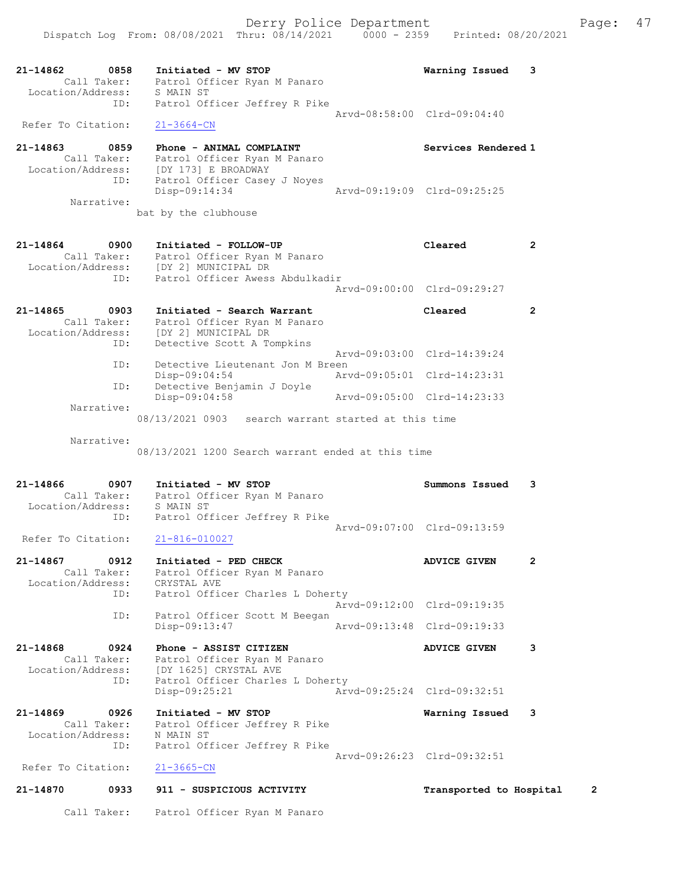| 21-14862 0858<br>Location/Address: | Initiated - MV STOP<br>Call Taker: Patrol Officer Ryan M Panaro<br>S MAIN ST      | Warning Issued              | 3            |
|------------------------------------|-----------------------------------------------------------------------------------|-----------------------------|--------------|
| ID:                                | Patrol Officer Jeffrey R Pike                                                     | Arvd-08:58:00 Clrd-09:04:40 |              |
| Refer To Citation:                 | $21 - 3664 - CN$                                                                  |                             |              |
| $21 - 14863$<br>0859               | Phone - ANIMAL COMPLAINT                                                          | Services Rendered 1         |              |
| Call Taker:<br>Location/Address:   | Patrol Officer Ryan M Panaro<br>[DY 173] E BROADWAY                               |                             |              |
| ID:                                | Patrol Officer Casey J Noyes<br>Disp-09:14:34                                     | Arvd-09:19:09 Clrd-09:25:25 |              |
| Narrative:                         |                                                                                   |                             |              |
|                                    | bat by the clubhouse                                                              |                             |              |
| 21-14864<br>0900                   | Initiated - FOLLOW-UP                                                             | Cleared                     | $\mathbf{2}$ |
|                                    | Call Taker: Patrol Officer Ryan M Panaro<br>Location/Address: [DY 2] MUNICIPAL DR |                             |              |
| ID:                                | Patrol Officer Awess Abdulkadir                                                   |                             |              |
|                                    |                                                                                   | Arvd-09:00:00 Clrd-09:29:27 |              |
| 21-14865<br>0903<br>Call Taker:    | Initiated - Search Warrant<br>Patrol Officer Ryan M Panaro                        | Cleared                     | $\mathbf{2}$ |
|                                    | Location/Address: [DY 2] MUNICIPAL DR                                             |                             |              |
| ID:                                | Detective Scott A Tompkins                                                        | Arvd-09:03:00 Clrd-14:39:24 |              |
| ID:                                | Detective Lieutenant Jon M Breen<br>Disp-09:04:54                                 | Arvd-09:05:01 Clrd-14:23:31 |              |
| ID:                                | Detective Benjamin J Doyle                                                        |                             |              |
| Narrative:                         | $Disp-09:04:58$                                                                   | Arvd-09:05:00 Clrd-14:23:33 |              |
|                                    | 08/13/2021 0903 search warrant started at this time                               |                             |              |
| Narrative:                         |                                                                                   |                             |              |
|                                    | 08/13/2021 1200 Search warrant ended at this time                                 |                             |              |
| 21-14866<br>0907                   | Initiated - MV STOP                                                               | Summons Issued              | 3            |
| Location/Address: S MAIN ST        | Call Taker: Patrol Officer Ryan M Panaro                                          |                             |              |
| ID:                                | Patrol Officer Jeffrey R Pike                                                     |                             |              |
| Refer To Citation:                 | $21 - 816 - 010027$                                                               | Arvd-09:07:00 Clrd-09:13:59 |              |
| 21-14867<br>0912                   | Initiated - PED CHECK                                                             | <b>ADVICE GIVEN</b>         | 2            |
| Call Taker:                        | Patrol Officer Ryan M Panaro                                                      |                             |              |
| Location/Address:<br>ID:           | CRYSTAL AVE<br>Patrol Officer Charles L Doherty                                   |                             |              |
| ID:                                | Patrol Officer Scott M Beegan                                                     | Arvd-09:12:00 Clrd-09:19:35 |              |
|                                    | Disp-09:13:47                                                                     | Arvd-09:13:48 Clrd-09:19:33 |              |
| 21-14868<br>0924                   | Phone - ASSIST CITIZEN                                                            | <b>ADVICE GIVEN</b>         | 3            |
| Call Taker:<br>Location/Address:   | Patrol Officer Ryan M Panaro<br>[DY 1625] CRYSTAL AVE                             |                             |              |
| ID:                                | Patrol Officer Charles L Doherty<br>Disp-09:25:21                                 | Arvd-09:25:24 Clrd-09:32:51 |              |
|                                    |                                                                                   |                             |              |
| 21-14869<br>0926<br>Call Taker:    | Initiated - MV STOP<br>Patrol Officer Jeffrey R Pike                              | Warning Issued              | 3            |
| Location/Address:<br>ID:           | N MAIN ST<br>Patrol Officer Jeffrey R Pike                                        |                             |              |
|                                    |                                                                                   |                             |              |
|                                    | Arvd-09:26:23 Clrd-09:32:51                                                       |                             |              |
| Refer To Citation:                 | $21 - 3665 - CN$                                                                  |                             |              |
| 21-14870<br>0933                   | 911 - SUSPICIOUS ACTIVITY                                                         | Transported to Hospital     | 2            |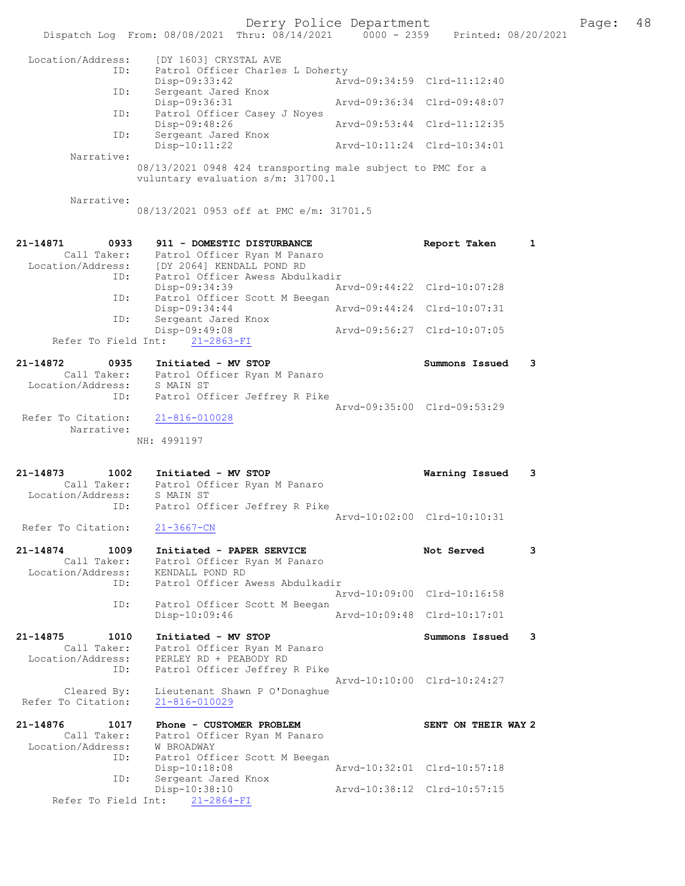|                                                             | Dispatch Log From: 08/08/2021 Thru: 08/14/2021 0000 - 2359 Printed: 08/20/2021                                                         | Derry Police Department     |                                               |   | Page: | 48 |
|-------------------------------------------------------------|----------------------------------------------------------------------------------------------------------------------------------------|-----------------------------|-----------------------------------------------|---|-------|----|
| Location/Address:                                           | [DY 1603] CRYSTAL AVE                                                                                                                  |                             |                                               |   |       |    |
| ID:                                                         | Patrol Officer Charles L Doherty<br>$Disp-09:33:42$                                                                                    |                             | Arvd-09:34:59 Clrd-11:12:40                   |   |       |    |
| ID:                                                         | Sergeant Jared Knox<br>Disp-09:36:31                                                                                                   | Arvd-09:36:34 Clrd-09:48:07 |                                               |   |       |    |
| ID:                                                         | Patrol Officer Casey J Noyes<br>Disp-09:48:26                                                                                          | Arvd-09:53:44 Clrd-11:12:35 |                                               |   |       |    |
| ID:                                                         | Sergeant Jared Knox<br>$Disp-10:11:22$                                                                                                 | Arvd-10:11:24 Clrd-10:34:01 |                                               |   |       |    |
| Narrative:                                                  | 08/13/2021 0948 424 transporting male subject to PMC for a<br>vuluntary evaluation s/m: 31700.1                                        |                             |                                               |   |       |    |
| Narrative:                                                  | 08/13/2021 0953 off at PMC e/m: 31701.5                                                                                                |                             |                                               |   |       |    |
| 21-14871<br>0933<br>Location/Address:<br>ID:                | 911 - DOMESTIC DISTURBANCE<br>Call Taker: Patrol Officer Ryan M Panaro<br>[DY 2064] KENDALL POND RD<br>Patrol Officer Awess Abdulkadir |                             | Report Taken                                  | 1 |       |    |
| ID:                                                         | Disp-09:34:39<br>Patrol Officer Scott M Beegan                                                                                         | Arvd-09:44:22 Clrd-10:07:28 |                                               |   |       |    |
| ID:                                                         | Disp-09:34:44<br>Sergeant Jared Knox                                                                                                   | Arvd-09:44:24 Clrd-10:07:31 |                                               |   |       |    |
| Refer To Field Int:                                         | Disp-09:49:08<br>$21 - 2863 - FI$                                                                                                      |                             | Arvd-09:56:27 Clrd-10:07:05                   |   |       |    |
| 21-14872<br>0935                                            | Initiated - MV STOP                                                                                                                    |                             | Summons Issued                                | 3 |       |    |
| Location/Address:<br>ID:                                    | Call Taker: Patrol Officer Ryan M Panaro<br>S MAIN ST<br>Patrol Officer Jeffrey R Pike                                                 |                             |                                               |   |       |    |
| Refer To Citation:<br>Narrative:                            | 21-816-010028                                                                                                                          | Arvd-09:35:00 Clrd-09:53:29 |                                               |   |       |    |
|                                                             | NH: 4991197                                                                                                                            |                             |                                               |   |       |    |
| 1002<br>21-14873<br>Location/Address: S MAIN ST             | Initiated - MV STOP<br>Call Taker: Patrol Officer Ryan M Panaro                                                                        |                             | Warning Issued                                | 3 |       |    |
| ID:<br>Refer To Citation:                                   | Patrol Officer Jeffrey R Pike<br>$21 - 3667 - CN$                                                                                      | Arvd-10:02:00 Clrd-10:10:31 |                                               |   |       |    |
|                                                             |                                                                                                                                        |                             |                                               |   |       |    |
| 21-14874<br>1009<br>Call Taker:<br>Location/Address:<br>ID: | Initiated - PAPER SERVICE<br>Patrol Officer Ryan M Panaro<br>KENDALL POND RD<br>Patrol Officer Awess Abdulkadir                        |                             | Not Served                                    | 3 |       |    |
| ID:                                                         | Patrol Officer Scott M Beegan                                                                                                          |                             | Arvd-10:09:00 Clrd-10:16:58                   |   |       |    |
|                                                             | Disp-10:09:46                                                                                                                          |                             | Arvd-10:09:48 Clrd-10:17:01                   |   |       |    |
| 21-14875<br>1010<br>Call Taker:<br>Location/Address:<br>ID: | Initiated - MV STOP<br>Patrol Officer Ryan M Panaro<br>PERLEY RD + PEABODY RD<br>Patrol Officer Jeffrey R Pike                         |                             | Summons Issued<br>Arvd-10:10:00 Clrd-10:24:27 | 3 |       |    |
| Cleared By:<br>Refer To Citation:                           | Lieutenant Shawn P O'Donaghue<br>$21 - 816 - 010029$                                                                                   |                             |                                               |   |       |    |
| 21-14876<br>1017                                            | Phone - CUSTOMER PROBLEM                                                                                                               |                             | SENT ON THEIR WAY 2                           |   |       |    |
| Call Taker:<br>Location/Address:<br>ID:                     | Patrol Officer Ryan M Panaro<br>W BROADWAY<br>Patrol Officer Scott M Beegan                                                            |                             |                                               |   |       |    |
| ID:                                                         | Disp-10:18:08<br>Sergeant Jared Knox                                                                                                   |                             | Arvd-10:32:01 Clrd-10:57:18                   |   |       |    |
|                                                             | Disp-10:38:10<br>Refer To Field Int: 21-2864-FI                                                                                        |                             | Arvd-10:38:12 Clrd-10:57:15                   |   |       |    |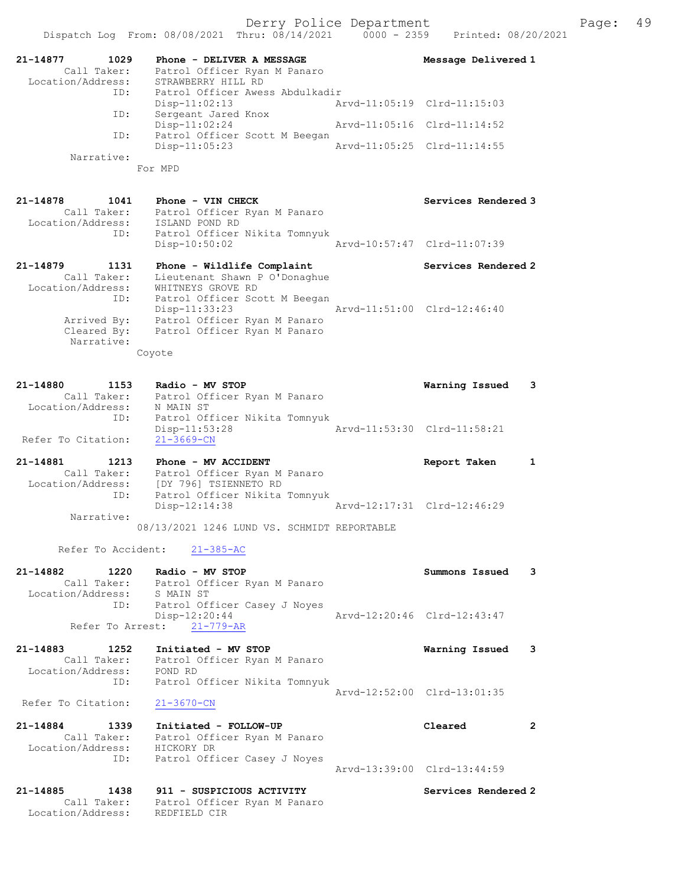|                                                      | Dispatch Log From: 08/08/2021 Thru: 08/14/2021                                  | $0000 - 2359$ | Printed: 08/20/2021         |  |
|------------------------------------------------------|---------------------------------------------------------------------------------|---------------|-----------------------------|--|
| 21-14877<br>1029<br>Call Taker:<br>Location/Address: | Phone - DELIVER A MESSAGE<br>Patrol Officer Ryan M Panaro<br>STRAWBERRY HILL RD |               | Message Delivered 1         |  |
| ID:                                                  | Patrol Officer Awess Abdulkadir                                                 |               |                             |  |
| ID:                                                  | $Disp-11:02:13$<br>Sergeant Jared Knox                                          |               | Arvd-11:05:19 Clrd-11:15:03 |  |
|                                                      | Disp-11:02:24                                                                   |               | Arvd-11:05:16 Clrd-11:14:52 |  |
| ID:                                                  | Patrol Officer Scott M Beegan<br>$Disp-11:05:23$                                |               | Arvd-11:05:25 Clrd-11:14:55 |  |
| Narrative:                                           | For MPD                                                                         |               |                             |  |
|                                                      |                                                                                 |               |                             |  |
| 21-14878<br>1041                                     | Phone - VIN CHECK                                                               |               | Services Rendered 3         |  |
| Call Taker:                                          | Patrol Officer Ryan M Panaro                                                    |               |                             |  |
| Location/Address:                                    | ISLAND POND RD                                                                  |               |                             |  |
| ID:                                                  | Patrol Officer Nikita Tomnyuk<br>$Disp-10:50:02$                                |               | Arvd-10:57:47 Clrd-11:07:39 |  |
|                                                      |                                                                                 |               |                             |  |
| 21-14879<br>1131                                     | Phone - Wildlife Complaint                                                      |               | Services Rendered 2         |  |
| Call Taker:                                          | Lieutenant Shawn P O'Donaghue                                                   |               |                             |  |
| Location/Address:                                    | WHITNEYS GROVE RD                                                               |               |                             |  |
| ID:                                                  | Patrol Officer Scott M Beegan<br>Disp-11:33:23                                  |               | Arvd-11:51:00 Clrd-12:46:40 |  |
| Arrived By:                                          | Patrol Officer Ryan M Panaro                                                    |               |                             |  |
| Cleared By:                                          | Patrol Officer Ryan M Panaro                                                    |               |                             |  |
| Narrative:                                           |                                                                                 |               |                             |  |
|                                                      | Coyote                                                                          |               |                             |  |
|                                                      |                                                                                 |               |                             |  |
| 21-14880<br>1153                                     | Radio - MV STOP                                                                 |               | Warning Issued<br>3         |  |
| Call Taker:                                          | Patrol Officer Ryan M Panaro                                                    |               |                             |  |
| Location/Address:                                    | N MAIN ST                                                                       |               |                             |  |
| ID:                                                  | Patrol Officer Nikita Tomnyuk<br>$Disp-11:53:28$                                |               | Arvd-11:53:30 Clrd-11:58:21 |  |
| Refer To Citation:                                   | $21 - 3669 - CN$                                                                |               |                             |  |
|                                                      |                                                                                 |               |                             |  |
| 21-14881<br>1213                                     | Phone - MV ACCIDENT                                                             |               | Report Taken<br>1           |  |
| Call Taker:                                          | Patrol Officer Ryan M Panaro                                                    |               |                             |  |
| Location/Address:<br>ID:                             | [DY 796] TSIENNETO RD<br>Patrol Officer Nikita Tomnyuk                          |               |                             |  |
|                                                      | Disp-12:14:38                                                                   |               | Aryd-12:17:31 Clrd-12:46:29 |  |
| Narrative:                                           |                                                                                 |               |                             |  |
|                                                      | 08/13/2021 1246 LUND VS. SCHMIDT REPORTABLE                                     |               |                             |  |
| Refer To Accident:                                   | $21 - 385 - AC$                                                                 |               |                             |  |
|                                                      |                                                                                 |               |                             |  |
| 21-14882<br>1220                                     | Radio - MV STOP                                                                 |               | Summons Issued<br>3         |  |
| Location/Address:                                    | Call Taker: Patrol Officer Ryan M Panaro<br>S MAIN ST                           |               |                             |  |
| ID:                                                  | Patrol Officer Casey J Noyes                                                    |               |                             |  |
|                                                      | Disp-12:20:44                                                                   |               | Arvd-12:20:46 Clrd-12:43:47 |  |
| Refer To Arrest:                                     | $21 - 779 - AR$                                                                 |               |                             |  |
| $21 - 14883$<br>1252                                 | Initiated - MV STOP                                                             |               | Warning Issued<br>3         |  |
| Call Taker:                                          | Patrol Officer Ryan M Panaro                                                    |               |                             |  |
| Location/Address:                                    | POND RD                                                                         |               |                             |  |
| ID:                                                  | Patrol Officer Nikita Tomnyuk                                                   |               |                             |  |
|                                                      |                                                                                 |               | Arvd-12:52:00 Clrd-13:01:35 |  |
| Refer To Citation:                                   | $21 - 3670 - CN$                                                                |               |                             |  |
| 21-14884<br>1339                                     | Initiated - FOLLOW-UP                                                           |               | Cleared<br>$\overline{2}$   |  |
| Call Taker:                                          | Patrol Officer Ryan M Panaro                                                    |               |                             |  |
| Location/Address:                                    | HICKORY DR                                                                      |               |                             |  |
| ID:                                                  | Patrol Officer Casey J Noyes                                                    |               |                             |  |
|                                                      |                                                                                 |               | Arvd-13:39:00 Clrd-13:44:59 |  |
| 21-14885<br>1438                                     | 911 - SUSPICIOUS ACTIVITY                                                       |               | Services Rendered 2         |  |
| Call Taker:                                          | Patrol Officer Ryan M Panaro                                                    |               |                             |  |
| Location/Address:                                    | REDFIELD CIR                                                                    |               |                             |  |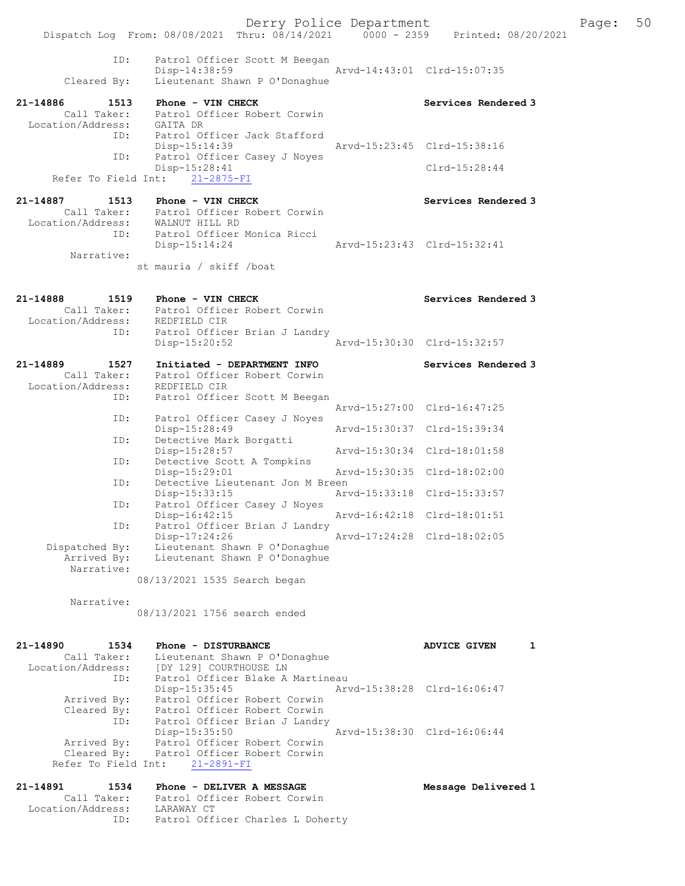Derry Police Department The Page: 50 Dispatch Log From: 08/08/2021 Thru: 08/14/2021 0000 - 2359 Printed: 08/20/2021 ID: Patrol Officer Scott M Beegan Disp-14:38:59 Arvd-14:43:01 Cleared By: Lieutenant Shawn P O'Donaghue Lieutenant Shawn P O'Donaghue 21-14886 1513 Phone - VIN CHECK Services Rendered 3 Call Taker: Patrol Officer Robert Corwin Location/Address: GAITA DR ID: Patrol Officer Jack Stafford Disp-15:14:39 Arvd-15:23:45 Clrd-15:38:16<br>ID: Patrol Officer Casev J Noves Patrol Officer Casey J Noyes Disp-15:28:41 Clrd-15:28:44 Refer To Field Int: 21-2875-FI 21-14887 1513 Phone - VIN CHECK North Services Rendered 3 Call Taker: Patrol Officer Robert Corwin Location/Address: WALNUT HILL RD ID: Patrol Officer Monica Ricci Disp-15:14:24 Arvd-15:23:43 Clrd-15:32:41 Narrative: st mauria / skiff /boat 21-14888 1519 Phone - VIN CHECK Services Rendered 3 Call Taker: Patrol Officer Robert Corwin Location/Address: REDFIELD CIR ID: Patrol Officer Brian J Landry<br>Disp-15:20:52 Disp-15:20:52 Arvd-15:30:30 Clrd-15:32:57 21-14889 1527 Initiated - DEPARTMENT INFO Services Rendered 3 Call Taker: Patrol Officer Robert Corwin Location/Address: REDFIELD CIR ID: Patrol Officer Scott M Beegan Arvd-15:27:00 Clrd-16:47:25 ID: Patrol Officer Casey J Noyes<br>Disp-15:28:49 Disp-15:28:49 Arvd-15:30:37 Clrd-15:39:34 ID: Detective Mark Borgatti<br>Disp-15:28:57 Disp-15:28:57 Arvd-15:30:34 Clrd-18:01:58 ID: Detective Scott A Tompkins<br>Disp-15:29:01 Disp-15:29:01 Arvd-15:30:35 Clrd-18:02:00<br>TD: Detective Lieutenant Jon M Breen Detective Lieutenant Jon M Breen<br>Disp-15:33:15 Ary Disp-15:33:15 Arvd-15:33:18 Clrd-15:33:57 ID: Patrol Officer Casey J Noyes Disp-16:42:15 Arvd-16:42:18 Clrd-18:01:51 ID: Patrol Officer Brian J Landry Disp-17:24:26 Arvd-17:24:28 Clrd-18:02:05 Dispatched By: Lieutenant Shawn P O'Donaghue<br>Arrived By: Lieutenant Shawn P O'Donaghue Lieutenant Shawn P O'Donaghue Narrative: 08/13/2021 1535 Search began Narrative: 08/13/2021 1756 search ended 21-14890 1534 Phone - DISTURBANCE ADVICE GIVEN 1 Call Taker: Lieutenant Shawn P O'Donaghue Location/Address: [DY 129] COURTHOUSE LN ID: Patrol Officer Blake A Martineau Disp-15:35:45 Arvd-15:38:28 Clrd-16:06:47 Arrived By: Patrol Officer Robert Corwin Cleared By: Patrol Officer Robert Corwin ID: Patrol Officer Brian J Landry Disp-15:35:50 Arvd-15:38:30 Clrd-16:06:44 Arrived By: Patrol Officer Robert Corwin Cleared By: Patrol Officer Robert Corwin Refer To Field Int: 21-2891-FI 21-14891 1534 Phone - DELIVER A MESSAGE 1999 Message Delivered 1 Call Taker: Patrol Officer Robert Corwin

Location/Address: LARAWAY CT

ID: Patrol Officer Charles L Doherty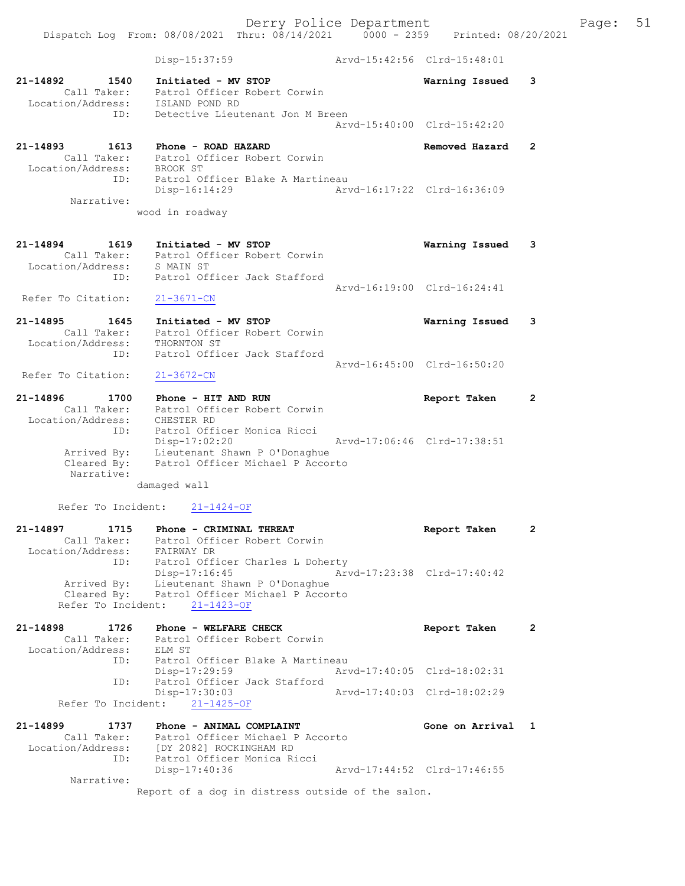Dispatch Log From: 08/08/2021 Thru: 08/14/2021 0000 - 2359 Printed: 08/20/2021 Disp-15:37:59 Arvd-15:42:56 Clrd-15:48:01 21-14892 1540 Initiated - MV STOP Warning Issued 3 Call Taker: Patrol Officer Robert Corwin Location/Address: ISLAND POND RD ID: Detective Lieutenant Jon M Breen Arvd-15:40:00 Clrd-15:42:20 21-14893 1613 Phone - ROAD HAZARD Removed Hazard 2 Call Taker: Patrol Officer Robert Corwin Location/Address: BROOK ST ID: Patrol Officer Blake A Martineau<br>Disp-16:14:29 Mrvd-16:17:22 Clrd-16:36:09 Disp-16:14:29 Narrative: wood in roadway 21-14894 1619 Initiated - MV STOP Warning Issued 3 Call Taker: Patrol Officer Robert Corwin Location/Address: S MAIN ST ID: Patrol Officer Jack Stafford Arvd-16:19:00 Clrd-16:24:41 Refer To Citation:  $21-3671-CN$ 21-14895 1645 Initiated - MV STOP Warning Issued 3 Call Taker: Patrol Officer Robert Corwin Location/Address: THORNTON ST ID: Patrol Officer Jack Stafford Arvd-16:45:00 Clrd-16:50:20<br>21-3672-CN Refer To Citation: 21-14896 1700 Phone - HIT AND RUN Report Taken 2 Call Taker: Patrol Officer Robert Corwin Location/Address: CHESTER RD ID: Patrol Officer Monica Ricci Disp-17:02:20 Arvd-17:06:46 Clrd-17:38:51 Arrived By: Lieutenant Shawn P O'Donaghue Cleared By: Patrol Officer Michael P Accorto Narrative: damaged wall Refer To Incident: 21-1424-OF 21-14897 1715 Phone - CRIMINAL THREAT 12 Report Taken 2 Call Taker: Patrol Officer Robert Corwin Location/Address: FAIRWAY DR ID: Patrol Officer Charles L Doherty Disp-17:16:45 Arvd-17:23:38 Clrd-17:40:42 Arrived By: Lieutenant Shawn P O'Donaghue Cleared By: Patrol Officer Michael P Accorto Refer To Incident: 21-1423-OF 21-14898 1726 Phone - WELFARE CHECK 2 Report Taken 2 Call Taker: Patrol Officer Robert Corwin<br>
vation/Address: ELM ST Location/Address:<br>ID: ---- .<br>Patrol Officer Blake A Martineau<br>Disp-17:29:59 Disp-17:29:59 Arvd-17:40:05 Clrd-18:02:31 ID: Patrol Officer Jack Stafford<br>Disp-17:30:03 Disp-17:30:03 Arvd-17:40:03 Clrd-18:02:29 Refer To Incident: 21-1425-OF 21-14899 1737 Phone - ANIMAL COMPLAINT New Sone on Arrival 1 Call Taker: Patrol Officer Michael P Accorto Location/Address: [DY 2082] ROCKINGHAM RD ID: Patrol Officer Monica Ricci Disp-17:40:36 Arvd-17:44:52 Clrd-17:46:55 Narrative: Report of a dog in distress outside of the salon.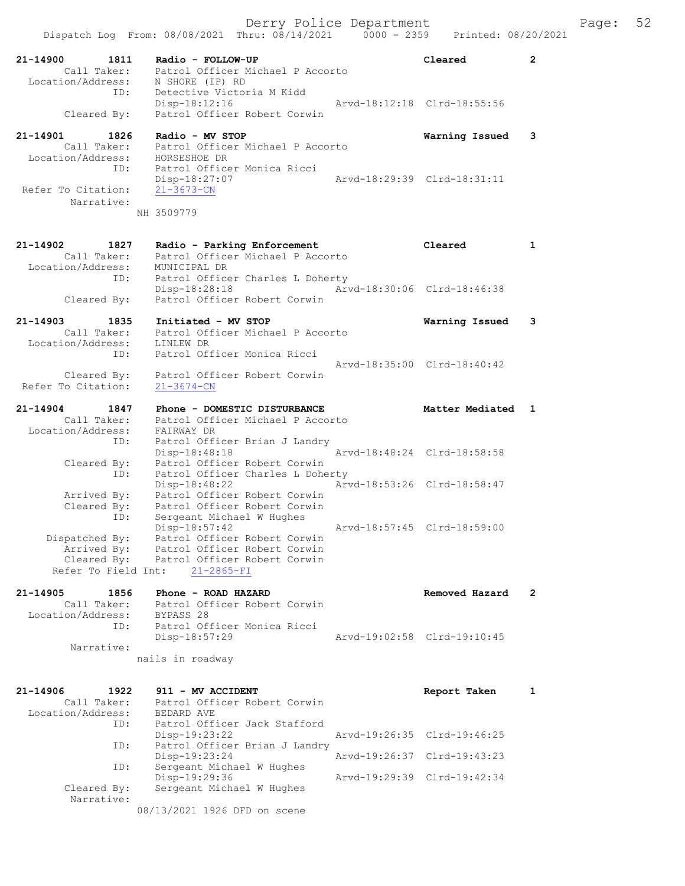|                                    |      | Dispatch Log From: 08/08/2021 Thru: 08/14/2021      |                                  | $0000 - 2359$ | Printed: 08/20/2021         |                |
|------------------------------------|------|-----------------------------------------------------|----------------------------------|---------------|-----------------------------|----------------|
| 21-14900<br>Call Taker:            | 1811 | Radio - FOLLOW-UP                                   | Patrol Officer Michael P Accorto |               | Cleared                     | $\overline{2}$ |
| Location/Address:                  |      | N SHORE (IP) RD                                     |                                  |               |                             |                |
|                                    | ID:  | Detective Victoria M Kidd<br>Disp-18:12:16          |                                  |               | Arvd-18:12:18 Clrd-18:55:56 |                |
| Cleared By:                        |      | Patrol Officer Robert Corwin                        |                                  |               |                             |                |
| 21-14901                           | 1826 | Radio - MV STOP                                     |                                  |               | Warning Issued              | 3              |
| Call Taker:                        |      |                                                     | Patrol Officer Michael P Accorto |               |                             |                |
| Location/Address:                  |      | HORSESHOE DR                                        |                                  |               |                             |                |
|                                    | ID:  | Patrol Officer Monica Ricci<br>Disp-18:27:07        |                                  |               | Arvd-18:29:39 Clrd-18:31:11 |                |
| Refer To Citation:                 |      | $21 - 3673 - CN$                                    |                                  |               |                             |                |
| Narrative:                         |      |                                                     |                                  |               |                             |                |
|                                    |      | NH 3509779                                          |                                  |               |                             |                |
|                                    |      |                                                     |                                  |               |                             |                |
| 21-14902                           | 1827 | Radio - Parking Enforcement                         |                                  |               | Cleared                     | $\mathbf{1}$   |
| Call Taker:<br>Location/Address:   |      | MUNICIPAL DR                                        | Patrol Officer Michael P Accorto |               |                             |                |
|                                    | ID:  |                                                     | Patrol Officer Charles L Doherty |               |                             |                |
|                                    |      | Disp-18:28:18                                       |                                  |               | Aryd-18:30:06 Clrd-18:46:38 |                |
| Cleared By:                        |      | Patrol Officer Robert Corwin                        |                                  |               |                             |                |
| 21-14903                           | 1835 | Initiated - MV STOP                                 |                                  |               | Warning Issued              | 3              |
| Call Taker:<br>Location/Address:   |      |                                                     | Patrol Officer Michael P Accorto |               |                             |                |
|                                    | ID:  | LINLEW DR<br>Patrol Officer Monica Ricci            |                                  |               |                             |                |
|                                    |      |                                                     |                                  |               | Arvd-18:35:00 Clrd-18:40:42 |                |
| Cleared By:<br>Refer To Citation:  |      | Patrol Officer Robert Corwin                        |                                  |               |                             |                |
|                                    |      | $21 - 3674 - CN$                                    |                                  |               |                             |                |
| 21-14904                           | 1847 | Phone - DOMESTIC DISTURBANCE                        |                                  |               | Matter Mediated             | 1              |
| Call Taker:                        |      |                                                     | Patrol Officer Michael P Accorto |               |                             |                |
| Location/Address:                  | ID:  | FAIRWAY DR                                          | Patrol Officer Brian J Landry    |               |                             |                |
|                                    |      | $Disp-18:48:18$                                     |                                  |               | Arvd-18:48:24 Clrd-18:58:58 |                |
| Cleared By:                        |      | Patrol Officer Robert Corwin                        |                                  |               |                             |                |
|                                    | ID:  | $Disp-18:48:22$                                     | Patrol Officer Charles L Doherty |               | Arvd-18:53:26 Clrd-18:58:47 |                |
| Arrived By:                        |      | Patrol Officer Robert Corwin                        |                                  |               |                             |                |
| Cleared By:                        |      | Patrol Officer Robert Corwin                        |                                  |               |                             |                |
|                                    | ID:  | Sergeant Michael W Hughes<br>Disp-18:57:42          |                                  |               | Arvd-18:57:45 Clrd-18:59:00 |                |
| Dispatched By:                     |      | Patrol Officer Robert Corwin                        |                                  |               |                             |                |
| Arrived By:                        |      | Patrol Officer Robert Corwin                        |                                  |               |                             |                |
| Cleared By:<br>Refer To Field Int: |      | Patrol Officer Robert Corwin<br>$21 - 2865 - FI$    |                                  |               |                             |                |
|                                    |      |                                                     |                                  |               |                             |                |
| $21 - 14905$<br>Call Taker:        | 1856 | Phone - ROAD HAZARD<br>Patrol Officer Robert Corwin |                                  |               | Removed Hazard              | 2              |
| Location/Address:                  |      | BYPASS 28                                           |                                  |               |                             |                |
|                                    | ID:  | Patrol Officer Monica Ricci                         |                                  |               |                             |                |
| Narrative:                         |      | Disp-18:57:29                                       |                                  |               | Arvd-19:02:58 Clrd-19:10:45 |                |
|                                    |      | nails in roadway                                    |                                  |               |                             |                |
|                                    |      |                                                     |                                  |               |                             |                |
| 21-14906                           | 1922 | 911 - MV ACCIDENT                                   |                                  |               | Report Taken                | 1              |
| Call Taker:                        |      | Patrol Officer Robert Corwin                        |                                  |               |                             |                |
| Location/Address:                  | ID:  | BEDARD AVE<br>Patrol Officer Jack Stafford          |                                  |               |                             |                |
|                                    |      | Disp-19:23:22                                       |                                  |               | Arvd-19:26:35 Clrd-19:46:25 |                |
|                                    | ID:  |                                                     | Patrol Officer Brian J Landry    |               |                             |                |
|                                    | ID:  | Disp-19:23:24<br>Sergeant Michael W Hughes          |                                  |               | Arvd-19:26:37 Clrd-19:43:23 |                |
|                                    |      | Disp-19:29:36                                       |                                  |               | Arvd-19:29:39 Clrd-19:42:34 |                |
| Cleared By:                        |      | Sergeant Michael W Hughes                           |                                  |               |                             |                |
| Narrative:                         |      | 08/13/2021 1926 DFD on scene                        |                                  |               |                             |                |
|                                    |      |                                                     |                                  |               |                             |                |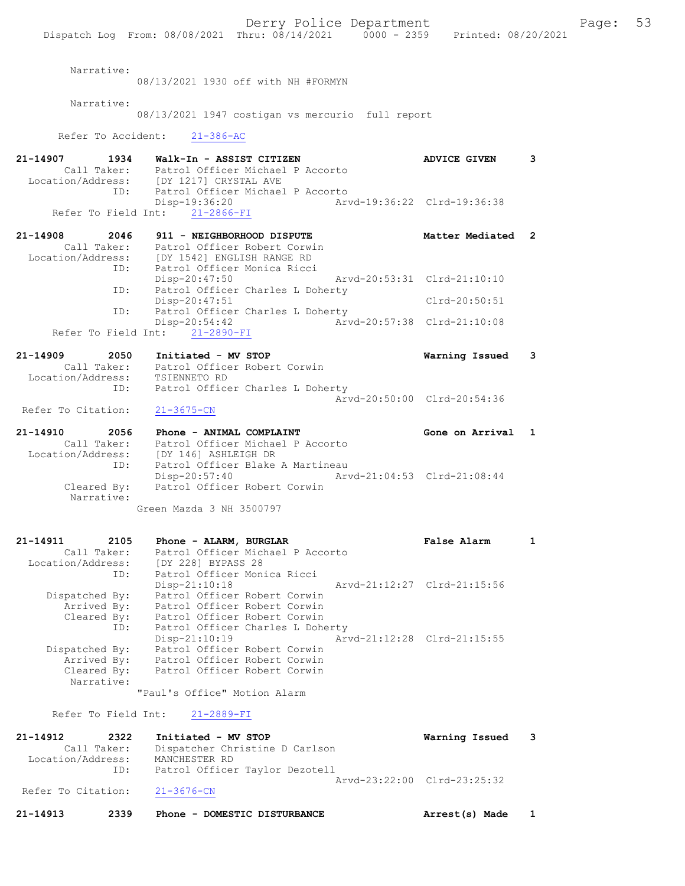Derry Police Department Fage: 53 Dispatch Log From: 08/08/2021 Thru: 08/14/2021 0000 - 2359 Printed: 08/20/2021 Narrative: 08/13/2021 1930 off with NH #FORMYN Narrative: 08/13/2021 1947 costigan vs mercurio full report Refer To Accident: 21-386-AC 21-14907 1934 Walk-In - ASSIST CITIZEN ADVICE GIVEN 3 Call Taker: Patrol Officer Michael P Accorto Location/Address: [DY 1217] CRYSTAL AVE ID: Patrol Officer Michael P Accorto<br>Disp-19:36:20 Arv Disp-19:36:20 Arvd-19:36:22 Clrd-19:36:38 Refer To Field Int: 21-2866-FI 21-14908 2046 911 - NEIGHBORHOOD DISPUTE NEED Matter Mediated 2 Call Taker: Patrol Officer Robert Corwin Location/Address: [DY 1542] ENGLISH RANGE RD ID: Patrol Officer Monica Ricci Disp-20:47:50 Arvd-20:53:31 Clrd-21:10:10 ID: Patrol Officer Charles L Doherty Disp-20:47:51 Clrd-20:50:51 ID: Patrol Officer Charles L Doherty<br>Disp-20:54:42 Arv Disp-20:54:42 Arvd-20:57:38 Clrd-21:10:08 Refer To Field Int: 21-2890-FI 21-14909 2050 Initiated - MV STOP Warning Issued 3 Call Taker: Patrol Officer Robert Corwin Location/Address: TSIENNETO RD ID: Patrol Officer Charles L Doherty Arvd-20:50:00 Clrd-20:54:36<br>21-3675-CN Refer To Citation: 21-14910 2056 Phone - ANIMAL COMPLAINT COMPOSER Sone on Arrival 1 Call Taker: Patrol Officer Michael P Accorto Location/Address: [DY 146] ASHLEIGH DR ID: Patrol Officer Blake A Martineau Disp-20:57:40 Arvd-21:04:53 Clrd-21:08:44 Cleared By: Patrol Officer Robert Corwin Narrative: Green Mazda 3 NH 3500797 21-14911 2105 Phone - ALARM, BURGLAR False Alarm 1 Call Taker: Patrol Officer Michael P Accorto Location/Address: [DY 228] BYPASS 28 ID: Patrol Officer Monica Ricci Disp-21:10:18 Arvd-21:12:27 Clrd-21:15:56 Dispatched By: Patrol Officer Robert Corwin Arrived By: Patrol Officer Robert Corwin Cleared By: Patrol Officer Robert Corwin ID: Patrol Officer Charles L Doherty Disp-21:10:19 Arvd-21:12:28 Clrd-21:15:55 Dispatched By: Patrol Officer Robert Corwin Arrived By: Patrol Officer Robert Corwin Cleared By: Patrol Officer Robert Corwin Narrative: "Paul's Office" Motion Alarm Refer To Field Int: 21-2889-FI 21-14912 2322 Initiated - MV STOP Warning Issued 3

 Call Taker: Dispatcher Christine D Carlson Location/Address: MANCHESTER RD ID: Patrol Officer Taylor Dezotell Arvd-23:22:00 Clrd-23:25:32<br>21-3676-CN Refer To Citation: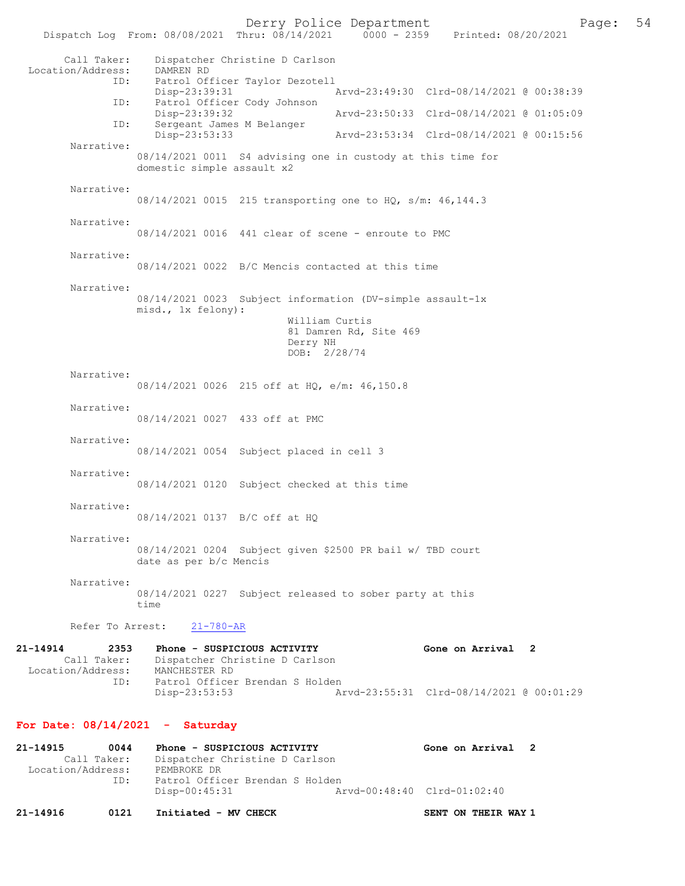Derry Police Department Form Page: 54

Dispatch Log From: 08/08/2021 Thru: 08/14/2021 0000 - 2359 Printed: 08/20/2021 Call Taker: Dispatcher Christine D Carlson Location/Address:<br>ID: DAMREN RD<br>Patrol Officer Taylor Dezotell<br>Disp-23:39:31 Disp-23:39:31 Arvd-23:49:30 Clrd-08/14/2021 @ 00:38:39 ID: Patrol Officer Cody Johnson Disp-23:39:32 Arvd-23:50:33 Clrd-08/14/2021 @ 01:05:09 ID: Sergeant James M Belanger Disp-23:53:33 Arvd-23:53:34 Clrd-08/14/2021 @ 00:15:56 Narrative: 08/14/2021 0011 S4 advising one in custody at this time for domestic simple assault x2 Narrative: 08/14/2021 0015 215 transporting one to HQ, s/m: 46,144.3 Narrative: 08/14/2021 0016 441 clear of scene - enroute to PMC Narrative: 08/14/2021 0022 B/C Mencis contacted at this time Narrative: 08/14/2021 0023 Subject information (DV-simple assault-1x misd., 1x felony): William Curtis 81 Damren Rd, Site 469 Derry NH DOB: 2/28/74 Narrative: 08/14/2021 0026 215 off at HQ, e/m: 46,150.8 Narrative: 08/14/2021 0027 433 off at PMC Narrative: 08/14/2021 0054 Subject placed in cell 3 Narrative: 08/14/2021 0120 Subject checked at this time Narrative: 08/14/2021 0137 B/C off at HQ Narrative: 08/14/2021 0204 Subject given \$2500 PR bail w/ TBD court date as per b/c Mencis Narrative: 08/14/2021 0227 Subject released to sober party at this time Refer To Arrest: 21-780-AR 21-14914 2353 Phone - SUSPICIOUS ACTIVITY<br>
Call Taker: Dispatcher Christine D Carlson<br>
Call Taker: Dispatcher Christine D Carlson Dispatcher Christine D Carlson Location/Address: MANCHESTER RD<br>ID: Patrol Officer Patrol Officer Brendan S Holden<br>Disp-23:53:53 Disp-23:53:53 Arvd-23:55:31 Clrd-08/14/2021 @ 00:01:29 For Date: 08/14/2021 - Saturday 21-14915 0044 Phone - SUSPICIOUS ACTIVITY Gone on Arrival 2 Call Taker: Dispatcher Christine D Carlson<br>ion/Address: PEMBROKE DR Location/Address:<br>ID: Patrol Officer Brendan S Holden<br>Disp-00:45:31 A Disp-00:45:31 Arvd-00:48:40 Clrd-01:02:40

21-14916 0121 Initiated - MV CHECK SENT ON THEIR WAY 1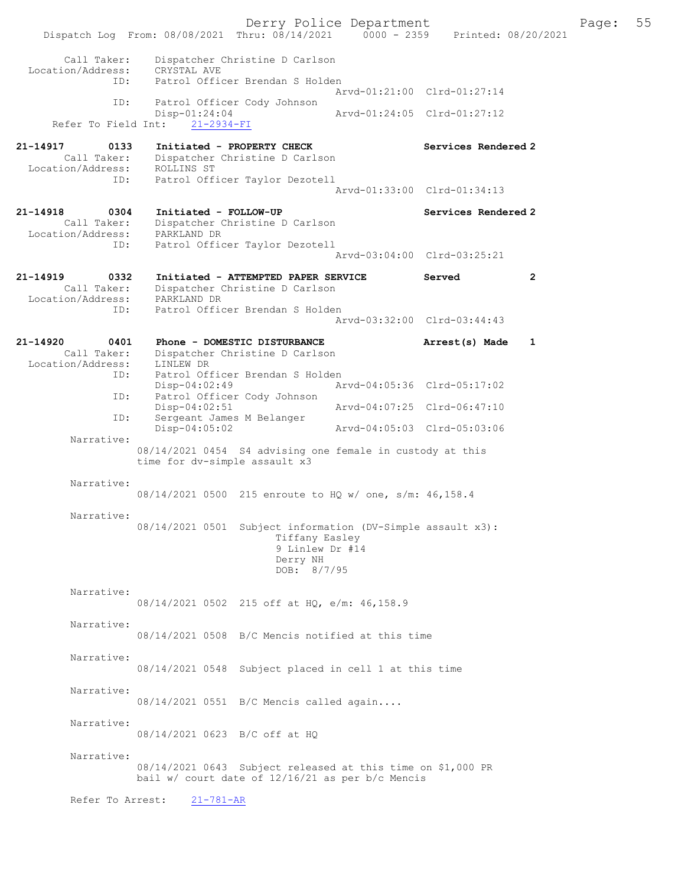Derry Police Department The Page: 55 Dispatch Log From: 08/08/2021 Thru: 08/14/2021 0000 - 2359 Printed: 08/20/2021 Call Taker: Dispatcher Christine D Carlson Location/Address: CRYSTAL AVE ID: Patrol Officer Brendan S Holden Arvd-01:21:00 Clrd-01:27:14<br>TD: Patrol Officer Cody Johnson Patrol Officer Cody Johnson<br>Disp-01:24:04 Disp-01:24:04 Arvd-01:24:05 Clrd-01:27:12 Refer To Field Int: 21-2934-FI 21-14917 0133 Initiated - PROPERTY CHECK Services Rendered 2 Call Taker: Dispatcher Christine D Carlson Location/Address: ROLLINS ST ID: Patrol Officer Taylor Dezotell Arvd-01:33:00 Clrd-01:34:13 21-14918 0304 Initiated - FOLLOW-UP Services Rendered 2 Call Taker: Dispatcher Christine D Carlson Location/Address: PARKLAND DR ID: Patrol Officer Taylor Dezotell Arvd-03:04:00 Clrd-03:25:21 21-14919 0332 Initiated - ATTEMPTED PAPER SERVICE Served 2 Call Taker: Dispatcher Christine D Carlson Location/Address: PARKLAND DR ID: Patrol Officer Brendan S Holden Arvd-03:32:00 Clrd-03:44:43 21-14920 0401 Phone - DOMESTIC DISTURBANCE Arrest(s) Made 1 Call Taker: Dispatcher Christine D Carlson Call Taker: Dispatcher<br>Location/Address: LINLEW DR<br>ID: Patrol Off Patrol Officer Brendan S Holden<br>Disp-04:02:49 Ar Disp-04:02:49 Arvd-04:05:36 Clrd-05:17:02<br>ID: Patrol Officer Cody Johnson Patrol Officer Cody Johnson<br>Disp-04:02:51 Disp-04:02:51 Arvd-04:07:25 Clrd-06:47:10 ID: Sergeant James M Belanger Disp-04:05:02 Arvd-04:05:03 Clrd-05:03:06 Narrative: 08/14/2021 0454 S4 advising one female in custody at this time for dv-simple assault x3 Narrative: 08/14/2021 0500 215 enroute to HQ w/ one, s/m: 46,158.4 Narrative: 08/14/2021 0501 Subject information (DV-Simple assault x3): Tiffany Easley 9 Linlew Dr #14 Derry NH DOB: 8/7/95 Narrative: 08/14/2021 0502 215 off at HQ, e/m: 46,158.9 Narrative: 08/14/2021 0508 B/C Mencis notified at this time Narrative: 08/14/2021 0548 Subject placed in cell 1 at this time Narrative: 08/14/2021 0551 B/C Mencis called again.... Narrative: 08/14/2021 0623 B/C off at HQ Narrative: 08/14/2021 0643 Subject released at this time on \$1,000 PR bail w/ court date of 12/16/21 as per b/c Mencis Refer To Arrest: 21-781-AR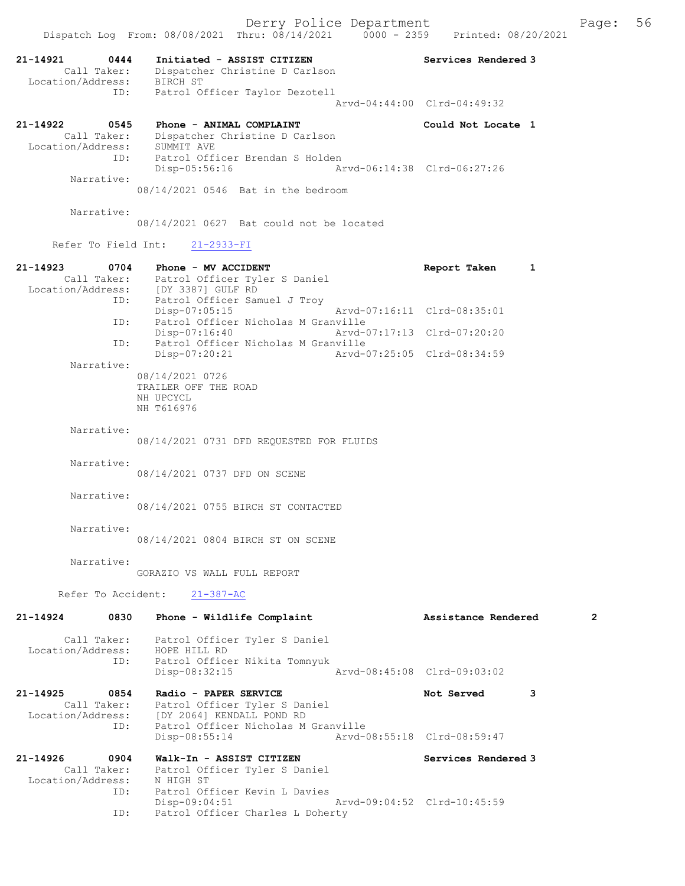Derry Police Department The Page: 56 Dispatch Log From: 08/08/2021 Thru: 08/14/2021 0000 - 2359 Printed: 08/20/2021 21-14921 0444 Initiated - ASSIST CITIZEN Services Rendered 3 Call Taker: Dispatcher Christine D Carlson Location/Address: BIRCH ST ID: Patrol Officer Taylor Dezotell Arvd-04:44:00 Clrd-04:49:32 21-14922 0545 Phone - ANIMAL COMPLAINT Could Not Locate 1 Call Taker: Dispatcher Christine D Carlson Location/Address: SUMMIT AVE ID: Patrol Officer Brendan S Holden Disp-05:56:16 Arvd-06:14:38 Clrd-06:27:26 Narrative: 08/14/2021 0546 Bat in the bedroom Narrative: 08/14/2021 0627 Bat could not be located Refer To Field Int: 21-2933-FI 21-14923 0704 Phone - MV ACCIDENT Report Taken 1 Call Taker: Patrol Officer Tyler S Daniel Location/Address: [DY 3387] GULF RD ID: Patrol Officer Samuel J Troy Disp-07:05:15 Arvd-07:16:11 Clrd-08:35:01 ID: Patrol Officer Nicholas M Granville Disp-07:16:40 Arvd-07:17:13 Clrd-07:20:20 ID: Patrol Officer Nicholas M Granville Disp-07:20:21 Arvd-07:25:05 Clrd-08:34:59 Narrative: 08/14/2021 0726 TRAILER OFF THE ROAD NH UPCYCL NH T616976 Narrative: 08/14/2021 0731 DFD REQUESTED FOR FLUIDS Narrative: 08/14/2021 0737 DFD ON SCENE Narrative: 08/14/2021 0755 BIRCH ST CONTACTED Narrative: 08/14/2021 0804 BIRCH ST ON SCENE Narrative: GORAZIO VS WALL FULL REPORT Refer To Accident: 21-387-AC 21-14924 0830 Phone - Wildlife Complaint Assistance Rendered 2 Call Taker: Patrol Officer Tyler S Daniel<br>Location/Address: HOPE HILL RD ess: HOPE HILL RD<br>ID: Patrol Office Patrol Officer Nikita Tomnyuk<br>Disp-08:32:15 Disp-08:32:15 Arvd-08:45:08 Clrd-09:03:02 21-14925 0854 Radio - PAPER SERVICE Not Served 3 Call Taker: Patrol Officer Tyler S Daniel Location/Address: [DY 2064] KENDALL POND RD ID: Patrol Officer Nicholas M Granville Disp-08:55:14 Arvd-08:55:18 Clrd-08:59:47 21-14926 0904 Walk-In - ASSIST CITIZEN Services Rendered 3 Call Taker: Patrol Officer Tyler S Daniel Location/Address: N HIGH ST

Disp-09:04:51 Arvd-09:04:52 Clrd-10:45:59<br>TD: Patrol Officer Charles L Doberty

ID: Patrol Officer Kevin L Davies

Patrol Officer Charles L Doherty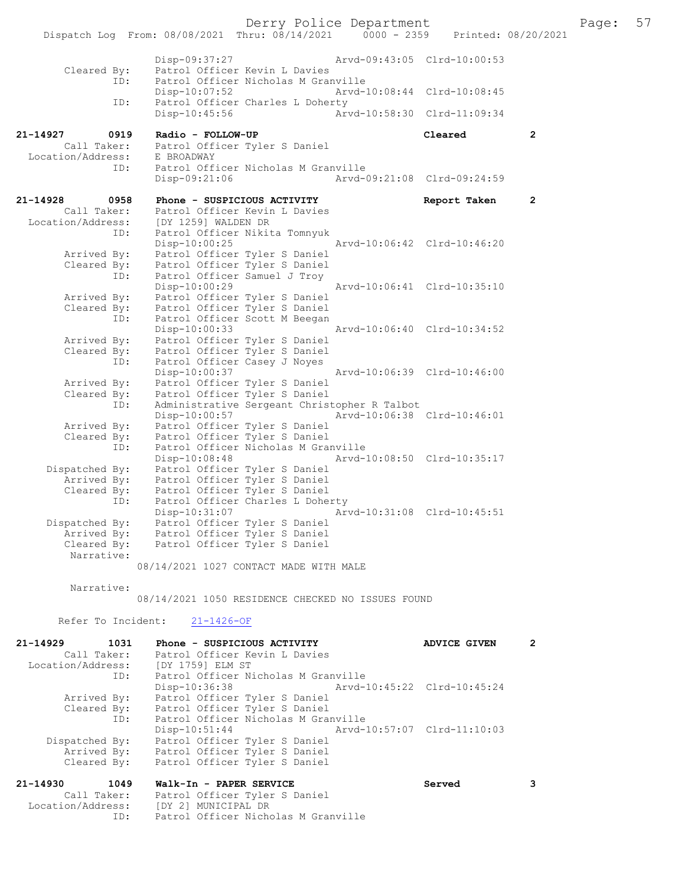Dispatch Log From: 08/08/2021 Thru: 08/14/2021 0000 - 2359 Printed: 08/20/2021 Disp-09:37:27 Arvd-09:43:05 Clrd-10:00:53 Cleared By: Patrol Officer Kevin L Davies<br>ID: Patrol Officer Nicholas M Gran ID: Patrol Officer Nicholas M Granville Disp-10:07:52 Arvd-10:08:44 Clrd-10:08:45<br>TD: Patrol Officer Charles L Doberty Patrol Officer Charles L Doherty<br>Disp-10:45:56 Arw Arvd-10:58:30 Clrd-11:09:34 21-14927 0919 Radio - FOLLOW-UP Cleared 2 Call Taker: Patrol Officer Tyler S Daniel Location/Address: E BROADWAY ID: Patrol Officer Nicholas M Granville<br>Disp-09:21:06 Mrvd-09:21:08 Clrd-09:24:59  $Disp-09:21:06$ 21-14928 0958 Phone - SUSPICIOUS ACTIVITY Report Taken 2 Call Taker: Patrol Officer Kevin L Davies Location/Address: [DY 1259] WALDEN DR ID: Patrol Officer Nikita Tomnyuk Disp-10:00:25 Arvd-10:06:42 Clrd-10:46:20 Arrived By: Patrol Officer Tyler S Daniel Cleared By: Patrol Officer Tyler S Daniel ID: Patrol Officer Samuel J Troy Disp-10:00:29 Arvd-10:06:41 Clrd-10:35:10 Arrived By: Patrol Officer Tyler S Daniel Cleared By: Patrol Officer Tyler S Daniel ID: Patrol Officer Scott M Beegan Disp-10:00:33 Arvd-10:06:40 Clrd-10:34:52 Arrived By: Patrol Officer Tyler S Daniel Cleared By: Patrol Officer Tyler S Daniel ID: Patrol Officer Casey J Noyes Disp-10:00:37 Arvd-10:06:39 Clrd-10:46:00 Arrived By: Patrol Officer Tyler S Daniel Cleared By: Patrol Officer Tyler S Daniel ID: Administrative Sergeant Christopher R Talbot Disp-10:00:57 Arvd-10:06:38 Clrd-10:46:01 Arrived By: Patrol Officer Tyler S Daniel Cleared By: Patrol Officer Tyler S Daniel ID: Patrol Officer Nicholas M Granville Disp-10:08:48 Arvd-10:08:50 Clrd-10:35:17 Dispatched By: Patrol Officer Tyler S Daniel Arrived By: Patrol Officer Tyler S Daniel Cleared By: Patrol Officer Tyler S Daniel ID: Patrol Officer Charles L Doherty Disp-10:31:07 Arvd-10:31:08 Clrd-10:45:51 Dispatched By: Patrol Officer Tyler S Daniel Arrived By: Patrol Officer Tyler S Daniel Cleared By: Patrol Officer Tyler S Daniel Narrative:

08/14/2021 1027 CONTACT MADE WITH MALE

Narrative:

08/14/2021 1050 RESIDENCE CHECKED NO ISSUES FOUND

Refer To Incident: 21-1426-OF

| $21 - 14929$      | 1031        | Phone - SUSPICIOUS ACTIVITY         | <b>ADVICE GIVEN</b>         | 2 |
|-------------------|-------------|-------------------------------------|-----------------------------|---|
|                   | Call Taker: | Patrol Officer Kevin L Davies       |                             |   |
| Location/Address: |             | [DY 1759] ELM ST                    |                             |   |
|                   | ID:         | Patrol Officer Nicholas M Granville |                             |   |
|                   |             | Disp-10:36:38                       | Arvd-10:45:22 Clrd-10:45:24 |   |
|                   | Arrived By: | Patrol Officer Tyler S Daniel       |                             |   |
|                   | Cleared By: | Patrol Officer Tyler S Daniel       |                             |   |
|                   | ID:         | Patrol Officer Nicholas M Granville |                             |   |
|                   |             | $Disp-10:51:44$                     |                             |   |
| Dispatched By:    |             | Patrol Officer Tyler S Daniel       |                             |   |
|                   | Arrived By: | Patrol Officer Tyler S Daniel       |                             |   |
|                   | Cleared By: | Patrol Officer Tyler S Daniel       |                             |   |
| $21 - 14930$      | 1049        | Walk-In - PAPER SERVICE             | Served                      |   |

| <u> 22 1700 </u> | MAIN III IAEER DERVICE                | <u>UGT ACA</u> |
|------------------|---------------------------------------|----------------|
| Call Taker:      | Patrol Officer Tyler S Daniel         |                |
|                  | Location/Address: [DY 2] MUNICIPAL DR |                |
| ID:              | Patrol Officer Nicholas M Granville   |                |

Derry Police Department Fage: 57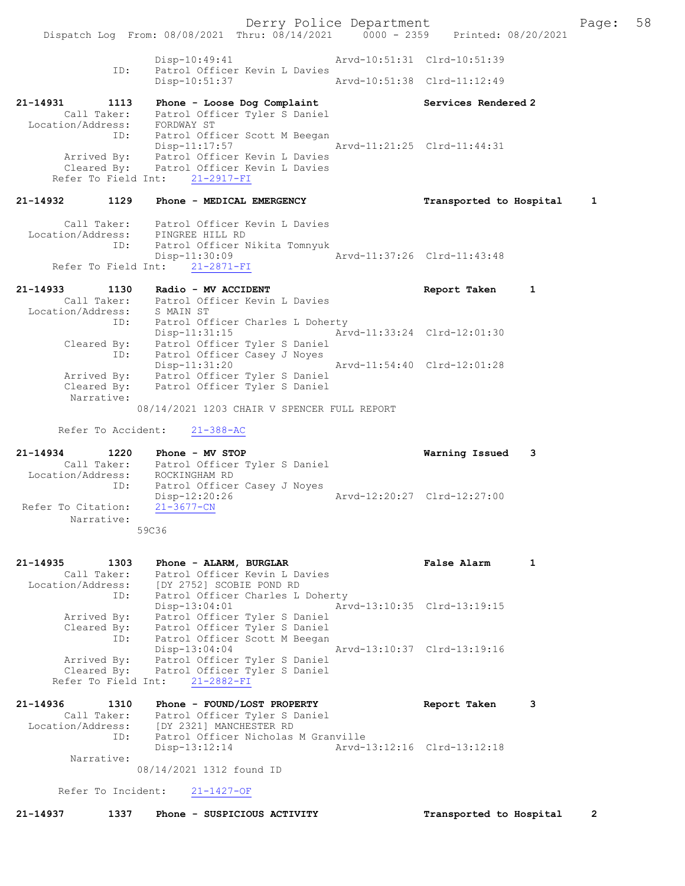Derry Police Department Fage: 58 Dispatch Log From: 08/08/2021 Thru: 08/14/2021 0000 - 2359 Printed: 08/20/2021 Disp-10:49:41 Arvd-10:51:31 Clrd-10:51:39<br>Disp-10:ficer Kevin L Davies<br>Disp-10:51:37 Arvd-10:51:38 Clrd-11:12:49 Patrol Officer Kevin L Davies Disp-10:51:37 Arvd-10:51:38 Clrd-11:12:49 21-14931 1113 Phone - Loose Dog Complaint Services Rendered 2 Call Taker: Patrol Officer Tyler S Daniel Location/Address: FORDWAY ST ID: Patrol Officer Scott M Beegan Disp-11:17:57 Arvd-11:21:25 Clrd-11:44:31 Arrived By: Patrol Officer Kevin L Davies Cleared By: Patrol Officer Kevin L Davies Refer To Field Int: 21-2917-FI 21-14932 1129 Phone - MEDICAL EMERGENCY Transported to Hospital 1 Call Taker: Patrol Officer Kevin L Davies Location/Address: PINGREE HILL RD ID: Patrol Officer Nikita Tomnyuk Disp-11:30:09 Arvd-11:37:26 Clrd-11:43:48 Refer To Field Int: 21-2871-FI 21-14933 1130 Radio - MV ACCIDENT Report Taken 1 Call Taker: Patrol Officer Kevin L Davies Location/Address: S MAIN ST ID: Patrol Officer Charles L Doherty Disp-11:31:15 Arvd-11:33:24 Clrd-12:01:30 Cleared By: Patrol Officer Tyler S Daniel ID: Patrol Officer Casey J Noyes Disp-11:31:20 Arvd-11:54:40 Clrd-12:01:28 Arrived By: Patrol Officer Tyler S Daniel Cleared By: Patrol Officer Tyler S Daniel Narrative: 08/14/2021 1203 CHAIR V SPENCER FULL REPORT Refer To Accident: 21-388-AC 21-14934 1220 Phone - MV STOP Warning Issued 3 Call Taker: Patrol Officer Tyler S Daniel Location/Address: ROCKINGHAM RD ID: Patrol Officer Casey J Noyes Disp-12:20:26 Arvd-12:20:27 Clrd-12:27:00 Refer To Citation: 21-3677-CN Narrative: 59C36 21-14935 1303 Phone - ALARM, BURGLAR 1 False Alarm 1 Call Taker: Patrol Officer Kevin L Davies Location/Address: [DY 2752] SCOBIE POND RD ID: Patrol Officer Charles L Doherty Disp-13:04:01 Arvd-13:10:35 Clrd-13:19:15 Arrived By: Patrol Officer Tyler S Daniel Cleared By: Patrol Officer Tyler S Daniel ID: Patrol Officer Scott M Beegan Disp-13:04:04 Arvd-13:10:37 Clrd-13:19:16 Arrived By: Patrol Officer Tyler S Daniel Cleared By: Patrol Officer Tyler S Daniel Refer To Field Int: 21-2882-FI 21-14936 1310 Phone - FOUND/LOST PROPERTY Report Taken 3 Call Taker: Patrol Officer Tyler S Daniel Location/Address: [DY 2321] MANCHESTER RD ID: Patrol Officer Nicholas M Granville Disp-13:12:14 Arvd-13:12:16 Clrd-13:12:18 Narrative: 08/14/2021 1312 found ID Refer To Incident: 21-1427-OF 21-14937 1337 Phone - SUSPICIOUS ACTIVITY Transported to Hospital 2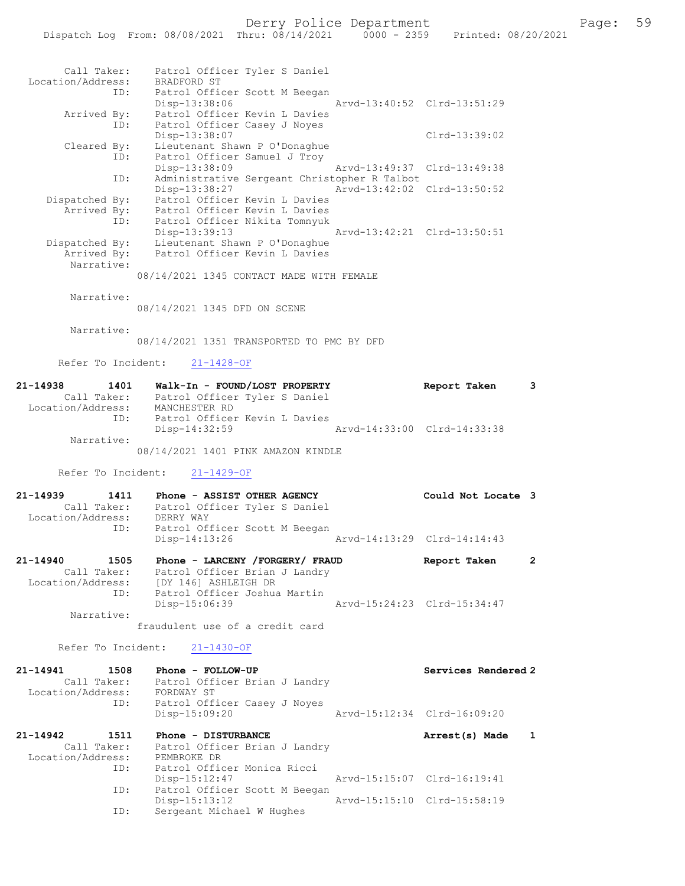| Call Taker:                      | Patrol Officer Tyler S Daniel                                  |                             |
|----------------------------------|----------------------------------------------------------------|-----------------------------|
| Location/Address:<br>ID:         | BRADFORD ST<br>Patrol Officer Scott M Beegan                   |                             |
| Arrived By:                      | Disp-13:38:06<br>Patrol Officer Kevin L Davies                 | Arvd-13:40:52 Clrd-13:51:29 |
| ID:                              | Patrol Officer Casey J Noyes<br>Disp-13:38:07                  | $Clrd-13:39:02$             |
| Cleared By:<br>ID:               | Lieutenant Shawn P O'Donaghue<br>Patrol Officer Samuel J Troy  |                             |
| ID:                              | Disp-13:38:09<br>Administrative Sergeant Christopher R Talbot  | Arvd-13:49:37 Clrd-13:49:38 |
| Dispatched By:                   | Disp-13:38:27<br>Patrol Officer Kevin L Davies                 | Arvd-13:42:02 Clrd-13:50:52 |
| Arrived By:<br>ID:               | Patrol Officer Kevin L Davies<br>Patrol Officer Nikita Tomnyuk |                             |
| Dispatched By:                   | Disp-13:39:13<br>Lieutenant Shawn P O'Donaghue                 | Arvd-13:42:21 Clrd-13:50:51 |
| Arrived By:                      | Patrol Officer Kevin L Davies                                  |                             |
| Narrative:                       | 08/14/2021 1345 CONTACT MADE WITH FEMALE                       |                             |
| Narrative:                       |                                                                |                             |
|                                  | 08/14/2021 1345 DFD ON SCENE                                   |                             |
| Narrative:                       | 08/14/2021 1351 TRANSPORTED TO PMC BY DFD                      |                             |
| Refer To Incident:               | $21 - 1428 - OF$                                               |                             |
| 21-14938<br>1401                 | Walk-In - FOUND/LOST PROPERTY                                  | Report Taken<br>3           |
| Location/Address:                | Call Taker: Patrol Officer Tyler S Daniel<br>MANCHESTER RD     |                             |
| ID:                              | Patrol Officer Kevin L Davies<br>$Disp-14:32:59$               | Arvd-14:33:00 Clrd-14:33:38 |
| Narrative:                       | 08/14/2021 1401 PINK AMAZON KINDLE                             |                             |
| Refer To Incident:               | $21 - 1429 - OF$                                               |                             |
| 21-14939<br>1411                 | Phone - ASSIST OTHER AGENCY                                    | Could Not Locate 3          |
| Call Taker:<br>Location/Address: | Patrol Officer Tyler S Daniel<br>DERRY WAY                     |                             |
| ID:                              | Patrol Officer Scott M Beegan<br>Disp-14:13:26                 | Arvd-14:13:29 Clrd-14:14:43 |
| 21-14940<br>1505                 | Phone - LARCENY / FORGERY / FRAUD                              | 2<br>Report Taken           |
| Call Taker:<br>Location/Address: | Patrol Officer Brian J Landry<br>[DY 146] ASHLEIGH DR          |                             |
| ID:                              | Patrol Officer Joshua Martin<br>Disp-15:06:39                  | Arvd-15:24:23 Clrd-15:34:47 |
| Narrative:                       | fraudulent use of a credit card                                |                             |
| Refer To Incident:               | $21 - 1430 - OF$                                               |                             |
| 21-14941<br>1508                 | Phone - FOLLOW-UP                                              | Services Rendered 2         |
| Call Taker:<br>Location/Address: | Patrol Officer Brian J Landry<br>FORDWAY ST                    |                             |
| ID:                              | Patrol Officer Casey J Noyes<br>Disp-15:09:20                  | Arvd-15:12:34 Clrd-16:09:20 |
| 21-14942<br>1511                 | Phone - DISTURBANCE                                            | Arrest(s) Made<br>1         |
| Call Taker:<br>Location/Address: | Patrol Officer Brian J Landry<br>PEMBROKE DR                   |                             |
| ID:                              | Patrol Officer Monica Ricci<br>Disp-15:12:47                   | Arvd-15:15:07 Clrd-16:19:41 |

ID: Patrol Officer Scott M Beegan

ISSEE STRIPS SERVICE SERVICE<br>Disp-15:13:12<br>Sergeant Michael W Hughes

Disp-15:13:12 Arvd-15:15:10 Clrd-15:58:19<br>ID: Sergeant Michael W Hughes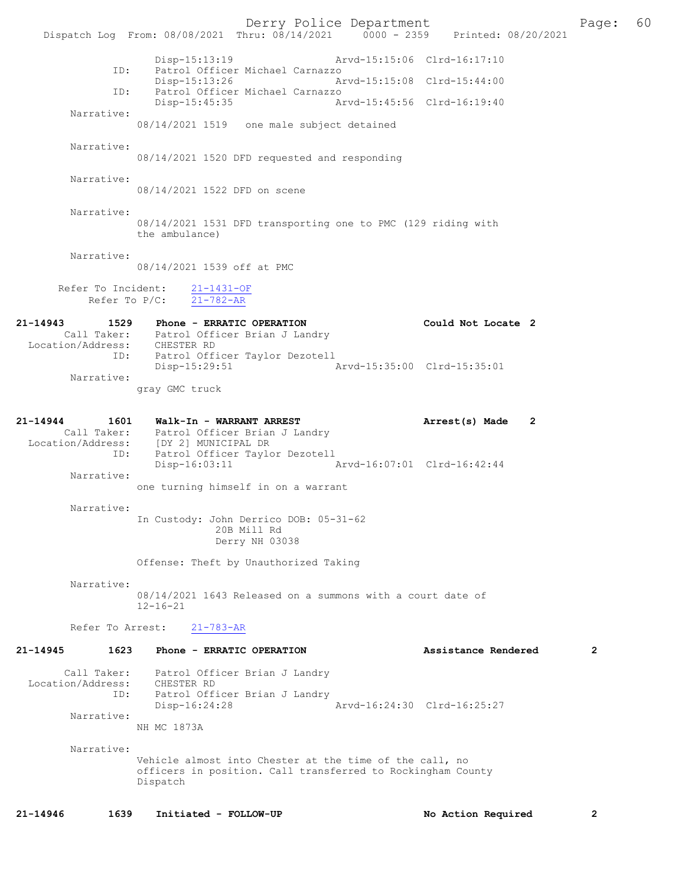Derry Police Department [1991] Page: 60<br>Phru: 08/14/2021 | 0000 - 2359 | Printed: 08/20/2021 Dispatch Log From: 08/08/2021 Thru: 08/14/2021 0000 - 2359 Disp-15:13:19 Arvd-15:15:06 Clrd-16:17:10 ID: Patrol Officer Michael Carnazzo Disp-15:13:26 Arvd-15:15:08 Clrd-15:44:00 Patrol Officer Michael Carnazzo<br>Disp-15:45:35 Disp-15:45:35 Arvd-15:45:56 Clrd-16:19:40 Narrative: 08/14/2021 1519 one male subject detained Narrative: 08/14/2021 1520 DFD requested and responding Narrative: 08/14/2021 1522 DFD on scene Narrative: 08/14/2021 1531 DFD transporting one to PMC (129 riding with the ambulance) Narrative: 08/14/2021 1539 off at PMC Refer To Incident:  $\frac{21-1431-OF}{21-782-AR}$ Refer To P/C: 21-14943 1529 Phone - ERRATIC OPERATION Could Not Locate 2 Call Taker: Patrol Officer Brian J Landry Location/Address: CHESTER RD ID: Patrol Officer Taylor Dezotell Disp-15:29:51 Arvd-15:35:00 Clrd-15:35:01 Narrative: gray GMC truck 21-14944 1601 Walk-In - WARRANT ARREST Arrest(s) Made 2 Call Taker: Patrol Officer Brian J Landry Location/Address: [DY 2] MUNICIPAL DR ID: Patrol Officer Taylor Dezotell Disp-16:03:11 Arvd-16:07:01 Clrd-16:42:44 Narrative: one turning himself in on a warrant Narrative: In Custody: John Derrico DOB: 05-31-62 20B Mill Rd Derry NH 03038 Offense: Theft by Unauthorized Taking Narrative: 08/14/2021 1643 Released on a summons with a court date of 12-16-21 Refer To Arrest: 21-783-AR 21-14945 1623 Phone - ERRATIC OPERATION Assistance Rendered 2 Call Taker: Patrol Officer Brian J Landry Location/Address: CHESTER RD ID: Patrol Officer Brian J Landry Disp-16:24:28 Arvd-16:24:30 Clrd-16:25:27 Narrative: NH MC 1873A Narrative: Vehicle almost into Chester at the time of the call, no officers in position. Call transferred to Rockingham County Dispatch 21-14946 1639 Initiated - FOLLOW-UP No Action Required 2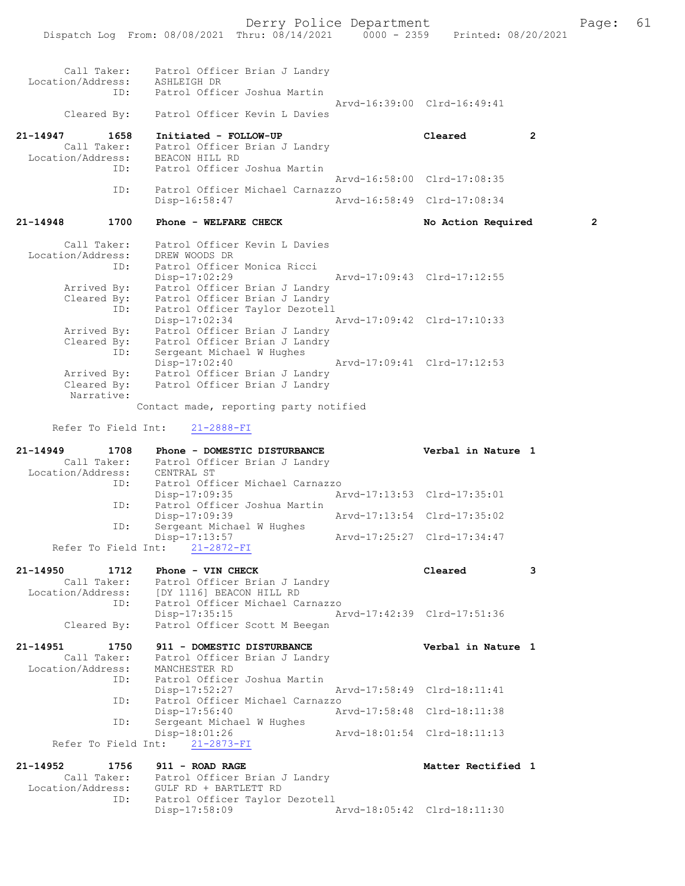|                                                                                              | 61<br>Page:    |
|----------------------------------------------------------------------------------------------|----------------|
| Dispatch Log From: 08/08/2021 Thru: 08/14/2021 0000 - 2359 Printed: 08/20/2021               |                |
|                                                                                              |                |
|                                                                                              |                |
| Call Taker: Patrol Officer Brian J Landry                                                    |                |
| Location/Address: ASHLEIGH DR                                                                |                |
| Patrol Officer Joshua Martin<br>ID:                                                          |                |
| Arvd-16:39:00 Clrd-16:49:41                                                                  |                |
| Patrol Officer Kevin L Davies<br>Cleared By:                                                 |                |
|                                                                                              |                |
| $21 - 14947$<br>1658<br>Initiated - FOLLOW-UP<br>Cleared                                     | $\overline{2}$ |
| Call Taker: Patrol Officer Brian J Landry<br>Location/Address: BEACON HILL RD                |                |
| Patrol Officer Joshua Martin<br>ID:                                                          |                |
| Arvd-16:58:00 Clrd-17:08:35                                                                  |                |
| ID:<br>Patrol Officer Michael Carnazzo                                                       |                |
| Disp-16:58:47<br>Arvd-16:58:49 Clrd-17:08:34                                                 |                |
|                                                                                              |                |
| $21 - 14948$<br>1700<br>Phone - WELFARE CHECK<br>No Action Required                          | $\overline{2}$ |
|                                                                                              |                |
| Call Taker:<br>Patrol Officer Kevin L Davies                                                 |                |
| Location/Address:<br>DREW WOODS DR                                                           |                |
| Patrol Officer Monica Ricci<br>ID:                                                           |                |
| $Disp-17:02:29$<br>Arvd-17:09:43 Clrd-17:12:55                                               |                |
| Arrived By:<br>Patrol Officer Brian J Landry<br>Patrol Officer Brian J Landry<br>Cleared By: |                |
| Patrol Officer Taylor Dezotell<br>ID:                                                        |                |
| $Disp-17:02:34$<br>Arvd-17:09:42 Clrd-17:10:33                                               |                |
| Patrol Officer Brian J Landry<br>Arrived By:                                                 |                |
| Cleared By: Patrol Officer Brian J Landry                                                    |                |
| Sergeant Michael W Hughes<br>ID:                                                             |                |
| $Disp-17:02:40$<br>Arvd-17:09:41 Clrd-17:12:53                                               |                |
| Patrol Officer Brian J Landry<br>Arrived By:                                                 |                |
| Patrol Officer Brian J Landry<br>Cleared By:                                                 |                |
| Narrative:                                                                                   |                |
| Contact made, reporting party notified                                                       |                |
|                                                                                              |                |
|                                                                                              |                |
| Refer To Field Int:<br>$21 - 2888 - FI$                                                      |                |
|                                                                                              |                |
| $21 - 14949$<br>1708<br>Phone - DOMESTIC DISTURBANCE<br>Verbal in Nature 1                   |                |
| Call Taker: Patrol Officer Brian J Landry<br>Location/Address: CENTRAL ST                    |                |
| Patrol Officer Michael Carnazzo<br>ID:                                                       |                |
| $Disp-17:09:35$<br>Arvd-17:13:53 Clrd-17:35:01                                               |                |
| Patrol Officer Joshua Martin<br>ID:                                                          |                |
| Disp-17:09:39<br>Arvd-17:13:54 Clrd-17:35:02                                                 |                |
| Sergeant Michael W Hughes<br>ID:                                                             |                |
| Disp-17:13:57<br>Arvd-17:25:27 Clrd-17:34:47                                                 |                |
| Refer To Field Int:<br>$21 - 2872 - FI$                                                      |                |
|                                                                                              |                |
| 21-14950<br>Cleared<br>1712<br>Phone - VIN CHECK                                             | 3              |
| Call Taker:<br>Patrol Officer Brian J Landry                                                 |                |
| Location/Address: [DY 1116] BEACON HILL RD<br>Patrol Officer Michael Carnazzo<br>ID:         |                |
| Disp-17:35:15<br>Arvd-17:42:39 Clrd-17:51:36                                                 |                |
| Patrol Officer Scott M Beegan<br>Cleared By:                                                 |                |
|                                                                                              |                |
| $21 - 14951$<br>1750<br>911 - DOMESTIC DISTURBANCE<br>Verbal in Nature 1                     |                |
| Call Taker:<br>Patrol Officer Brian J Landry                                                 |                |
| Location/Address:<br>MANCHESTER RD                                                           |                |
| Patrol Officer Joshua Martin<br>ID:                                                          |                |
| Disp-17:52:27<br>Arvd-17:58:49 Clrd-18:11:41                                                 |                |
| Patrol Officer Michael Carnazzo<br>ID:                                                       |                |
| Disp-17:56:40<br>Arvd-17:58:48 Clrd-18:11:38<br>ID:                                          |                |
| Sergeant Michael W Hughes<br>Disp-18:01:26<br>Arvd-18:01:54 Clrd-18:11:13                    |                |
| Refer To Field Int: 21-2873-FI                                                               |                |
|                                                                                              |                |
| 21-14952<br>1756<br>911 - ROAD RAGE<br>Matter Rectified 1                                    |                |
| Call Taker: Patrol Officer Brian J Landry                                                    |                |
| Location/Address:<br>GULF RD + BARTLETT RD<br>Patrol Officer Taylor Dezotell<br>ID:          |                |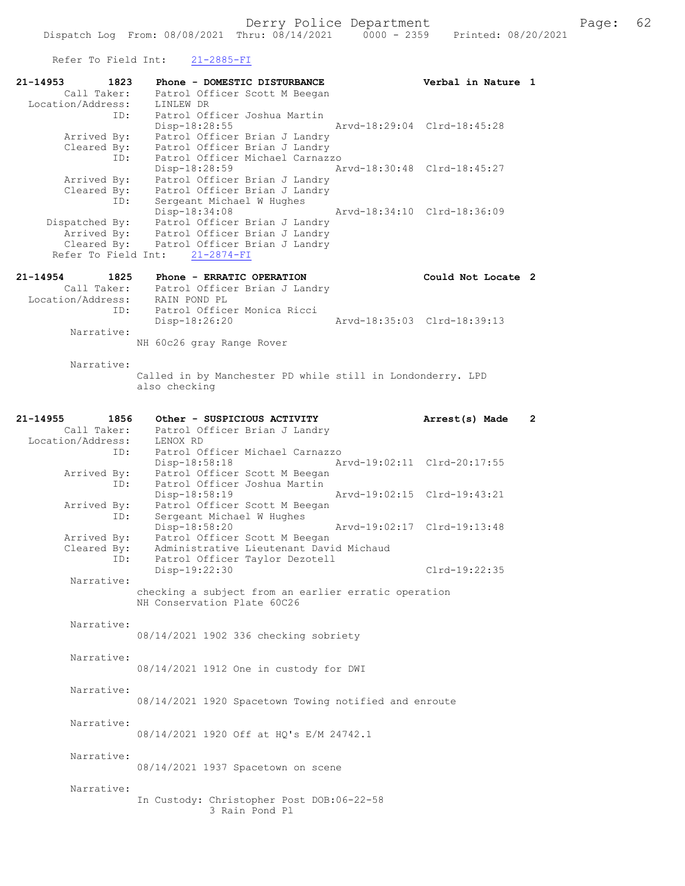Refer To Field Int: 21-2885-FI

| 21-14953          | 1823           | Phone - DOMESTIC DISTURBANCE                                                        | Verbal in Nature 1          |                       |
|-------------------|----------------|-------------------------------------------------------------------------------------|-----------------------------|-----------------------|
|                   | Call Taker:    | Patrol Officer Scott M Beegan                                                       |                             |                       |
| Location/Address: |                | LINLEW DR                                                                           |                             |                       |
|                   | ID:            | Patrol Officer Joshua Martin<br>$Disp-18:28:55$                                     | Arvd-18:29:04 Clrd-18:45:28 |                       |
|                   | Arrived By:    | Patrol Officer Brian J Landry                                                       |                             |                       |
|                   | Cleared By:    | Patrol Officer Brian J Landry                                                       |                             |                       |
|                   | ID:            | Patrol Officer Michael Carnazzo                                                     |                             |                       |
|                   |                | Disp-18:28:59                                                                       | Arvd-18:30:48 Clrd-18:45:27 |                       |
|                   | Arrived By:    | Patrol Officer Brian J Landry                                                       |                             |                       |
|                   | Cleared By:    | Patrol Officer Brian J Landry                                                       |                             |                       |
|                   | ID:            | Sergeant Michael W Hughes                                                           |                             |                       |
|                   |                | Disp-18:34:08                                                                       | Arvd-18:34:10 Clrd-18:36:09 |                       |
|                   | Dispatched By: | Patrol Officer Brian J Landry                                                       |                             |                       |
|                   | Arrived By:    | Patrol Officer Brian J Landry                                                       |                             |                       |
|                   | Cleared By:    | Patrol Officer Brian J Landry                                                       |                             |                       |
|                   |                | Refer To Field Int:<br>$21 - 2874 - FI$                                             |                             |                       |
|                   |                |                                                                                     |                             |                       |
| 21-14954          | 1825           | Phone - ERRATIC OPERATION                                                           | Could Not Locate 2          |                       |
|                   | Call Taker:    | Patrol Officer Brian J Landry                                                       |                             |                       |
| Location/Address: |                | RAIN POND PL                                                                        |                             |                       |
|                   | ID:            | Patrol Officer Monica Ricci                                                         |                             |                       |
|                   |                | Disp-18:26:20                                                                       | Arvd-18:35:03 Clrd-18:39:13 |                       |
|                   | Narrative:     |                                                                                     |                             |                       |
|                   |                | NH 60c26 gray Range Rover                                                           |                             |                       |
|                   |                |                                                                                     |                             |                       |
|                   | Narrative:     |                                                                                     |                             |                       |
|                   |                | Called in by Manchester PD while still in Londonderry. LPD                          |                             |                       |
|                   |                | also checking                                                                       |                             |                       |
|                   |                |                                                                                     |                             |                       |
| 21-14955          | 1856           | Other - SUSPICIOUS ACTIVITY                                                         | Arrest(s) Made              | $\mathbf{2}^{\prime}$ |
|                   | Call Taker:    |                                                                                     |                             |                       |
|                   |                | Patrol Officer Brian J Landry                                                       |                             |                       |
| Location/Address: |                | LENOX RD                                                                            |                             |                       |
|                   | ID:            | Patrol Officer Michael Carnazzo                                                     |                             |                       |
|                   |                | Disp-18:58:18                                                                       | Arvd-19:02:11 Clrd-20:17:55 |                       |
|                   | Arrived By:    | Patrol Officer Scott M Beegan                                                       |                             |                       |
|                   | ID:            | Patrol Officer Joshua Martin                                                        |                             |                       |
|                   |                | Disp-18:58:19                                                                       | Arvd-19:02:15 Clrd-19:43:21 |                       |
|                   | Arrived By:    | Patrol Officer Scott M Beegan                                                       |                             |                       |
|                   | ID:            | Sergeant Michael W Hughes                                                           | Arvd-19:02:17 Clrd-19:13:48 |                       |
|                   |                | Disp-18:58:20                                                                       |                             |                       |
|                   | Arrived By:    | Patrol Officer Scott M Beegan                                                       |                             |                       |
|                   | Cleared By:    | Administrative Lieutenant David Michaud                                             |                             |                       |
|                   | ID:            | Patrol Officer Taylor Dezotell                                                      |                             |                       |
|                   |                | Disp-19:22:30                                                                       | Clrd-19:22:35               |                       |
|                   | Narrative:     |                                                                                     |                             |                       |
|                   |                | checking a subject from an earlier erratic operation<br>NH Conservation Plate 60C26 |                             |                       |
|                   |                |                                                                                     |                             |                       |
|                   | Narrative:     |                                                                                     |                             |                       |
|                   |                | 08/14/2021 1902 336 checking sobriety                                               |                             |                       |
|                   |                |                                                                                     |                             |                       |
|                   | Narrative:     |                                                                                     |                             |                       |
|                   |                | 08/14/2021 1912 One in custody for DWI                                              |                             |                       |
|                   |                |                                                                                     |                             |                       |
|                   | Narrative:     |                                                                                     |                             |                       |
|                   |                | 08/14/2021 1920 Spacetown Towing notified and enroute                               |                             |                       |
|                   |                |                                                                                     |                             |                       |
|                   | Narrative:     |                                                                                     |                             |                       |
|                   |                | 08/14/2021 1920 Off at HQ's E/M 24742.1                                             |                             |                       |
|                   |                |                                                                                     |                             |                       |
|                   | Narrative:     |                                                                                     |                             |                       |
|                   |                | 08/14/2021 1937 Spacetown on scene                                                  |                             |                       |
|                   |                |                                                                                     |                             |                       |
|                   | Narrative:     |                                                                                     |                             |                       |
|                   |                | In Custody: Christopher Post DOB:06-22-58                                           |                             |                       |
|                   |                | 3 Rain Pond Pl                                                                      |                             |                       |
|                   |                |                                                                                     |                             |                       |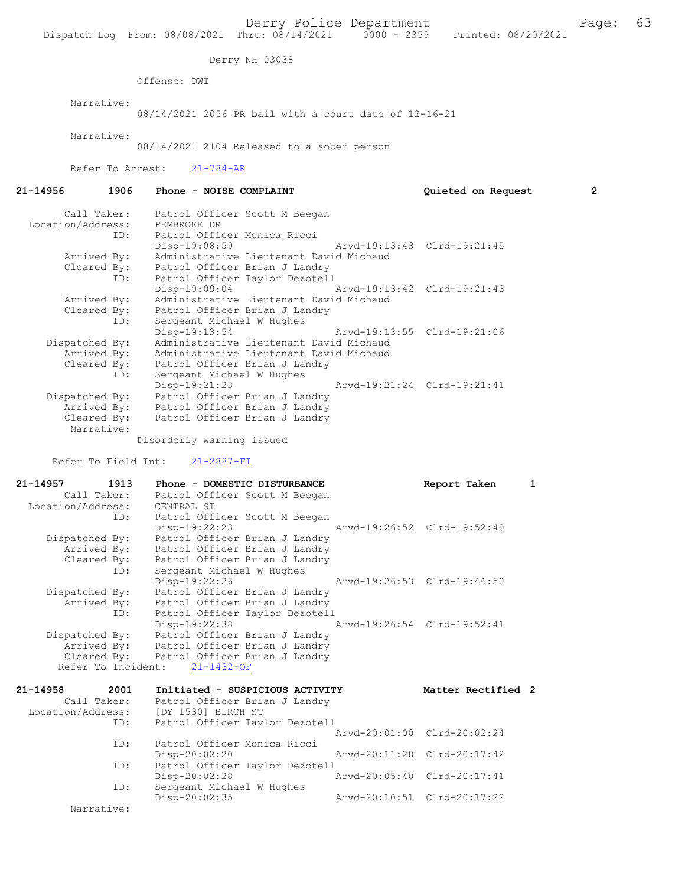Derry NH 03038

Offense: DWI

Narrative:

08/14/2021 2056 PR bail with a court date of 12-16-21

Narrative:

08/14/2021 2104 Released to a sober person

Refer To Arrest: 21-784-AR

21-14956 1906 Phone - NOISE COMPLAINT Quieted on Request 2 Call Taker: Patrol Officer Scott M Beegan Location/Address: PEMBROKE DR ID: Patrol Officer Monica Ricci Disp-19:08:59 Arvd-19:13:43 Clrd-19:21:45 Arrived By: Administrative Lieutenant David Michaud Cleared By: Patrol Officer Brian J Landry ID: Patrol Officer Taylor Dezotell Disp-19:09:04 Arvd-19:13:42 Clrd-19:21:43 Arrived By: Administrative Lieutenant David Michaud Cleared By: Patrol Officer Brian J Landry ID: Sergeant Michael W Hughes Disp-19:13:54 Arvd-19:13:55 Clrd-19:21:06 Dispatched By: Administrative Lieutenant David Michaud Arrived By: Administrative Lieutenant David Michaud Cleared By: Patrol Officer Brian J Landry ID: Sergeant Michael W Hughes Disp-19:21:23 Arvd-19:21:24 Clrd-19:21:41<br>Dispatched By: Patrol Officer Brian J Landry Dispatched By: Patrol Officer Brian J Landry Arrived By: Patrol Officer Brian J Landry Cleared By: Patrol Officer Brian J Landry Narrative: Disorderly warning issued

Refer To Field Int: 21-2887-FI

| 21-14957          | 1913 | Phone - DOMESTIC DISTURBANCE              |                             | Report Taken       | 1 |
|-------------------|------|-------------------------------------------|-----------------------------|--------------------|---|
| Call Taker:       |      | Patrol Officer Scott M Beegan             |                             |                    |   |
| Location/Address: |      | CENTRAL ST                                |                             |                    |   |
|                   | ID:  | Patrol Officer Scott M Beegan             |                             |                    |   |
|                   |      | Disp-19:22:23                             | Arvd-19:26:52 Clrd-19:52:40 |                    |   |
| Dispatched By:    |      | Patrol Officer Brian J Landry             |                             |                    |   |
| Arrived By:       |      | Patrol Officer Brian J Landry             |                             |                    |   |
|                   |      | Cleared By: Patrol Officer Brian J Landry |                             |                    |   |
|                   | ID:  | Sergeant Michael W Hughes                 |                             |                    |   |
|                   |      | Disp-19:22:26                             | Arvd-19:26:53 Clrd-19:46:50 |                    |   |
| Dispatched By:    |      | Patrol Officer Brian J Landry             |                             |                    |   |
|                   |      | Arrived By: Patrol Officer Brian J Landry |                             |                    |   |
|                   | ID:  | Patrol Officer Taylor Dezotell            |                             |                    |   |
|                   |      | Disp-19:22:38                             | Arvd-19:26:54 Clrd-19:52:41 |                    |   |
| Dispatched By:    |      | Patrol Officer Brian J Landry             |                             |                    |   |
|                   |      | Arrived By: Patrol Officer Brian J Landry |                             |                    |   |
|                   |      | Cleared By: Patrol Officer Brian J Landry |                             |                    |   |
|                   |      | Refer To Incident: 21-1432-OF             |                             |                    |   |
| 21-14958          | 2001 | Initiated - SUSPICIOUS ACTIVITY           |                             | Matter Rectified 2 |   |

| Call Taker:       | Patrol Officer Brian J Landry  |                             |
|-------------------|--------------------------------|-----------------------------|
| Location/Address: | [DY 1530] BIRCH ST             |                             |
| ID:               | Patrol Officer Taylor Dezotell |                             |
|                   |                                | Arvd-20:01:00 Clrd-20:02:24 |
| ID:               | Patrol Officer Monica Ricci    |                             |
|                   | $Disp-20:02:20$                | Arvd-20:11:28 Clrd-20:17:42 |
| ID:               | Patrol Officer Taylor Dezotell |                             |
|                   | $Disp-20:02:28$                | Arvd-20:05:40 Clrd-20:17:41 |
| ID:               | Sergeant Michael W Hughes      |                             |
|                   | $Disp-20:02:35$                | Arvd-20:10:51 Clrd-20:17:22 |
| Narrative:        |                                |                             |
|                   |                                |                             |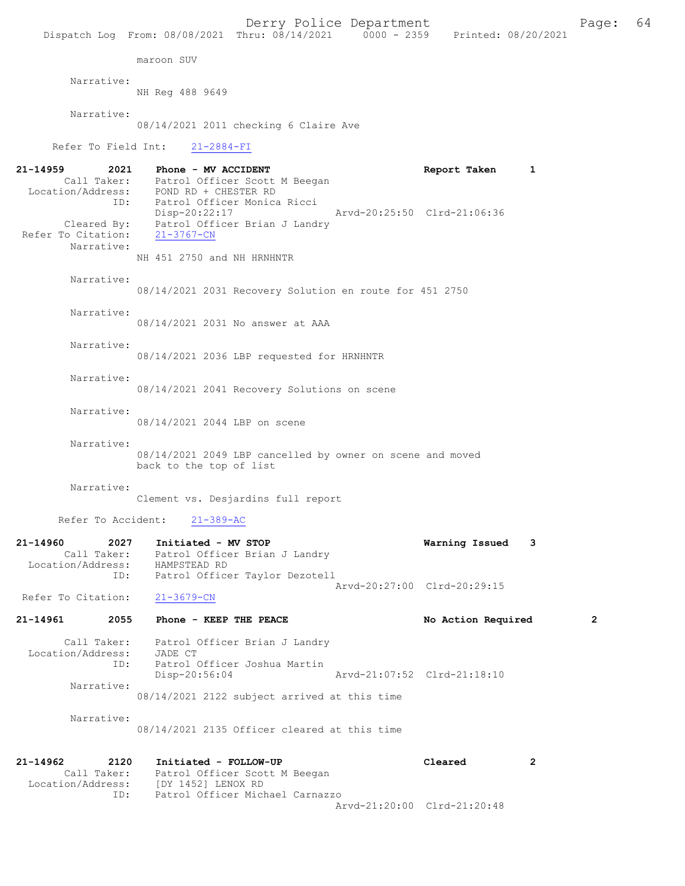Derry Police Department Fage: 64 Dispatch Log From: 08/08/2021 Thru: 08/14/2021 0000 - 2359 Printed: 08/20/2021 maroon SUV Narrative: NH Reg 488 9649 Narrative: 08/14/2021 2011 checking 6 Claire Ave Refer To Field Int: 21-2884-FI 21-14959 2021 Phone - MV ACCIDENT Report Taken 1 Call Taker: Patrol Officer Scott M Beegan Location/Address: POND RD + CHESTER RD ID: Patrol Officer Monica Ricci Disp-20:22:17 Arvd-20:25:50 Clrd-21:06:36 Cleared By: Patrol Officer Brian J Landry Refer To Citation: 21-3767-CN Narrative: NH 451 2750 and NH HRNHNTR Narrative: 08/14/2021 2031 Recovery Solution en route for 451 2750 Narrative: 08/14/2021 2031 No answer at AAA Narrative: 08/14/2021 2036 LBP requested for HRNHNTR Narrative: 08/14/2021 2041 Recovery Solutions on scene Narrative: 08/14/2021 2044 LBP on scene Narrative: 08/14/2021 2049 LBP cancelled by owner on scene and moved back to the top of list Narrative: Clement vs. Desjardins full report Refer To Accident: 21-389-AC 21-14960 2027 Initiated - MV STOP Warning Issued 3 Call Taker: Patrol Officer Brian J Landry Location/Address: HAMPSTEAD RD ID: Patrol Officer Taylor Dezotell Arvd-20:27:00 Clrd-20:29:15 Refer To Citation: 21-3679-CN 21-14961 2055 Phone - KEEP THE PEACE No Action Required 2 Call Taker: Patrol Officer Brian J Landry Location/Address: JADE CT<br>ID: Patrol ( Patrol Officer Joshua Martin<br>Disp-20:56:04 Disp-20:56:04 Arvd-21:07:52 Clrd-21:18:10 Narrative: 08/14/2021 2122 subject arrived at this time Narrative: 08/14/2021 2135 Officer cleared at this time 21-14962 2120 Initiated - FOLLOW-UP Cleared 2

 Call Taker: Patrol Officer Scott M Beegan Location/Address: [DY 1452] LENOX RD ID: Patrol Officer Michael Carnazzo Arvd-21:20:00 Clrd-21:20:48